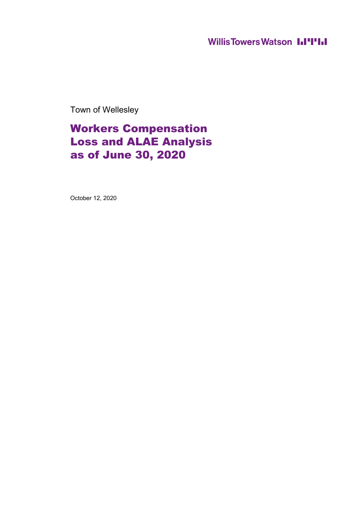**Willis Towers Watson III'I'III** 

Town of Wellesley

### Workers Compensation Loss and ALAE Analysis as of June 30, 2020

October 12, 2020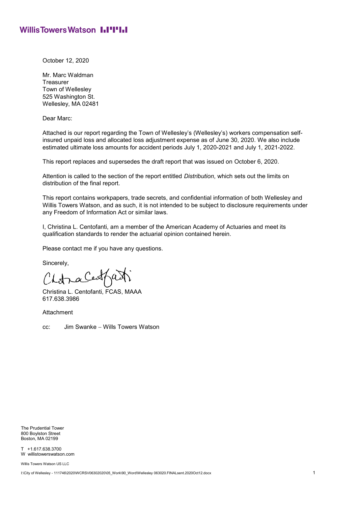### **Willis Towers Watson I.I'I'I.I**

October 12, 2020

Mr. Marc Waldman **Treasurer** Town of Wellesley 525 Washington St. Wellesley, MA 02481

Dear Marc:

Attached is our report regarding the Town of Wellesley's (Wellesley's) workers compensation selfinsured unpaid loss and allocated loss adjustment expense as of June 30, 2020. We also include estimated ultimate loss amounts for accident periods July 1, 2020-2021 and July 1, 2021-2022.

This report replaces and supersedes the draft report that was issued on October 6, 2020.

Attention is called to the section of the report entitled *Distribution*, which sets out the limits on distribution of the final report.

This report contains workpapers, trade secrets, and confidential information of both Wellesley and Willis Towers Watson, and as such, it is not intended to be subject to disclosure requirements under any Freedom of Information Act or similar laws.

I, Christina L. Centofanti, am a member of the American Academy of Actuaries and meet its qualification standards to render the actuarial opinion contained herein.

Please contact me if you have any questions.

Sincerely,

ChanaCeatfarti

Christina L. Centofanti, FCAS, MAAA 617.638.3986

**Attachment** 

cc: Jim Swanke Wills Towers Watson

The Prudential Tower 800 Boylston Street Boston, MA 02199

T +1.617.638.3700 W willistowerswatson.com

Willis Towers Watson US LLC

I:\City of Wellesley - 111746\2020\WCRSV06302020\05\_Work\90\_Word\Wellesley 063020.FINALsent.2020Oct12.docx 1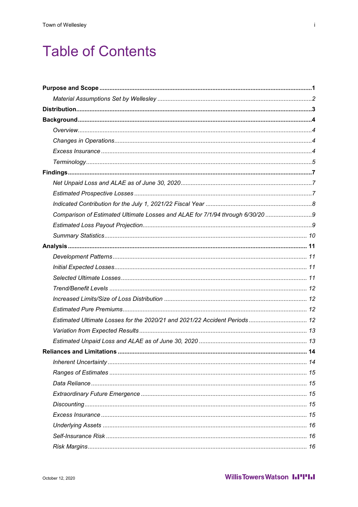## **Table of Contents**

| Comparison of Estimated Ultimate Losses and ALAE for 7/1/94 through 6/30/20 |        |
|-----------------------------------------------------------------------------|--------|
|                                                                             |        |
|                                                                             |        |
|                                                                             |        |
|                                                                             |        |
|                                                                             |        |
|                                                                             |        |
|                                                                             |        |
|                                                                             |        |
|                                                                             |        |
|                                                                             |        |
|                                                                             |        |
|                                                                             |        |
| <b>Reliances and Limitations.</b>                                           | ……. 14 |
|                                                                             |        |
|                                                                             |        |
|                                                                             |        |
|                                                                             |        |
|                                                                             |        |
|                                                                             |        |
|                                                                             |        |
|                                                                             |        |
|                                                                             |        |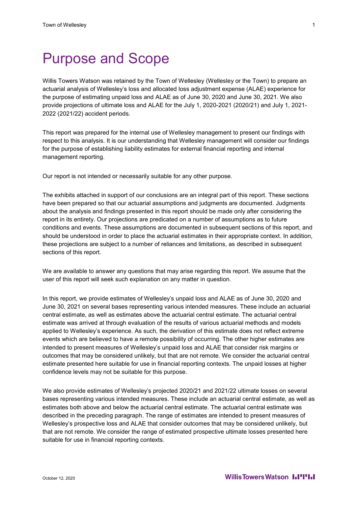## Purpose and Scope

Willis Towers Watson was retained by the Town of Wellesley (Wellesley or the Town) to prepare an actuarial analysis of Wellesley's loss and allocated loss adjustment expense (ALAE) experience for the purpose of estimating unpaid loss and ALAE as of June 30, 2020 and June 30, 2021. We also provide projections of ultimate loss and ALAE for the July 1, 2020-2021 (2020/21) and July 1, 2021- 2022 (2021/22) accident periods.

This report was prepared for the internal use of Wellesley management to present our findings with respect to this analysis. It is our understanding that Wellesley management will consider our findings for the purpose of establishing liability estimates for external financial reporting and internal management reporting.

Our report is not intended or necessarily suitable for any other purpose.

The exhibits attached in support of our conclusions are an integral part of this report. These sections have been prepared so that our actuarial assumptions and judgments are documented. Judgments about the analysis and findings presented in this report should be made only after considering the report in its entirety. Our projections are predicated on a number of assumptions as to future conditions and events. These assumptions are documented in subsequent sections of this report, and should be understood in order to place the actuarial estimates in their appropriate context. In addition, these projections are subject to a number of reliances and limitations, as described in subsequent sections of this report.

We are available to answer any questions that may arise regarding this report. We assume that the user of this report will seek such explanation on any matter in question.

In this report, we provide estimates of Wellesley's unpaid loss and ALAE as of June 30, 2020 and June 30, 2021 on several bases representing various intended measures. These include an actuarial central estimate, as well as estimates above the actuarial central estimate. The actuarial central estimate was arrived at through evaluation of the results of various actuarial methods and models applied to Wellesley's experience. As such, the derivation of this estimate does not reflect extreme events which are believed to have a remote possibility of occurring. The other higher estimates are intended to present measures of Wellesley's unpaid loss and ALAE that consider risk margins or outcomes that may be considered unlikely, but that are not remote. We consider the actuarial central estimate presented here suitable for use in financial reporting contexts. The unpaid losses at higher confidence levels may not be suitable for this purpose.

We also provide estimates of Wellesley's projected 2020/21 and 2021/22 ultimate losses on several bases representing various intended measures. These include an actuarial central estimate, as well as estimates both above and below the actuarial central estimate. The actuarial central estimate was described in the preceding paragraph. The range of estimates are intended to present measures of Wellesley's prospective loss and ALAE that consider outcomes that may be considered unlikely, but that are not remote. We consider the range of estimated prospective ultimate losses presented here suitable for use in financial reporting contexts.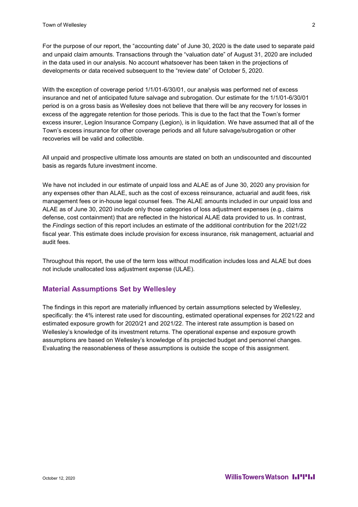For the purpose of our report, the "accounting date" of June 30, 2020 is the date used to separate paid and unpaid claim amounts. Transactions through the "valuation date" of August 31, 2020 are included in the data used in our analysis. No account whatsoever has been taken in the projections of developments or data received subsequent to the "review date" of October 5, 2020.

With the exception of coverage period 1/1/01-6/30/01, our analysis was performed net of excess insurance and net of anticipated future salvage and subrogation. Our estimate for the 1/1/01-6/30/01 period is on a gross basis as Wellesley does not believe that there will be any recovery for losses in excess of the aggregate retention for those periods. This is due to the fact that the Town's former excess insurer, Legion Insurance Company (Legion), is in liquidation. We have assumed that all of the Town's excess insurance for other coverage periods and all future salvage/subrogation or other recoveries will be valid and collectible.

All unpaid and prospective ultimate loss amounts are stated on both an undiscounted and discounted basis as regards future investment income.

We have not included in our estimate of unpaid loss and ALAE as of June 30, 2020 any provision for any expenses other than ALAE, such as the cost of excess reinsurance, actuarial and audit fees, risk management fees or in-house legal counsel fees. The ALAE amounts included in our unpaid loss and ALAE as of June 30, 2020 include only those categories of loss adjustment expenses (e.g., claims defense, cost containment) that are reflected in the historical ALAE data provided to us. In contrast, the *Findings* section of this report includes an estimate of the additional contribution for the 2021/22 fiscal year. This estimate does include provision for excess insurance, risk management, actuarial and audit fees.

Throughout this report, the use of the term loss without modification includes loss and ALAE but does not include unallocated loss adjustment expense (ULAE).

#### **Material Assumptions Set by Wellesley**

The findings in this report are materially influenced by certain assumptions selected by Wellesley, specifically: the 4% interest rate used for discounting, estimated operational expenses for 2021/22 and estimated exposure growth for 2020/21 and 2021/22. The interest rate assumption is based on Wellesley's knowledge of its investment returns. The operational expense and exposure growth assumptions are based on Wellesley's knowledge of its projected budget and personnel changes. Evaluating the reasonableness of these assumptions is outside the scope of this assignment.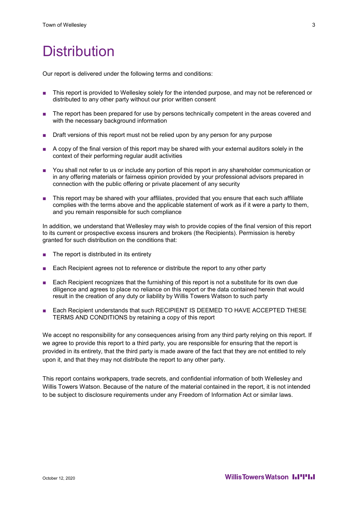## **Distribution**

Our report is delivered under the following terms and conditions:

- This report is provided to Wellesley solely for the intended purpose, and may not be referenced or distributed to any other party without our prior written consent
- The report has been prepared for use by persons technically competent in the areas covered and with the necessary background information
- Draft versions of this report must not be relied upon by any person for any purpose
- A copy of the final version of this report may be shared with your external auditors solely in the context of their performing regular audit activities
- You shall not refer to us or include any portion of this report in any shareholder communication or in any offering materials or fairness opinion provided by your professional advisors prepared in connection with the public offering or private placement of any security
- This report may be shared with your affiliates, provided that you ensure that each such affiliate complies with the terms above and the applicable statement of work as if it were a party to them, and you remain responsible for such compliance

In addition, we understand that Wellesley may wish to provide copies of the final version of this report to its current or prospective excess insurers and brokers (the Recipients). Permission is hereby granted for such distribution on the conditions that:

- The report is distributed in its entirety
- Each Recipient agrees not to reference or distribute the report to any other party
- Each Recipient recognizes that the furnishing of this report is not a substitute for its own due diligence and agrees to place no reliance on this report or the data contained herein that would result in the creation of any duty or liability by Willis Towers Watson to such party
- Each Recipient understands that such RECIPIENT IS DEEMED TO HAVE ACCEPTED THESE TERMS AND CONDITIONS by retaining a copy of this report

We accept no responsibility for any consequences arising from any third party relying on this report. If we agree to provide this report to a third party, you are responsible for ensuring that the report is provided in its entirety, that the third party is made aware of the fact that they are not entitled to rely upon it, and that they may not distribute the report to any other party.

This report contains workpapers, trade secrets, and confidential information of both Wellesley and Willis Towers Watson. Because of the nature of the material contained in the report, it is not intended to be subject to disclosure requirements under any Freedom of Information Act or similar laws.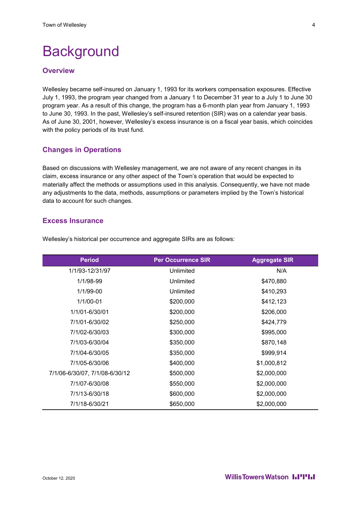# **Background**

#### **Overview**

Wellesley became self-insured on January 1, 1993 for its workers compensation exposures. Effective July 1, 1993, the program year changed from a January 1 to December 31 year to a July 1 to June 30 program year. As a result of this change, the program has a 6-month plan year from January 1, 1993 to June 30, 1993. In the past, Wellesley's self-insured retention (SIR) was on a calendar year basis. As of June 30, 2001, however, Wellesley's excess insurance is on a fiscal year basis, which coincides with the policy periods of its trust fund.

### **Changes in Operations**

Based on discussions with Wellesley management, we are not aware of any recent changes in its claim, excess insurance or any other aspect of the Town's operation that would be expected to materially affect the methods or assumptions used in this analysis. Consequently, we have not made any adjustments to the data, methods, assumptions or parameters implied by the Town's historical data to account for such changes.

#### **Excess Insurance**

| <b>Period</b>                  | <b>Per Occurrence SIR</b> | <b>Aggregate SIR</b> |
|--------------------------------|---------------------------|----------------------|
| 1/1/93-12/31/97                | Unlimited                 | N/A                  |
| 1/1/98-99                      | Unlimited                 | \$470,880            |
| 1/1/99-00                      | Unlimited                 | \$410,293            |
| 1/1/00-01                      | \$200,000                 | \$412,123            |
| 1/1/01-6/30/01                 | \$200,000                 | \$206,000            |
| 7/1/01-6/30/02                 | \$250,000                 | \$424,779            |
| 7/1/02-6/30/03                 | \$300,000                 | \$995,000            |
| 7/1/03-6/30/04                 | \$350,000                 | \$870,148            |
| 7/1/04-6/30/05                 | \$350,000                 | \$999,914            |
| 7/1/05-6/30/06                 | \$400,000                 | \$1,000,812          |
| 7/1/06-6/30/07, 7/1/08-6/30/12 | \$500,000                 | \$2,000,000          |
| 7/1/07-6/30/08                 | \$550,000                 | \$2,000,000          |
| 7/1/13-6/30/18                 | \$600,000                 | \$2,000,000          |
| 7/1/18-6/30/21                 | \$650,000                 | \$2,000,000          |

Wellesley's historical per occurrence and aggregate SIRs are as follows: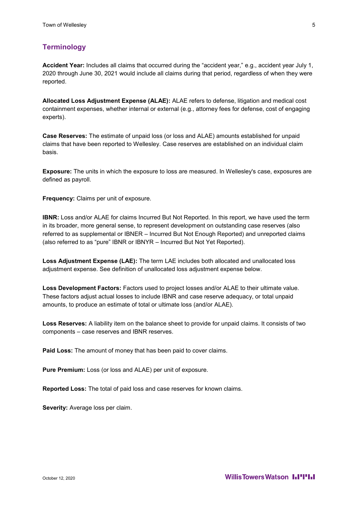#### **Terminology**

**Accident Year:** Includes all claims that occurred during the "accident year," e.g., accident year July 1, 2020 through June 30, 2021 would include all claims during that period, regardless of when they were reported.

**Allocated Loss Adjustment Expense (ALAE):** ALAE refers to defense, litigation and medical cost containment expenses, whether internal or external (e.g., attorney fees for defense, cost of engaging experts).

**Case Reserves:** The estimate of unpaid loss (or loss and ALAE) amounts established for unpaid claims that have been reported to Wellesley. Case reserves are established on an individual claim basis.

**Exposure:** The units in which the exposure to loss are measured. In Wellesley's case, exposures are defined as payroll.

**Frequency:** Claims per unit of exposure.

**IBNR:** Loss and/or ALAE for claims Incurred But Not Reported. In this report, we have used the term in its broader, more general sense, to represent development on outstanding case reserves (also referred to as supplemental or IBNER – Incurred But Not Enough Reported) and unreported claims (also referred to as "pure" IBNR or IBNYR – Incurred But Not Yet Reported).

**Loss Adjustment Expense (LAE):** The term LAE includes both allocated and unallocated loss adjustment expense. See definition of unallocated loss adjustment expense below.

**Loss Development Factors:** Factors used to project losses and/or ALAE to their ultimate value. These factors adjust actual losses to include IBNR and case reserve adequacy, or total unpaid amounts, to produce an estimate of total or ultimate loss (and/or ALAE).

**Loss Reserves:** A liability item on the balance sheet to provide for unpaid claims. It consists of two components – case reserves and IBNR reserves.

**Paid Loss:** The amount of money that has been paid to cover claims.

**Pure Premium:** Loss (or loss and ALAE) per unit of exposure.

**Reported Loss:** The total of paid loss and case reserves for known claims.

**Severity: Average loss per claim.**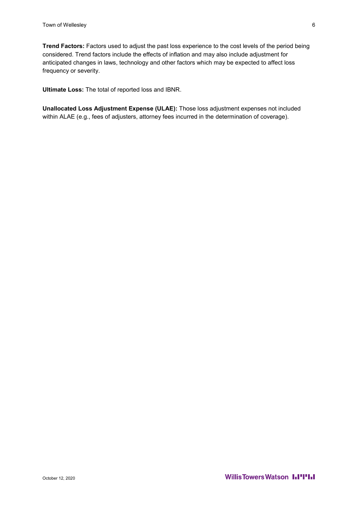**Trend Factors:** Factors used to adjust the past loss experience to the cost levels of the period being considered. Trend factors include the effects of inflation and may also include adjustment for anticipated changes in laws, technology and other factors which may be expected to affect loss frequency or severity.

**Ultimate Loss:** The total of reported loss and IBNR.

**Unallocated Loss Adjustment Expense (ULAE):** Those loss adjustment expenses not included within ALAE (e.g., fees of adjusters, attorney fees incurred in the determination of coverage).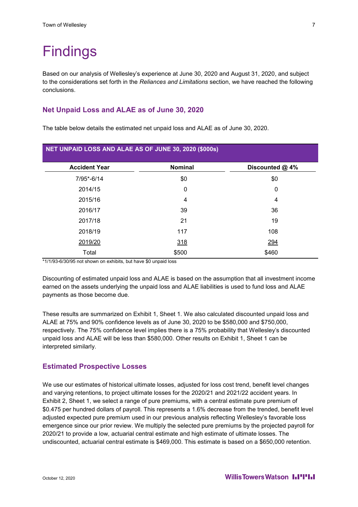# **Findings**

Based on our analysis of Wellesley's experience at June 30, 2020 and August 31, 2020, and subject to the considerations set forth in the *Reliances and Limitations* section, we have reached the following conclusions.

#### **Net Unpaid Loss and ALAE as of June 30, 2020**

**NET UNPAID LOSS AND ALAE AS OF JUNE 30, 2020 (\$000s) Accident Year Nominal Discounted @ 4%** 7/95\*-6/14 \$0 \$0 2014/15 0 0 2015/16 4 4 2016/17 39 36 2017/18 21 2017/18 2018/19 117 108 2019/20 318 294 Total \$500 \$460

The table below details the estimated net unpaid loss and ALAE as of June 30, 2020.

\*1/1/93-6/30/95 not shown on exhibits, but have \$0 unpaid loss

Discounting of estimated unpaid loss and ALAE is based on the assumption that all investment income earned on the assets underlying the unpaid loss and ALAE liabilities is used to fund loss and ALAE payments as those become due.

These results are summarized on Exhibit 1, Sheet 1. We also calculated discounted unpaid loss and ALAE at 75% and 90% confidence levels as of June 30, 2020 to be \$580,000 and \$750,000, respectively. The 75% confidence level implies there is a 75% probability that Wellesley's discounted unpaid loss and ALAE will be less than \$580,000. Other results on Exhibit 1, Sheet 1 can be interpreted similarly.

#### **Estimated Prospective Losses**

We use our estimates of historical ultimate losses, adjusted for loss cost trend, benefit level changes and varying retentions, to project ultimate losses for the 2020/21 and 2021/22 accident years. In Exhibit 2, Sheet 1, we select a range of pure premiums, with a central estimate pure premium of \$0.475 per hundred dollars of payroll. This represents a 1.6% decrease from the trended, benefit level adjusted expected pure premium used in our previous analysis reflecting Wellesley's favorable loss emergence since our prior review. We multiply the selected pure premiums by the projected payroll for 2020/21 to provide a low, actuarial central estimate and high estimate of ultimate losses. The undiscounted, actuarial central estimate is \$469,000. This estimate is based on a \$650,000 retention.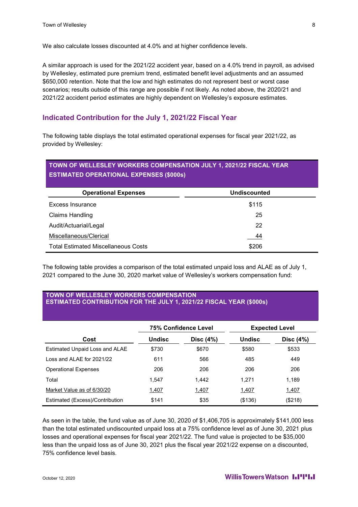We also calculate losses discounted at 4.0% and at higher confidence levels.

A similar approach is used for the 2021/22 accident year, based on a 4.0% trend in payroll, as advised by Wellesley, estimated pure premium trend, estimated benefit level adjustments and an assumed \$650,000 retention. Note that the low and high estimates do not represent best or worst case scenarios; results outside of this range are possible if not likely. As noted above, the 2020/21 and 2021/22 accident period estimates are highly dependent on Wellesley's exposure estimates.

#### **Indicated Contribution for the July 1, 2021/22 Fiscal Year**

The following table displays the total estimated operational expenses for fiscal year 2021/22, as provided by Wellesley:

#### **TOWN OF WELLESLEY WORKERS COMPENSATION JULY 1, 2021/22 FISCAL YEAR ESTIMATED OPERATIONAL EXPENSES (\$000s)**

| <b>Operational Expenses</b>                | <b>Undiscounted</b> |
|--------------------------------------------|---------------------|
| Excess Insurance                           | \$115               |
| <b>Claims Handling</b>                     | 25                  |
| Audit/Actuarial/Legal                      | 22                  |
| Miscellaneous/Clerical                     | <u>_44</u>          |
| <b>Total Estimated Miscellaneous Costs</b> | \$206               |

The following table provides a comparison of the total estimated unpaid loss and ALAE as of July 1, 2021 compared to the June 30, 2020 market value of Wellesley's workers compensation fund:

#### **TOWN OF WELLESLEY WORKERS COMPENSATION ESTIMATED CONTRIBUTION FOR THE JULY 1, 2021/22 FISCAL YEAR (\$000s)**

|                                 |               | <b>75% Confidence Level</b> | <b>Expected Level</b> |             |  |
|---------------------------------|---------------|-----------------------------|-----------------------|-------------|--|
| Cost                            | <b>Undisc</b> | Disc $(4%)$                 | <b>Undisc</b>         | Disc $(4%)$ |  |
| Estimated Unpaid Loss and ALAE  | \$730         | \$670                       | \$580                 | \$533       |  |
| Loss and ALAE for 2021/22       | 611           | 566                         | 485                   | 449         |  |
| <b>Operational Expenses</b>     | 206           | 206                         | 206                   | 206         |  |
| Total                           | 1.547         | 1.442                       | 1.271                 | 1.189       |  |
| Market Value as of 6/30/20      | 1,407         | 1,407                       | 1,407                 | 1,407       |  |
| Estimated (Excess)/Contribution | \$141         | \$35                        | (\$136)               | (\$218)     |  |

As seen in the table, the fund value as of June 30, 2020 of \$1,406,705 is approximately \$141,000 less than the total estimated undiscounted unpaid loss at a 75% confidence level as of June 30, 2021 plus losses and operational expenses for fiscal year 2021/22. The fund value is projected to be \$35,000 less than the unpaid loss as of June 30, 2021 plus the fiscal year 2021/22 expense on a discounted, 75% confidence level basis.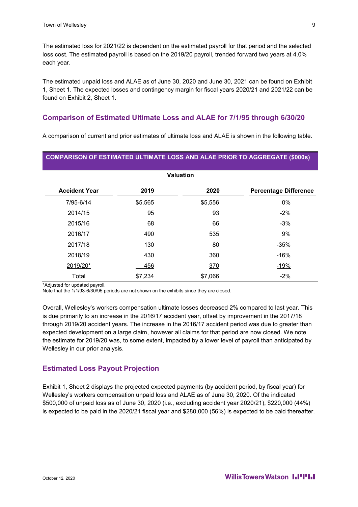The estimated loss for 2021/22 is dependent on the estimated payroll for that period and the selected loss cost. The estimated payroll is based on the 2019/20 payroll, trended forward two years at 4.0% each year.

The estimated unpaid loss and ALAE as of June 30, 2020 and June 30, 2021 can be found on Exhibit 1, Sheet 1. The expected losses and contingency margin for fiscal years 2020/21 and 2021/22 can be found on Exhibit 2, Sheet 1.

#### **Comparison of Estimated Ultimate Loss and ALAE for 7/1/95 through 6/30/20**

A comparison of current and prior estimates of ultimate loss and ALAE is shown in the following table.

#### **COMPARISON OF ESTIMATED ULTIMATE LOSS AND ALAE PRIOR TO AGGREGATE (\$000s)**

|                      | <b>Valuation</b> |         |                              |
|----------------------|------------------|---------|------------------------------|
| <b>Accident Year</b> | 2019             | 2020    | <b>Percentage Difference</b> |
| 7/95-6/14            | \$5,565          | \$5,556 | 0%                           |
| 2014/15              | 95               | 93      | $-2%$                        |
| 2015/16              | 68               | 66      | $-3%$                        |
| 2016/17              | 490              | 535     | 9%                           |
| 2017/18              | 130              | 80      | $-35%$                       |
| 2018/19              | 430              | 360     | $-16%$                       |
| 2019/20*             | 456              | 370     | $-19%$                       |
| Total                | \$7,234          | \$7,066 | $-2%$                        |

\*Adjusted for updated payroll.

Note that the 1/1/93-6/30/95 periods are not shown on the exhibits since they are closed.

Overall, Wellesley's workers compensation ultimate losses decreased 2% compared to last year. This is due primarily to an increase in the 2016/17 accident year, offset by improvement in the 2017/18 through 2019/20 accident years. The increase in the 2016/17 accident period was due to greater than expected development on a large claim, however all claims for that period are now closed. We note the estimate for 2019/20 was, to some extent, impacted by a lower level of payroll than anticipated by Wellesley in our prior analysis.

#### **Estimated Loss Payout Projection**

Exhibit 1, Sheet 2 displays the projected expected payments (by accident period, by fiscal year) for Wellesley's workers compensation unpaid loss and ALAE as of June 30, 2020. Of the indicated \$500,000 of unpaid loss as of June 30, 2020 (i.e., excluding accident year 2020/21), \$220,000 (44%) is expected to be paid in the 2020/21 fiscal year and \$280,000 (56%) is expected to be paid thereafter.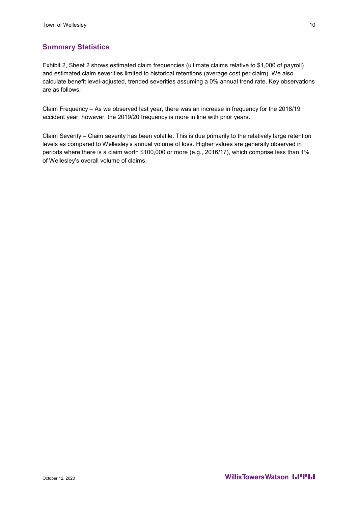### **Summary Statistics**

Exhibit 2, Sheet 2 shows estimated claim frequencies (ultimate claims relative to \$1,000 of payroll) and estimated claim severities limited to historical retentions (average cost per claim). We also calculate benefit level-adjusted, trended severities assuming a 0% annual trend rate. Key observations are as follows:

Claim Frequency – As we observed last year, there was an increase in frequency for the 2018/19 accident year; however, the 2019/20 frequency is more in line with prior years.

Claim Severity – Claim severity has been volatile. This is due primarily to the relatively large retention levels as compared to Wellesley's annual volume of loss. Higher values are generally observed in periods where there is a claim worth \$100,000 or more (e.g., 2016/17), which comprise less than 1% of Wellesley's overall volume of claims.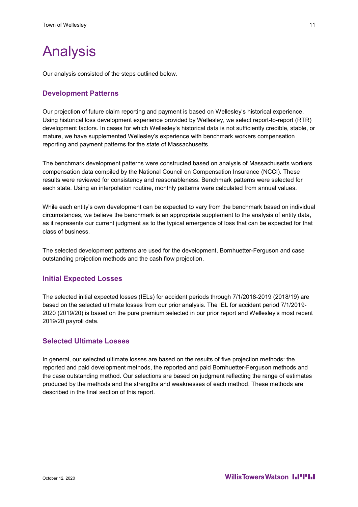## Analysis

Our analysis consisted of the steps outlined below.

#### **Development Patterns**

Our projection of future claim reporting and payment is based on Wellesley's historical experience. Using historical loss development experience provided by Wellesley, we select report-to-report (RTR) development factors. In cases for which Wellesley's historical data is not sufficiently credible, stable, or mature, we have supplemented Wellesley's experience with benchmark workers compensation reporting and payment patterns for the state of Massachusetts.

The benchmark development patterns were constructed based on analysis of Massachusetts workers compensation data compiled by the National Council on Compensation Insurance (NCCI). These results were reviewed for consistency and reasonableness. Benchmark patterns were selected for each state. Using an interpolation routine, monthly patterns were calculated from annual values.

While each entity's own development can be expected to vary from the benchmark based on individual circumstances, we believe the benchmark is an appropriate supplement to the analysis of entity data, as it represents our current judgment as to the typical emergence of loss that can be expected for that class of business.

The selected development patterns are used for the development, Bornhuetter-Ferguson and case outstanding projection methods and the cash flow projection.

#### **Initial Expected Losses**

The selected initial expected losses (IELs) for accident periods through 7/1/2018-2019 (2018/19) are based on the selected ultimate losses from our prior analysis. The IEL for accident period 7/1/2019- 2020 (2019/20) is based on the pure premium selected in our prior report and Wellesley's most recent 2019/20 payroll data.

#### **Selected Ultimate Losses**

In general, our selected ultimate losses are based on the results of five projection methods: the reported and paid development methods, the reported and paid Bornhuetter-Ferguson methods and the case outstanding method. Our selections are based on judgment reflecting the range of estimates produced by the methods and the strengths and weaknesses of each method. These methods are described in the final section of this report.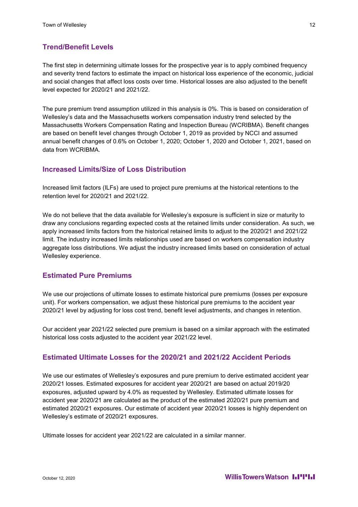### **Trend/Benefit Levels**

The first step in determining ultimate losses for the prospective year is to apply combined frequency and severity trend factors to estimate the impact on historical loss experience of the economic, judicial and social changes that affect loss costs over time. Historical losses are also adjusted to the benefit level expected for 2020/21 and 2021/22.

The pure premium trend assumption utilized in this analysis is 0%. This is based on consideration of Wellesley's data and the Massachusetts workers compensation industry trend selected by the Massachusetts Workers Compensation Rating and Inspection Bureau (WCRIBMA). Benefit changes are based on benefit level changes through October 1, 2019 as provided by NCCI and assumed annual benefit changes of 0.6% on October 1, 2020; October 1, 2020 and October 1, 2021, based on data from WCRIBMA.

#### **Increased Limits/Size of Loss Distribution**

Increased limit factors (ILFs) are used to project pure premiums at the historical retentions to the retention level for 2020/21 and 2021/22.

We do not believe that the data available for Wellesley's exposure is sufficient in size or maturity to draw any conclusions regarding expected costs at the retained limits under consideration. As such, we apply increased limits factors from the historical retained limits to adjust to the 2020/21 and 2021/22 limit. The industry increased limits relationships used are based on workers compensation industry aggregate loss distributions. We adjust the industry increased limits based on consideration of actual Wellesley experience.

#### **Estimated Pure Premiums**

We use our projections of ultimate losses to estimate historical pure premiums (losses per exposure unit). For workers compensation, we adjust these historical pure premiums to the accident year 2020/21 level by adjusting for loss cost trend, benefit level adjustments, and changes in retention.

Our accident year 2021/22 selected pure premium is based on a similar approach with the estimated historical loss costs adjusted to the accident year 2021/22 level.

#### **Estimated Ultimate Losses for the 2020/21 and 2021/22 Accident Periods**

We use our estimates of Wellesley's exposures and pure premium to derive estimated accident year 2020/21 losses. Estimated exposures for accident year 2020/21 are based on actual 2019/20 exposures, adjusted upward by 4.0% as requested by Wellesley. Estimated ultimate losses for accident year 2020/21 are calculated as the product of the estimated 2020/21 pure premium and estimated 2020/21 exposures. Our estimate of accident year 2020/21 losses is highly dependent on Wellesley's estimate of 2020/21 exposures.

Ultimate losses for accident year 2021/22 are calculated in a similar manner.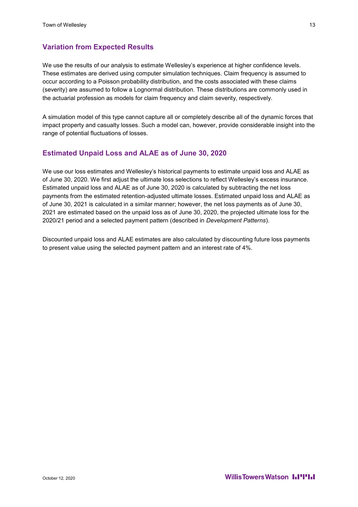### **Variation from Expected Results**

We use the results of our analysis to estimate Wellesley's experience at higher confidence levels. These estimates are derived using computer simulation techniques. Claim frequency is assumed to occur according to a Poisson probability distribution, and the costs associated with these claims (severity) are assumed to follow a Lognormal distribution. These distributions are commonly used in the actuarial profession as models for claim frequency and claim severity, respectively.

A simulation model of this type cannot capture all or completely describe all of the dynamic forces that impact property and casualty losses. Such a model can, however, provide considerable insight into the range of potential fluctuations of losses.

#### **Estimated Unpaid Loss and ALAE as of June 30, 2020**

We use our loss estimates and Wellesley's historical payments to estimate unpaid loss and ALAE as of June 30, 2020. We first adjust the ultimate loss selections to reflect Wellesley's excess insurance. Estimated unpaid loss and ALAE as of June 30, 2020 is calculated by subtracting the net loss payments from the estimated retention-adjusted ultimate losses. Estimated unpaid loss and ALAE as of June 30, 2021 is calculated in a similar manner; however, the net loss payments as of June 30, 2021 are estimated based on the unpaid loss as of June 30, 2020, the projected ultimate loss for the 2020/21 period and a selected payment pattern (described in *Development Patterns*).

Discounted unpaid loss and ALAE estimates are also calculated by discounting future loss payments to present value using the selected payment pattern and an interest rate of 4%.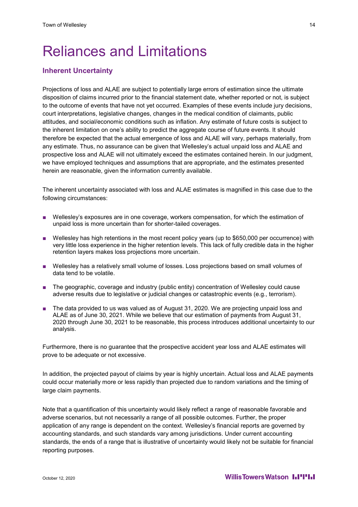## Reliances and Limitations

#### **Inherent Uncertainty**

Projections of loss and ALAE are subject to potentially large errors of estimation since the ultimate disposition of claims incurred prior to the financial statement date, whether reported or not, is subject to the outcome of events that have not yet occurred. Examples of these events include jury decisions, court interpretations, legislative changes, changes in the medical condition of claimants, public attitudes, and social/economic conditions such as inflation. Any estimate of future costs is subject to the inherent limitation on one's ability to predict the aggregate course of future events. It should therefore be expected that the actual emergence of loss and ALAE will vary, perhaps materially, from any estimate. Thus, no assurance can be given that Wellesley's actual unpaid loss and ALAE and prospective loss and ALAE will not ultimately exceed the estimates contained herein. In our judgment, we have employed techniques and assumptions that are appropriate, and the estimates presented herein are reasonable, given the information currently available.

The inherent uncertainty associated with loss and ALAE estimates is magnified in this case due to the following circumstances:

- Wellesley's exposures are in one coverage, workers compensation, for which the estimation of unpaid loss is more uncertain than for shorter-tailed coverages.
- Wellesley has high retentions in the most recent policy years (up to \$650,000 per occurrence) with very little loss experience in the higher retention levels. This lack of fully credible data in the higher retention layers makes loss projections more uncertain.
- Wellesley has a relatively small volume of losses. Loss projections based on small volumes of data tend to be volatile.
- The geographic, coverage and industry (public entity) concentration of Wellesley could cause adverse results due to legislative or judicial changes or catastrophic events (e.g., terrorism).
- The data provided to us was valued as of August 31, 2020. We are projecting unpaid loss and ALAE as of June 30, 2021. While we believe that our estimation of payments from August 31, 2020 through June 30, 2021 to be reasonable, this process introduces additional uncertainty to our analysis.

Furthermore, there is no guarantee that the prospective accident year loss and ALAE estimates will prove to be adequate or not excessive.

In addition, the projected payout of claims by year is highly uncertain. Actual loss and ALAE payments could occur materially more or less rapidly than projected due to random variations and the timing of large claim payments.

Note that a quantification of this uncertainty would likely reflect a range of reasonable favorable and adverse scenarios, but not necessarily a range of all possible outcomes. Further, the proper application of any range is dependent on the context. Wellesley's financial reports are governed by accounting standards, and such standards vary among jurisdictions. Under current accounting standards, the ends of a range that is illustrative of uncertainty would likely not be suitable for financial reporting purposes.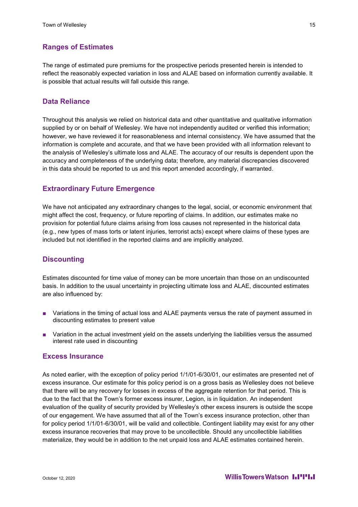#### **Ranges of Estimates**

The range of estimated pure premiums for the prospective periods presented herein is intended to reflect the reasonably expected variation in loss and ALAE based on information currently available. It is possible that actual results will fall outside this range.

#### **Data Reliance**

Throughout this analysis we relied on historical data and other quantitative and qualitative information supplied by or on behalf of Wellesley. We have not independently audited or verified this information; however, we have reviewed it for reasonableness and internal consistency. We have assumed that the information is complete and accurate, and that we have been provided with all information relevant to the analysis of Wellesley's ultimate loss and ALAE. The accuracy of our results is dependent upon the accuracy and completeness of the underlying data; therefore, any material discrepancies discovered in this data should be reported to us and this report amended accordingly, if warranted.

#### **Extraordinary Future Emergence**

We have not anticipated any extraordinary changes to the legal, social, or economic environment that might affect the cost, frequency, or future reporting of claims. In addition, our estimates make no provision for potential future claims arising from loss causes not represented in the historical data (e.g., new types of mass torts or latent injuries, terrorist acts) except where claims of these types are included but not identified in the reported claims and are implicitly analyzed.

#### **Discounting**

Estimates discounted for time value of money can be more uncertain than those on an undiscounted basis. In addition to the usual uncertainty in projecting ultimate loss and ALAE, discounted estimates are also influenced by:

- Variations in the timing of actual loss and ALAE payments versus the rate of payment assumed in discounting estimates to present value
- Variation in the actual investment yield on the assets underlying the liabilities versus the assumed interest rate used in discounting

#### **Excess Insurance**

As noted earlier, with the exception of policy period 1/1/01-6/30/01, our estimates are presented net of excess insurance. Our estimate for this policy period is on a gross basis as Wellesley does not believe that there will be any recovery for losses in excess of the aggregate retention for that period. This is due to the fact that the Town's former excess insurer, Legion, is in liquidation. An independent evaluation of the quality of security provided by Wellesley's other excess insurers is outside the scope of our engagement. We have assumed that all of the Town's excess insurance protection, other than for policy period 1/1/01-6/30/01, will be valid and collectible. Contingent liability may exist for any other excess insurance recoveries that may prove to be uncollectible. Should any uncollectible liabilities materialize, they would be in addition to the net unpaid loss and ALAE estimates contained herein.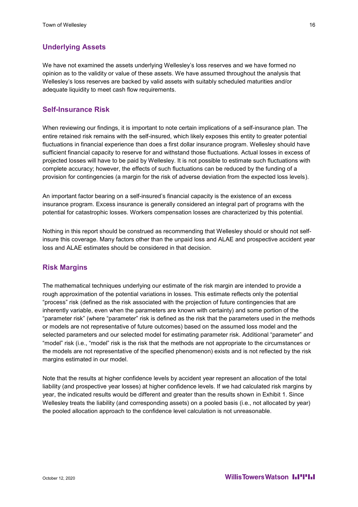### **Underlying Assets**

We have not examined the assets underlying Wellesley's loss reserves and we have formed no opinion as to the validity or value of these assets. We have assumed throughout the analysis that Wellesley's loss reserves are backed by valid assets with suitably scheduled maturities and/or adequate liquidity to meet cash flow requirements.

#### **Self-Insurance Risk**

When reviewing our findings, it is important to note certain implications of a self-insurance plan. The entire retained risk remains with the self-insured, which likely exposes this entity to greater potential fluctuations in financial experience than does a first dollar insurance program. Wellesley should have sufficient financial capacity to reserve for and withstand those fluctuations. Actual losses in excess of projected losses will have to be paid by Wellesley. It is not possible to estimate such fluctuations with complete accuracy; however, the effects of such fluctuations can be reduced by the funding of a provision for contingencies (a margin for the risk of adverse deviation from the expected loss levels).

An important factor bearing on a self-insured's financial capacity is the existence of an excess insurance program. Excess insurance is generally considered an integral part of programs with the potential for catastrophic losses. Workers compensation losses are characterized by this potential.

Nothing in this report should be construed as recommending that Wellesley should or should not selfinsure this coverage. Many factors other than the unpaid loss and ALAE and prospective accident year loss and ALAE estimates should be considered in that decision.

#### **Risk Margins**

The mathematical techniques underlying our estimate of the risk margin are intended to provide a rough approximation of the potential variations in losses. This estimate reflects only the potential "process" risk (defined as the risk associated with the projection of future contingencies that are inherently variable, even when the parameters are known with certainty) and some portion of the "parameter risk" (where "parameter" risk is defined as the risk that the parameters used in the methods or models are not representative of future outcomes) based on the assumed loss model and the selected parameters and our selected model for estimating parameter risk. Additional "parameter" and "model" risk (i.e., "model" risk is the risk that the methods are not appropriate to the circumstances or the models are not representative of the specified phenomenon) exists and is not reflected by the risk margins estimated in our model.

Note that the results at higher confidence levels by accident year represent an allocation of the total liability (and prospective year losses) at higher confidence levels. If we had calculated risk margins by year, the indicated results would be different and greater than the results shown in Exhibit 1. Since Wellesley treats the liability (and corresponding assets) on a pooled basis (i.e., not allocated by year) the pooled allocation approach to the confidence level calculation is not unreasonable.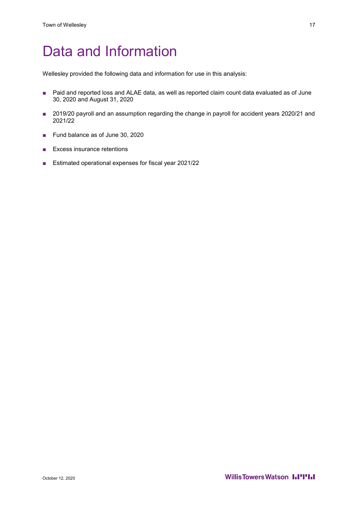# Data and Information

Wellesley provided the following data and information for use in this analysis:

- Paid and reported loss and ALAE data, as well as reported claim count data evaluated as of June 30, 2020 and August 31, 2020
- 2019/20 payroll and an assumption regarding the change in payroll for accident years 2020/21 and 2021/22
- Fund balance as of June 30, 2020
- Excess insurance retentions
- Estimated operational expenses for fiscal year 2021/22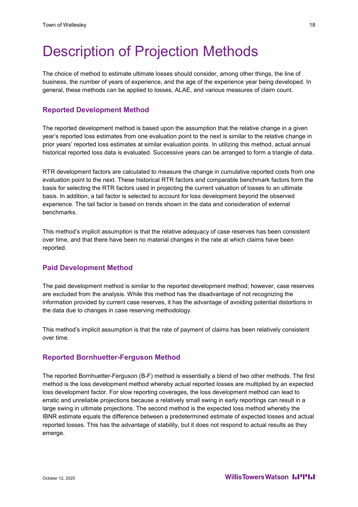## Description of Projection Methods

The choice of method to estimate ultimate losses should consider, among other things, the line of business, the number of years of experience, and the age of the experience year being developed. In general, these methods can be applied to losses, ALAE, and various measures of claim count.

#### **Reported Development Method**

The reported development method is based upon the assumption that the relative change in a given year's reported loss estimates from one evaluation point to the next is similar to the relative change in prior years' reported loss estimates at similar evaluation points. In utilizing this method, actual annual historical reported loss data is evaluated. Successive years can be arranged to form a triangle of data.

RTR development factors are calculated to measure the change in cumulative reported costs from one evaluation point to the next. These historical RTR factors and comparable benchmark factors form the basis for selecting the RTR factors used in projecting the current valuation of losses to an ultimate basis. In addition, a tail factor is selected to account for loss development beyond the observed experience. The tail factor is based on trends shown in the data and consideration of external benchmarks.

This method's implicit assumption is that the relative adequacy of case reserves has been consistent over time, and that there have been no material changes in the rate at which claims have been reported.

#### **Paid Development Method**

The paid development method is similar to the reported development method; however, case reserves are excluded from the analysis. While this method has the disadvantage of not recognizing the information provided by current case reserves, it has the advantage of avoiding potential distortions in the data due to changes in case reserving methodology.

This method's implicit assumption is that the rate of payment of claims has been relatively consistent over time.

#### **Reported Bornhuetter-Ferguson Method**

The reported Bornhuetter-Ferguson (B-F) method is essentially a blend of two other methods. The first method is the loss development method whereby actual reported losses are multiplied by an expected loss development factor. For slow reporting coverages, the loss development method can lead to erratic and unreliable projections because a relatively small swing in early reportings can result in a large swing in ultimate projections. The second method is the expected loss method whereby the IBNR estimate equals the difference between a predetermined estimate of expected losses and actual reported losses. This has the advantage of stability, but it does not respond to actual results as they emerge.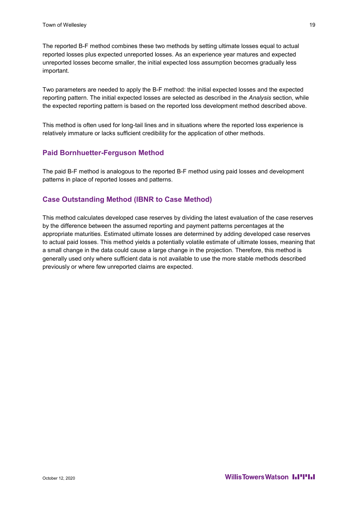The reported B-F method combines these two methods by setting ultimate losses equal to actual reported losses plus expected unreported losses. As an experience year matures and expected unreported losses become smaller, the initial expected loss assumption becomes gradually less important.

Two parameters are needed to apply the B-F method: the initial expected losses and the expected reporting pattern. The initial expected losses are selected as described in the *Analysis* section, while the expected reporting pattern is based on the reported loss development method described above.

This method is often used for long-tail lines and in situations where the reported loss experience is relatively immature or lacks sufficient credibility for the application of other methods.

#### **Paid Bornhuetter-Ferguson Method**

The paid B-F method is analogous to the reported B-F method using paid losses and development patterns in place of reported losses and patterns.

### **Case Outstanding Method (IBNR to Case Method)**

This method calculates developed case reserves by dividing the latest evaluation of the case reserves by the difference between the assumed reporting and payment patterns percentages at the appropriate maturities. Estimated ultimate losses are determined by adding developed case reserves to actual paid losses. This method yields a potentially volatile estimate of ultimate losses, meaning that a small change in the data could cause a large change in the projection. Therefore, this method is generally used only where sufficient data is not available to use the more stable methods described previously or where few unreported claims are expected.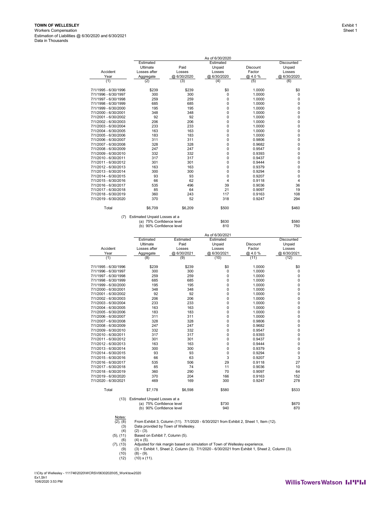#### **TOWN OF WELLESLEY** Workers Compensation Estimation of Liabilities @ 6/30/2020 and 6/30/2021 Data in Thousands

 $\overline{\phantom{0}}$ 

|                      |                              |             | As of 6/30/2020 |          |             |
|----------------------|------------------------------|-------------|-----------------|----------|-------------|
|                      | Estimated                    |             | Estimated       |          | Discounted  |
|                      | Ultimate                     | Paid        | Unpaid          | Discount | Unpaid      |
| Accident             | Losses after                 | Losses      | Losses          | Factor   | Losses      |
| Year                 | Aggregate                    | @ 6/30/2020 | @ 6/30/2020     | @ 4.0%   | @ 6/30/2020 |
| (1)                  | (2)                          | (3)         | (4)             | (5)      | (6)         |
| 7/1/1995 - 6/30/1996 | \$239                        | \$239       | \$0             | 1.0000   | \$0         |
| 7/1/1996 - 6/30/1997 | 300                          | 300         | 0               | 1.0000   | 0           |
| 7/1/1997 - 6/30/1998 | 259                          | 259         | $\mathbf 0$     | 1.0000   | 0           |
| 7/1/1998 - 6/30/1999 | 685                          | 685         | 0               | 1.0000   | 0           |
| 7/1/1999 - 6/30/2000 | 195                          | 195         | 0               | 1.0000   | 0           |
| 7/1/2000 - 6/30/2001 | 348                          | 348         | $\mathbf 0$     | 1.0000   | 0           |
| 7/1/2001 - 6/30/2002 | 92                           | 92          | 0               | 1.0000   | 0           |
| 7/1/2002 - 6/30/2003 | 206                          | 206         | 0               | 1.0000   | 0           |
| 7/1/2003 - 6/30/2004 | 233                          | 233         | $\mathbf 0$     | 1.0000   | 0           |
| 7/1/2004 - 6/30/2005 | 163                          | 163         | 0               | 1.0000   | 0           |
| 7/1/2005 - 6/30/2006 | 183                          | 183         | 0               | 1.0000   | 0           |
| 7/1/2006 - 6/30/2007 | 311                          | 311         | $\mathbf 0$     | 0.9806   | 0           |
| 7/1/2007 - 6/30/2008 | 328                          | 328         | 0               | 0.9682   | 0           |
| 7/1/2008 - 6/30/2009 | 247                          | 247         | 0               | 0.9547   | 0           |
| 7/1/2009 - 6/30/2010 | 332                          | 332         | 0               | 0.9393   | 0           |
| 7/1/2010 - 6/30/2011 | 317                          | 317         | 0               | 0.9437   | 0           |
| 7/1/2011 - 6/30/2012 | 301                          | 301         | 0               | 0.9444   | 0           |
| 7/1/2012 - 6/30/2013 | 163                          | 163         | 0               | 0.9379   | 0           |
| 7/1/2013 - 6/30/2014 | 300                          | 300         | $\mathbf 0$     | 0.9294   | 0           |
| 7/1/2014 - 6/30/2015 | 93                           | 93          | $\mathbf 0$     | 0.9207   | 0           |
| 7/1/2015 - 6/30/2016 | 66                           | 62          | 4               | 0.9118   | 4           |
| 7/1/2016 - 6/30/2017 | 535                          | 496         | 39              | 0.9036   | 36          |
| 7/1/2017 - 6/30/2018 | 85                           | 64          | 21              | 0.9097   | 19          |
| 7/1/2018 - 6/30/2019 | 360                          | 243         | 117             | 0.9163   | 108         |
| 7/1/2019 - 6/30/2020 | 370                          | 52          | 318             | 0.9247   | 294         |
| Total                | \$6,709                      | \$6,209     | \$500           |          | \$460       |
| (7)                  | Estimated Unpaid Losses at a |             |                 |          |             |
|                      | (a) 75% Confidence level     |             | \$630           |          | \$580       |
|                      | (b) 90% Confidence level     |             | 810             |          | 750         |
|                      |                              |             | As of 6/30/2021 |          |             |
|                      | Estimated                    | Estimated   | Estimated       |          | Discounted  |
|                      | Ultimate                     | Paid        | Unpaid          | Discount | Unpaid      |
| Accident             | Losses after                 | Losses      | Losses          | Factor   | Losses      |
| Year                 | Aggregate                    | @ 6/30/2021 | @ 6/30/2021     | @ 4.0%   | @ 6/30/2021 |
| (1)                  | (8)                          | (9)         | (10)            | (11)     | (12)        |
| 7/1/1995 - 6/30/1996 | \$239                        | \$239       | \$0             | 1.0000   | \$0         |
| 7/1/1996 - 6/30/1997 | 300                          | 300         | 0               | 1.0000   | 0           |
| 7/1/1997 - 6/30/1998 | 259                          | 259         | 0               | 1.0000   | 0           |
| 7/1/1998 - 6/30/1999 | 685                          | 685         | $\mathbf 0$     | 1.0000   | $\mathbf 0$ |
| 7/1/1999 - 6/30/2000 | 195                          | 195         | 0               | 1.0000   | 0           |
| 7/1/2000 - 6/30/2001 | 348                          | 348         | $\mathbf 0$     | 1.0000   | 0           |
| 7/1/2001 - 6/30/2002 | 92                           | 92          | $\mathbf 0$     | 1.0000   | $\Omega$    |

|                      |                              |             | <b>AS OF URSULLER</b> |                 |             |
|----------------------|------------------------------|-------------|-----------------------|-----------------|-------------|
|                      | Estimated                    | Estimated   | Estimated             |                 | Discounted  |
|                      | Ultimate                     | Paid        | Unpaid                | <b>Discount</b> | Unpaid      |
| Accident             | Losses after                 | Losses      | Losses                | Factor          | Losses      |
| Year                 | Aggregate                    | @ 6/30/2021 | @ 6/30/2021           | @ 4.0 %         | @ 6/30/2021 |
| (1)                  | (8)                          | (9)         | (10)                  | (11)            | (12)        |
| 7/1/1995 - 6/30/1996 | \$239                        | \$239       | \$0                   | 1.0000          | \$0         |
| 7/1/1996 - 6/30/1997 | 300                          | 300         | $\mathbf 0$           | 1.0000          | 0           |
| 7/1/1997 - 6/30/1998 | 259                          | 259         | 0                     | 1.0000          | 0           |
| 7/1/1998 - 6/30/1999 | 685                          | 685         | 0                     | 1.0000          | 0           |
| 7/1/1999 - 6/30/2000 | 195                          | 195         | 0                     | 1.0000          | 0           |
| 7/1/2000 - 6/30/2001 | 348                          | 348         | 0                     | 1.0000          | 0           |
| 7/1/2001 - 6/30/2002 | 92                           | 92          | 0                     | 1.0000          | 0           |
| 7/1/2002 - 6/30/2003 | 206                          | 206         | 0                     | 1.0000          | 0           |
| 7/1/2003 - 6/30/2004 | 233                          | 233         | 0                     | 1.0000          | 0           |
| 7/1/2004 - 6/30/2005 | 163                          | 163         | 0                     | 1.0000          | $\pmb{0}$   |
| 7/1/2005 - 6/30/2006 | 183                          | 183         | 0                     | 1.0000          | 0           |
| 7/1/2006 - 6/30/2007 | 311                          | 311         | 0                     | 1.0000          | 0           |
| 7/1/2007 - 6/30/2008 | 328                          | 328         | 0                     | 0.9806          | 0           |
| 7/1/2008 - 6/30/2009 | 247                          | 247         | 0                     | 0.9682          | 0           |
| 7/1/2009 - 6/30/2010 | 332                          | 332         | 0                     | 0.9547          | 0           |
| 7/1/2010 - 6/30/2011 | 317                          | 317         | 0                     | 0.9393          | 0           |
| 7/1/2011 - 6/30/2012 | 301                          | 301         | 0                     | 0.9437          | 0           |
| 7/1/2012 - 6/30/2013 | 163                          | 163         | 0                     | 0.9444          | 0           |
| 7/1/2013 - 6/30/2014 | 300                          | 300         | 0                     | 0.9379          | 0           |
| 7/1/2014 - 6/30/2015 | 93                           | 93          | 0                     | 0.9294          | 0           |
| 7/1/2015 - 6/30/2016 | 66                           | 63          | 3                     | 0.9207          | 3           |
| 7/1/2016 - 6/30/2017 | 535                          | 506         | 29                    | 0.9118          | 27          |
| 7/1/2017 - 6/30/2018 | 85                           | 74          | 11                    | 0.9036          | 10          |
| 7/1/2018 - 6/30/2019 | 360                          | 290         | 70                    | 0.9097          | 64          |
| 7/1/2019 - 6/30/2020 | 370                          | 204         | 166                   | 0.9163          | 152         |
| 7/1/2020 - 6/30/2021 | 469                          | 169         | 300                   | 0.9247          | 278         |
| Total                | \$7,178                      | \$6,598     | \$580                 |                 | \$533       |
| (13)                 | Estimated Unpaid Losses at a |             |                       |                 |             |
|                      | (a) 75% Confidence level     |             | \$730                 |                 | \$670       |
|                      | (b) 90% Confidence level     |             | 940                   |                 | 870         |

(2), (8) From Exhibit 3, Column (11). 7/1/2020 - 6/30/2021 from Exhibit 2, Sheet 1, Item (12). (3) Data provided by Town of Wellesley. (4) (2) - (3).

Notes:<br>(2), (8)<br>(3)<br>(4)

(5), (11) Based on Exhibit 7, Column (5).<br>
(6) (4) x (5).<br>
(7), (13) Adjusted for risk margin based on simulation of Town of Wellesley experience.<br>
(7), (13) Adjusted for risk margin based on simulation of Town of Wellesle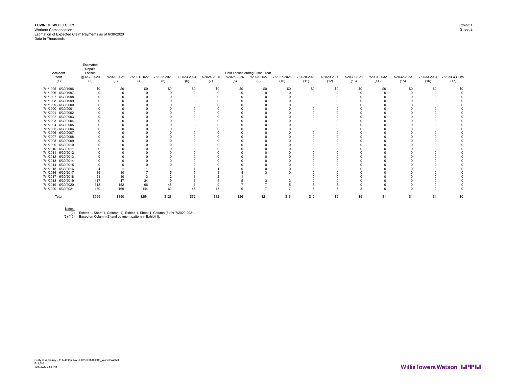Workers Compensation Estimation of Expected Claim Payments as of 6/30/2020 Data in Thousands

| Accident             | Estimated<br>Unpaid<br>Losses |             |             |             |             |             |             | Paid Losses during Fiscal Year |             |             |             |             |             |             |             |                |
|----------------------|-------------------------------|-------------|-------------|-------------|-------------|-------------|-------------|--------------------------------|-------------|-------------|-------------|-------------|-------------|-------------|-------------|----------------|
| Year                 | @ 6/30/2020                   | 7/2020-2021 | 7/2021-2022 | 7/2022-2023 | 7/2023-2024 | 7/2024-2025 | 7/2025-2026 | 7/2026-2027                    | 7/2027-2028 | 7/2028-2029 | 7/2029-2030 | 7/2030-2031 | 7/2031-2032 | 7/2032-2033 | 7/2033-2034 | 7/2034 & Subs. |
| (1)                  | (2)                           | (3)         | (4)         | (5)         | (6)         | (7)         | (8)         | (9)                            | (10)        | (11)        | (12)        | (13)        | (14)        | (15)        | (16)        | (17)           |
| 7/1/1995 - 6/30/1996 | \$0                           | \$0         | \$0         | \$0         | \$0         | \$0         | \$0         | \$0                            | \$0         | \$0         | \$0         | \$0         | \$0         | \$0         | \$0         | \$0            |
| 7/1/1996 - 6/30/1997 |                               |             |             |             |             |             |             |                                |             |             |             |             |             |             |             |                |
| 7/1/1997 - 6/30/1998 |                               |             |             |             |             |             |             |                                |             |             |             |             |             |             |             |                |
| 7/1/1998 - 6/30/1999 |                               |             |             |             |             |             |             |                                |             |             |             |             |             |             |             |                |
| 7/1/1999 - 6/30/2000 |                               |             |             |             |             |             |             |                                |             |             |             |             |             |             |             |                |
| 7/1/2000 - 6/30/2001 |                               |             |             |             |             |             |             |                                |             |             |             |             |             |             |             |                |
| 7/1/2001 - 6/30/2002 |                               |             |             |             |             |             |             |                                |             |             |             |             |             |             |             |                |
| 7/1/2002 - 6/30/2003 |                               |             |             |             |             |             |             |                                |             |             |             |             |             |             |             |                |
| 7/1/2003 - 6/30/2004 |                               |             |             |             |             |             |             |                                |             |             |             |             |             |             |             |                |
| 7/1/2004 - 6/30/2005 |                               |             |             |             |             |             |             |                                |             |             |             |             |             |             |             |                |
| 7/1/2005 - 6/30/2006 |                               |             |             |             |             |             |             |                                |             |             |             |             |             |             |             |                |
| 7/1/2006 - 6/30/2007 |                               |             |             |             |             |             |             |                                |             |             |             |             |             |             |             |                |
| 7/1/2007 - 6/30/2008 |                               |             |             |             |             |             |             |                                |             |             |             |             |             |             |             |                |
| 7/1/2008 - 6/30/2009 |                               |             |             |             |             |             |             |                                |             |             |             |             |             |             |             |                |
| 7/1/2009 - 6/30/2010 |                               |             |             |             |             |             |             |                                |             |             |             |             |             |             |             |                |
| 7/1/2010 - 6/30/2011 |                               |             |             |             |             |             |             |                                |             |             |             |             |             |             |             |                |
| 7/1/2011 - 6/30/2012 |                               |             |             |             |             |             |             |                                |             |             |             |             |             |             |             |                |
| 7/1/2012 - 6/30/2013 |                               |             |             |             |             |             |             |                                |             |             |             |             |             |             |             |                |
| 7/1/2013 - 6/30/2014 |                               |             |             |             |             |             |             |                                |             |             |             |             |             |             |             |                |
| 7/1/2014 - 6/30/2015 |                               |             |             |             |             |             |             |                                |             |             |             |             |             |             |             |                |
| 7/1/2015 - 6/30/2016 |                               |             |             |             |             |             |             |                                |             |             |             |             |             |             |             |                |
| 7/1/2016 - 6/30/2017 | 39                            | 10          |             |             |             |             |             |                                |             |             |             |             |             |             |             |                |
| 7/1/2017 - 6/30/2018 | 21                            | 10          |             |             |             |             |             |                                |             |             |             |             |             |             |             |                |
| 7/1/2018 - 6/30/2019 | 117                           | 47          | 34          |             |             |             |             |                                |             |             |             |             |             |             |             |                |
| 7/1/2019 - 6/30/2020 | 318                           | 152         | 66          | 48          | 13          |             |             |                                |             |             |             |             |             |             |             |                |
| 7/1/2020 - 6/30/2021 | 469                           | 169         | 144         | 63          | 45          | 13          |             |                                |             |             |             |             |             |             |             |                |
| Total                | \$969                         | \$390       | \$254       | \$128       | \$72        | \$32        | \$26        | \$21                           | \$16        | \$12        | \$9         | \$5         | \$1         | \$1         | \$1         | \$0            |



Notes: (2) Exhibit 1, Sheet 1, Column (4); Exhibit 1, Sheet 1, Column (8) for 7/2020-2021. (3)-(15) Based on Column (2) and payment pattern in Exhibit 8.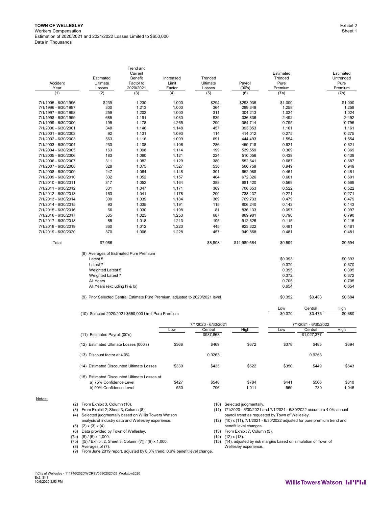| Accident<br>Year                             | Estimated<br>Ultimate<br>Losses                                              | Trend and<br>Current<br>Benefit<br>Factor to<br>2020/2021                     | Increased<br>Limit<br>Factor | Trended<br>Ultimate<br>Losses | Payroll<br>(00's)                                                                                            | Estimated<br>Trended<br>Pure<br>Premium |                      | Estimated<br>Untrended<br>Pure<br>Premium |
|----------------------------------------------|------------------------------------------------------------------------------|-------------------------------------------------------------------------------|------------------------------|-------------------------------|--------------------------------------------------------------------------------------------------------------|-----------------------------------------|----------------------|-------------------------------------------|
| (1)                                          | (2)                                                                          | (3)                                                                           | (4)                          | (5)                           | (6)                                                                                                          | (7a)                                    |                      | (7b)                                      |
| 7/1/1995 - 6/30/1996<br>7/1/1996 - 6/30/1997 | \$239<br>300                                                                 | 1.230<br>1.213                                                                | 1.000<br>1.000               | \$294<br>364                  | \$293,935<br>289,349                                                                                         | \$1.000<br>1.258                        |                      | \$1.000<br>1.258                          |
| 7/1/1997 - 6/30/1998                         | 259                                                                          | 1.202                                                                         | 1.000                        | 311                           | 304,213                                                                                                      | 1.024                                   |                      | 1.024                                     |
| 7/1/1998 - 6/30/1999                         | 685                                                                          | 1.191                                                                         | 1.030                        | 839                           | 336,836                                                                                                      | 2.492                                   |                      | 2.492                                     |
| 7/1/1999 - 6/30/2000                         | 195                                                                          | 1.178                                                                         | 1.265                        | 290                           | 364,714                                                                                                      | 0.795                                   |                      | 0.795                                     |
| 7/1/2000 - 6/30/2001                         | 348                                                                          | 1.146                                                                         | 1.148                        | 457                           | 393,853                                                                                                      | 1.161                                   |                      | 1.161                                     |
| 7/1/2001 - 6/30/2002                         | 92                                                                           | 1.131                                                                         | 1.093                        | 114                           | 414,012                                                                                                      | 0.275                                   |                      | 0.275                                     |
| 7/1/2002 - 6/30/2003                         | 563                                                                          | 1.116                                                                         | 1.099                        | 691                           | 444,493                                                                                                      | 1.554                                   |                      | 1.554                                     |
| 7/1/2003 - 6/30/2004                         | 233                                                                          | 1.108                                                                         | 1.106                        | 286                           | 459,718                                                                                                      | 0.621                                   |                      | 0.621                                     |
| 7/1/2004 - 6/30/2005                         | 163                                                                          | 1.098                                                                         | 1.114                        | 199                           | 539,559                                                                                                      | 0.369                                   |                      | 0.369                                     |
| 7/1/2005 - 6/30/2006                         | 183                                                                          | 1.090                                                                         | 1.121                        | 224                           | 510,056                                                                                                      | 0.439                                   |                      | 0.439                                     |
| 7/1/2006 - 6/30/2007                         | 311                                                                          | 1.082                                                                         | 1.129                        | 380                           | 552,641                                                                                                      | 0.687                                   |                      | 0.687                                     |
| 7/1/2007 - 6/30/2008                         | 328                                                                          | 1.075                                                                         | 1.527                        | 538                           | 566,759                                                                                                      | 0.949                                   |                      | 0.949                                     |
| 7/1/2008 - 6/30/2009                         | 247                                                                          | 1.064                                                                         | 1.148                        | 301                           | 652,988                                                                                                      | 0.461                                   |                      | 0.461                                     |
| 7/1/2009 - 6/30/2010                         | 332                                                                          | 1.052                                                                         | 1.157                        | 404                           | 672,326                                                                                                      | 0.601                                   |                      | 0.601                                     |
| 7/1/2010 - 6/30/2011                         | 317                                                                          | 1.052                                                                         | 1.164                        | 388                           | 681,420                                                                                                      | 0.569                                   |                      | 0.569                                     |
| 7/1/2011 - 6/30/2012                         | 301                                                                          | 1.047                                                                         | 1.171                        | 369                           | 706,653                                                                                                      | 0.522                                   |                      | 0.522                                     |
| 7/1/2012 - 6/30/2013                         | 163                                                                          | 1.041                                                                         | 1.178                        | 200                           | 738,137                                                                                                      | 0.271                                   |                      | 0.271                                     |
| 7/1/2013 - 6/30/2014                         | 300                                                                          | 1.039                                                                         | 1.184                        | 369                           | 769,733                                                                                                      | 0.479                                   |                      | 0.479                                     |
| 7/1/2014 - 6/30/2015                         | 93                                                                           | 1.035                                                                         | 1.191                        | 115                           | 806,240                                                                                                      | 0.143                                   |                      | 0.143                                     |
| 7/1/2015 - 6/30/2016                         | 66                                                                           | 1.030                                                                         | 1.198                        | 81                            | 836,133                                                                                                      | 0.097                                   |                      | 0.097                                     |
| 7/1/2016 - 6/30/2017                         | 535                                                                          | 1.025                                                                         | 1.253                        | 687                           | 869,981                                                                                                      | 0.790                                   |                      | 0.790                                     |
| 7/1/2017 - 6/30/2018                         | 85                                                                           | 1.018                                                                         | 1.213                        | 105                           | 912,626                                                                                                      | 0.115                                   |                      | 0.115                                     |
| 7/1/2018 - 6/30/2019                         | 360                                                                          | 1.012                                                                         | 1.220                        | 445                           | 923,322                                                                                                      | 0.481                                   |                      | 0.481                                     |
| 7/1/2019 - 6/30/2020                         | 370                                                                          | 1.006                                                                         | 1.228                        | 457                           | 949,868                                                                                                      | 0.481                                   |                      | 0.481                                     |
| Total                                        | \$7,066                                                                      |                                                                               |                              | \$8,908                       | \$14,989,564                                                                                                 | \$0.594                                 |                      | \$0.594                                   |
|                                              | (8) Averages of Estimated Pure Premium<br>Latest 5                           |                                                                               |                              |                               |                                                                                                              | \$0.393                                 |                      | \$0.393                                   |
|                                              | Latest 7                                                                     |                                                                               |                              |                               |                                                                                                              | 0.370                                   |                      | 0.370                                     |
|                                              | Weighted Latest 5                                                            |                                                                               |                              |                               |                                                                                                              | 0.395                                   |                      | 0.395                                     |
|                                              | <b>Weighted Latest 7</b>                                                     |                                                                               |                              |                               |                                                                                                              | 0.372                                   |                      | 0.372                                     |
|                                              | All Years                                                                    |                                                                               |                              |                               |                                                                                                              | 0.705                                   |                      | 0.705                                     |
|                                              | All Years (excluding hi & lo)                                                |                                                                               |                              |                               |                                                                                                              | 0.654                                   |                      | 0.654                                     |
|                                              |                                                                              | (9) Prior Selected Central Estimate Pure Premium, adjusted to 2020/2021 level |                              |                               |                                                                                                              | \$0.352                                 | \$0.483              | \$0.684                                   |
|                                              |                                                                              |                                                                               |                              |                               |                                                                                                              | Low                                     | Central              | High                                      |
|                                              |                                                                              | (10) Selected 2020/2021 \$650,000 Limit Pure Premium                          |                              |                               |                                                                                                              | \$0.370                                 | \$0.475              | \$0.680                                   |
|                                              |                                                                              |                                                                               |                              | 7/1/2020 - 6/30/2021          |                                                                                                              |                                         | 7/1/2021 - 6/30/2022 |                                           |
|                                              |                                                                              |                                                                               | Low                          | Central                       | High                                                                                                         | Low                                     | Central              | High                                      |
|                                              | (11) Estimated Payroll (00's)                                                |                                                                               |                              | \$987,863                     |                                                                                                              |                                         | \$1,027,377          |                                           |
|                                              | (12) Estimated Ultimate Losses (000's)                                       |                                                                               | \$366                        | \$469                         | \$672                                                                                                        | \$378                                   | \$485                | \$694                                     |
|                                              | (13) Discount factor at 4.0%                                                 |                                                                               |                              | 0.9263                        |                                                                                                              |                                         | 0.9263               |                                           |
|                                              | (14) Estimated Discounted Ultimate Losses                                    |                                                                               | \$339                        | \$435                         | \$622                                                                                                        | \$350                                   | \$449                | \$643                                     |
|                                              |                                                                              | (15) Estimated Discounted Ultimate Losses at                                  |                              |                               |                                                                                                              |                                         |                      |                                           |
|                                              | a) 75% Confidence Level<br>b) 90% Confidence Level                           |                                                                               | \$427<br>550                 | \$548<br>706                  | \$784<br>1,011                                                                                               | \$441<br>569                            | \$566<br>730         | \$810<br>1,045                            |
|                                              |                                                                              |                                                                               |                              |                               |                                                                                                              |                                         |                      |                                           |
| Notes:                                       |                                                                              |                                                                               |                              |                               |                                                                                                              |                                         |                      |                                           |
|                                              | (2) From Exhibit 3, Column (10).<br>(3) From Exhibit 2, Sheet 3, Column (8). |                                                                               |                              |                               | (10) Selected judgmentally.<br>$(11)$ $7/1/2020 - 6/30/2021$ and $7/1/2021 - 6/30/2022$ assume a 4.0% annual |                                         |                      |                                           |
|                                              | (4) Selected judgmentally based on Willis Towers Watson                      |                                                                               |                              |                               | payroll trend as requested by Town of Wellesley.                                                             |                                         |                      |                                           |
|                                              |                                                                              | analysis of industry data and Wellesley experience.                           |                              |                               | (12) (10) x (11), 7/1/2021 - 6/30/2022 adjusted for pure premium trend and                                   |                                         |                      |                                           |
|                                              | $(5)$ $(2)$ x $(3)$ x $(4)$ .                                                |                                                                               |                              |                               | benefit level changes.                                                                                       |                                         |                      |                                           |

- (6) Data provided by Town of Wellesley. (13) From Exhibit 7, Column (5).
- 
- (7a) (5) / (6) x 1,000. (14) (12) x (13). (14)  $(3) / (3) / (5) \times 1,000$ .<br>(8)  $(5) /$  Exhibit 2, Sheet 3, Column (7)] / (6) x 1,000.<br>(8) Averages of (7).
- 
- (13) From Exhibit 7, Column (3).<br>
(14) (12) x (13).<br>
(15) (14), adjusted by risk margins based on simulation of Town of Wellesley experience. (9) From June 2019 report, adjusted by 0.0% trend, 0.6% benefit level change.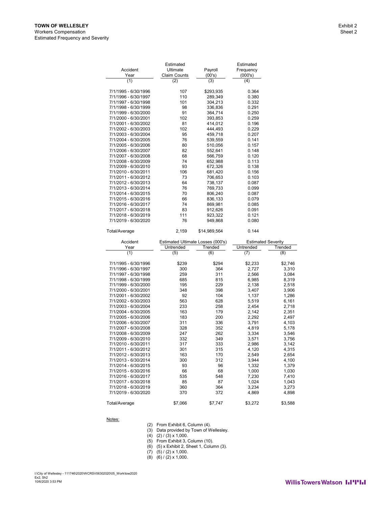|                      | Estimated                         |              | Estimated                              |                |
|----------------------|-----------------------------------|--------------|----------------------------------------|----------------|
| Accident             | Ultimate                          | Payroll      | Frequency                              |                |
| Year                 | <b>Claim Counts</b>               | (00's)       | (000's)                                |                |
| (1)                  | (2)                               | (3)          | (4)                                    |                |
| 7/1/1995 - 6/30/1996 | 107                               | \$293,935    | 0.364                                  |                |
| 7/1/1996 - 6/30/1997 | 110                               | 289,349      | 0.380                                  |                |
| 7/1/1997 - 6/30/1998 | 101                               | 304,213      | 0.332                                  |                |
| 7/1/1998 - 6/30/1999 | 98                                | 336,836      | 0.291                                  |                |
| 7/1/1999 - 6/30/2000 | 91                                | 364,714      | 0.250                                  |                |
| 7/1/2000 - 6/30/2001 | 102                               | 393,853      | 0.259                                  |                |
| 7/1/2001 - 6/30/2002 | 81                                | 414,012      | 0.196                                  |                |
| 7/1/2002 - 6/30/2003 | 102                               | 444,493      | 0.229                                  |                |
|                      |                                   |              |                                        |                |
| 7/1/2003 - 6/30/2004 | 95                                | 459,718      | 0.207                                  |                |
| 7/1/2004 - 6/30/2005 | 76                                | 539,559      | 0.141                                  |                |
| 7/1/2005 - 6/30/2006 | 80                                | 510,056      | 0.157                                  |                |
| 7/1/2006 - 6/30/2007 | 82                                | 552,641      | 0.148                                  |                |
| 7/1/2007 - 6/30/2008 | 68                                | 566,759      | 0.120                                  |                |
| 7/1/2008 - 6/30/2009 | 74                                | 652,988      | 0.113                                  |                |
| 7/1/2009 - 6/30/2010 | 93                                | 672,326      | 0.138                                  |                |
| 7/1/2010 - 6/30/2011 | 106                               | 681,420      | 0.156                                  |                |
| 7/1/2011 - 6/30/2012 | 73                                | 706,653      | 0.103                                  |                |
| 7/1/2012 - 6/30/2013 | 64                                | 738,137      | 0.087                                  |                |
| 7/1/2013 - 6/30/2014 | 76                                | 769,733      | 0.099                                  |                |
| 7/1/2014 - 6/30/2015 | 70                                | 806,240      | 0.087                                  |                |
| 7/1/2015 - 6/30/2016 | 66                                | 836,133      | 0.079                                  |                |
| 7/1/2016 - 6/30/2017 | 74                                | 869,981      | 0.085                                  |                |
| 7/1/2017 - 6/30/2018 | 83                                | 912,626      | 0.091                                  |                |
| 7/1/2018 - 6/30/2019 | 111                               |              | 0.121                                  |                |
|                      |                                   | 923,322      |                                        |                |
| 7/1/2019 - 6/30/2020 | 76                                | 949,868      | 0.080                                  |                |
| Total/Average        | 2,159                             | \$14,989,564 | 0.144                                  |                |
|                      |                                   |              |                                        |                |
| Accident             |                                   |              |                                        |                |
|                      | Estimated Ultimate Losses (000's) | Trended      | <b>Estimated Severity</b><br>Untrended |                |
| Year<br>(1)          | Untrended<br>(5)                  | (6)          | (7)                                    | Trended<br>(8) |
|                      |                                   |              |                                        |                |
| 7/1/1995 - 6/30/1996 | \$239                             | \$294        | \$2,233                                | \$2,746        |
| 7/1/1996 - 6/30/1997 | 300                               | 364          | 2,727                                  | 3,310          |
| 7/1/1997 - 6/30/1998 | 259                               | 311          | 2,566                                  | 3,084          |
| 7/1/1998 - 6/30/1999 | 685                               | 815          | 6,985                                  | 8,319          |
| 7/1/1999 - 6/30/2000 | 195                               | 229          | 2,138                                  | 2,518          |
| 7/1/2000 - 6/30/2001 | 348                               | 398          | 3,407                                  | 3,906          |
| 7/1/2001 - 6/30/2002 | 92                                | 104          | 1,137                                  | 1,286          |
| 7/1/2002 - 6/30/2003 | 563                               | 628          | 5,519                                  | 6,161          |
| 7/1/2003 - 6/30/2004 | 233                               | 258          | 2,454                                  | 2,718          |
| 7/1/2004 - 6/30/2005 | 163                               | 179          | 2,142                                  |                |
|                      |                                   |              |                                        | 2,351          |
| 7/1/2005 - 6/30/2006 | 183                               | 200          | 2,292                                  | 2,497          |
| 7/1/2006 - 6/30/2007 | 311                               | 336          | 3,791                                  | 4,103          |
| 7/1/2007 - 6/30/2008 | 328                               | 352          | 4,819                                  | 5,178          |
| 7/1/2008 - 6/30/2009 | 247                               | 262          | 3,334                                  | 3,546          |
| 7/1/2009 - 6/30/2010 | 332                               | 349          | 3,571                                  | 3,756          |
| 7/1/2010 - 6/30/2011 | 317                               | 333          | 2,986                                  | 3,142          |
| 7/1/2011 - 6/30/2012 | 301                               | 315          | 4,120                                  | 4,315          |
| 7/1/2012 - 6/30/2013 | 163                               | 170          | 2,549                                  | 2,654          |
| 7/1/2013 - 6/30/2014 | 300                               | 312          | 3,944                                  | 4,100          |
| 7/1/2014 - 6/30/2015 | 93                                | 96           | 1,332                                  | 1,379          |
| 7/1/2015 - 6/30/2016 | 66                                | 68           | 1,000                                  | 1,030          |
| 7/1/2016 - 6/30/2017 | 535                               | 548          | 7,230                                  | 7,410          |
| 7/1/2017 - 6/30/2018 | 85                                | 87           | 1,024                                  | 1,043          |
| 7/1/2018 - 6/30/2019 | 360                               | 364          | 3,234                                  | 3,273          |
| 7/1/2019 - 6/30/2020 | 370                               | 372          | 4,869                                  | 4,898          |
| Total/Average        | \$7,066                           | \$7,747      | \$3,272                                | \$3,588        |

Notes:

(2) From Exhibit 6, Column (4).

(3) Data provided by Town of Wellesley.

 $(4)$   $(2)$  /  $(3)$  x 1,000.

(5) From Exhibit 3, Column (10).

(6) (5) x Exhibit 2, Sheet 1, Column (3).

- $(7)$   $(5)$  /  $(2)$  x 1,000.
- $(8)$   $(6)$  /  $(2)$  x 1,000.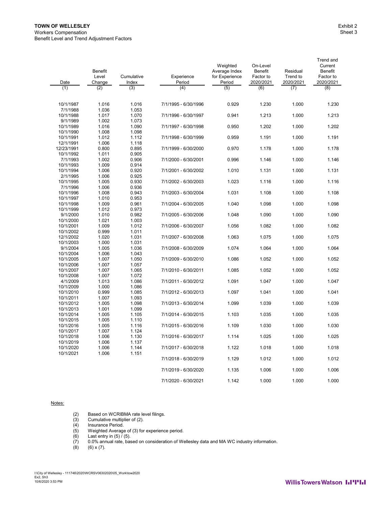| Date                    | <b>Benefit</b><br>Level<br>Change | Cumulative<br>Index | Experience<br>Period | Weighted<br>Average Index<br>for Experience<br>Period | On-Level<br>Benefit<br>Factor to<br>2020/2021 | Residual<br>Trend to<br>2020/2021 | Trend and<br>Current<br><b>Benefit</b><br>Factor to<br>2020/2021 |
|-------------------------|-----------------------------------|---------------------|----------------------|-------------------------------------------------------|-----------------------------------------------|-----------------------------------|------------------------------------------------------------------|
| (1)                     | (2)                               | (3)                 | (4)                  | (5)                                                   | (6)                                           | (7)                               | (8)                                                              |
|                         |                                   |                     |                      |                                                       |                                               |                                   |                                                                  |
| 10/1/1987               | 1.016                             | 1.016               | 7/1/1995 - 6/30/1996 | 0.929                                                 | 1.230                                         | 1.000                             | 1.230                                                            |
| 7/1/1988                | 1.036                             | 1.053               |                      |                                                       |                                               |                                   |                                                                  |
| 10/1/1988               | 1.017                             | 1.070               | 7/1/1996 - 6/30/1997 | 0.941                                                 | 1.213                                         | 1.000                             | 1.213                                                            |
| 9/1/1989                | 1.002                             | 1.073               |                      |                                                       |                                               |                                   |                                                                  |
| 10/1/1989               | 1.016                             | 1.090               | 7/1/1997 - 6/30/1998 | 0.950                                                 | 1.202                                         | 1.000                             | 1.202                                                            |
| 10/1/1990               | 1.008                             | 1.098               |                      |                                                       |                                               |                                   |                                                                  |
| 10/1/1991               | 1.012                             | 1.112               | 7/1/1998 - 6/30/1999 | 0.959                                                 | 1.191                                         | 1.000                             | 1.191                                                            |
| 12/1/1991               | 1.006                             | 1.118               |                      |                                                       |                                               |                                   |                                                                  |
| 12/23/1991<br>10/1/1992 | 0.800<br>1.011                    | 0.895<br>0.905      | 7/1/1999 - 6/30/2000 | 0.970                                                 | 1.178                                         | 1.000                             | 1.178                                                            |
| 7/1/1993                | 1.002                             | 0.906               | 7/1/2000 - 6/30/2001 | 0.996                                                 | 1.146                                         | 1.000                             | 1.146                                                            |
| 10/1/1993               | 1.009                             | 0.914               |                      |                                                       |                                               |                                   |                                                                  |
| 10/1/1994               | 1.006                             | 0.920               | 7/1/2001 - 6/30/2002 | 1.010                                                 | 1.131                                         | 1.000                             | 1.131                                                            |
| 2/1/1995                | 1.006                             | 0.925               |                      |                                                       |                                               |                                   |                                                                  |
| 10/1/1995               | 1.005                             | 0.930               | 7/1/2002 - 6/30/2003 | 1.023                                                 | 1.116                                         | 1.000                             | 1.116                                                            |
| 7/1/1996                | 1.006                             | 0.936               |                      |                                                       |                                               |                                   |                                                                  |
| 10/1/1996               | 1.008                             | 0.943               | 7/1/2003 - 6/30/2004 | 1.031                                                 | 1.108                                         | 1.000                             | 1.108                                                            |
| 10/1/1997               | 1.010                             | 0.953               |                      |                                                       |                                               |                                   |                                                                  |
| 10/1/1998<br>10/1/1999  | 1.009<br>1.012                    | 0.961<br>0.973      | 7/1/2004 - 6/30/2005 | 1.040                                                 | 1.098                                         | 1.000                             | 1.098                                                            |
| 9/1/2000                | 1.010                             | 0.982               | 7/1/2005 - 6/30/2006 | 1.048                                                 | 1.090                                         | 1.000                             | 1.090                                                            |
| 10/1/2000               | 1.021                             | 1.003               |                      |                                                       |                                               |                                   |                                                                  |
| 10/1/2001               | 1.009                             | 1.012               | 7/1/2006 - 6/30/2007 | 1.056                                                 | 1.082                                         | 1.000                             | 1.082                                                            |
| 10/1/2002               | 0.999                             | 1.011               |                      |                                                       |                                               |                                   |                                                                  |
| 12/1/2002               | 1.020                             | 1.031               | 7/1/2007 - 6/30/2008 | 1.063                                                 | 1.075                                         | 1.000                             | 1.075                                                            |
| 10/1/2003               | 1.000                             | 1.031               |                      |                                                       |                                               |                                   |                                                                  |
| 9/1/2004                | 1.005                             | 1.036               | 7/1/2008 - 6/30/2009 | 1.074                                                 | 1.064                                         | 1.000                             | 1.064                                                            |
| 10/1/2004               | 1.006                             | 1.043               |                      |                                                       |                                               |                                   |                                                                  |
| 10/1/2005<br>10/1/2006  | 1.007<br>1.007                    | 1.050<br>1.057      | 7/1/2009 - 6/30/2010 | 1.086                                                 | 1.052                                         | 1.000                             | 1.052                                                            |
| 10/1/2007               | 1.007                             | 1.065               | 7/1/2010 - 6/30/2011 | 1.085                                                 | 1.052                                         | 1.000                             | 1.052                                                            |
| 10/1/2008               | 1.007                             | 1.072               |                      |                                                       |                                               |                                   |                                                                  |
| 4/1/2009                | 1.013                             | 1.086               | 7/1/2011 - 6/30/2012 | 1.091                                                 | 1.047                                         | 1.000                             | 1.047                                                            |
| 10/1/2009               | 1.000                             | 1.086               |                      |                                                       |                                               |                                   |                                                                  |
| 10/1/2010               | 0.999                             | 1.085               | 7/1/2012 - 6/30/2013 | 1.097                                                 | 1.041                                         | 1.000                             | 1.041                                                            |
| 10/1/2011               | 1.007                             | 1.093               |                      |                                                       |                                               |                                   |                                                                  |
| 10/1/2012               | 1.005                             | 1.098               | 7/1/2013 - 6/30/2014 | 1.099                                                 | 1.039                                         | 1.000                             | 1.039                                                            |
| 10/1/2013               | 1.001<br>1.005                    | 1.099<br>1.105      |                      |                                                       |                                               | 1.000                             | 1.035                                                            |
| 10/1/2014<br>10/1/2015  | 1.005                             | 1.110               | 7/1/2014 - 6/30/2015 | 1.103                                                 | 1.035                                         |                                   |                                                                  |
| 10/1/2016               | 1.005                             | 1.116               | 7/1/2015 - 6/30/2016 | 1.109                                                 | 1.030                                         | 1.000                             | 1.030                                                            |
| 10/1/2017               | 1.007                             | 1.124               |                      |                                                       |                                               |                                   |                                                                  |
| 10/1/2018               | 1.006                             | 1.130               | 7/1/2016 - 6/30/2017 | 1.114                                                 | 1.025                                         | 1.000                             | 1.025                                                            |
| 10/1/2019               | 1.006                             | 1.137               |                      |                                                       |                                               |                                   |                                                                  |
| 10/1/2020               | 1.006                             | 1.144               | 7/1/2017 - 6/30/2018 | 1.122                                                 | 1.018                                         | 1.000                             | 1.018                                                            |
| 10/1/2021               | 1.006                             | 1.151               |                      |                                                       |                                               |                                   |                                                                  |
|                         |                                   |                     | 7/1/2018 - 6/30/2019 | 1.129                                                 | 1.012                                         | 1.000                             | 1.012                                                            |
|                         |                                   |                     | 7/1/2019 - 6/30/2020 | 1.135                                                 | 1.006                                         | 1.000                             | 1.006                                                            |
|                         |                                   |                     |                      |                                                       |                                               |                                   |                                                                  |
|                         |                                   |                     | 7/1/2020 - 6/30/2021 | 1.142                                                 | 1.000                                         | 1.000                             | 1.000                                                            |
|                         |                                   |                     |                      |                                                       |                                               |                                   |                                                                  |

#### Notes:

- 
- (3) Cumulative multiplier of (2).
- Insurance Period.
- (2) Based on WCRIBMA rate level filings.<br>
(3) Cumulative multiplier of (2).<br>
(4) Insurance Period.<br>
(5) Weighted Average of (3) for experienc  $(5)$  Weighted Average of (3) for experience period.<br>  $(6)$  Last entry in (5) / (5).
- (6) Last entry in  $(5)$  /  $(5)$ .<br>
(7) 0.0% annual rate, bas<br>
(8) (6) x (7).
- 0.0% annual rate, based on consideration of Wellesley data and MA WC industry information.
- (8) (6) x (7).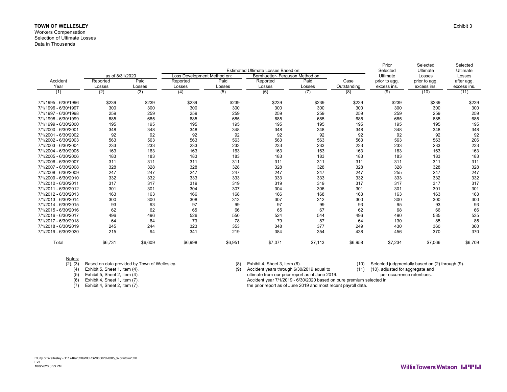#### **TOWN OF WELLESLEY** Exhibit 3

#### Workers Compensation

Selection of Ultimate Losses Data in Thousands

|                      |                 |         |                             |         | Estimated Ultimate Losses Based on: |         | Prior<br>Selected | Selected      | Selected<br>Ultimate |             |
|----------------------|-----------------|---------|-----------------------------|---------|-------------------------------------|---------|-------------------|---------------|----------------------|-------------|
|                      | as of 8/31/2020 |         | Loss Development Method on: |         | Bornhuetter- Ferguson Method on:    |         |                   | Ultimate      | Ultimate<br>Losses   | Losses      |
| Accident             | Reported        | Paid    | Reported                    | Paid    | Reported                            | Paid    | Case              | prior to agg. | prior to agg.        | after agg.  |
| Year                 | Losses          | Losses  | Losses                      | Losses  | Losses                              | Losses  | Outstanding       | excess ins.   | excess ins.          | excess ins. |
| (1)                  | (2)             | (3)     | (4)                         | (5)     | (6)                                 | (7)     | (8)               | (9)           | (10)                 | (11)        |
| 7/1/1995 - 6/30/1996 | \$239           | \$239   | \$239                       | \$239   | \$239                               | \$239   | \$239             | \$239         | \$239                | \$239       |
| 7/1/1996 - 6/30/1997 | 300             | 300     | 300                         | 300     | 300                                 | 300     | 300               | 300           | 300                  | 300         |
| 7/1/1997 - 6/30/1998 | 259             | 259     | 259                         | 259     | 259                                 | 259     | 259               | 259           | 259                  | 259         |
| 7/1/1998 - 6/30/1999 | 685             | 685     | 685                         | 685     | 685                                 | 685     | 685               | 685           | 685                  | 685         |
| 7/1/1999 - 6/30/2000 | 195             | 195     | 195                         | 195     | 195                                 | 195     | 195               | 195           | 195                  | 195         |
| 7/1/2000 - 6/30/2001 | 348             | 348     | 348                         | 348     | 348                                 | 348     | 348               | 348           | 348                  | 348         |
| 7/1/2001 - 6/30/2002 | 92              | 92      | 92                          | 92      | 92                                  | 92      | 92                | 92            | 92                   | 92          |
| 7/1/2002 - 6/30/2003 | 563             | 563     | 563                         | 563     | 563                                 | 563     | 563               | 563           | 563                  | 206         |
| 7/1/2003 - 6/30/2004 | 233             | 233     | 233                         | 233     | 233                                 | 233     | 233               | 233           | 233                  | 233         |
| 7/1/2004 - 6/30/2005 | 163             | 163     | 163                         | 163     | 163                                 | 163     | 163               | 163           | 163                  | 163         |
| 7/1/2005 - 6/30/2006 | 183             | 183     | 183                         | 183     | 183                                 | 183     | 183               | 183           | 183                  | 183         |
| 7/1/2006 - 6/30/2007 | 311             | 311     | 311                         | 311     | 311                                 | 311     | 311               | 311           | 311                  | 311         |
| 7/1/2007 - 6/30/2008 | 328             | 328     | 328                         | 328     | 328                                 | 328     | 328               | 328           | 328                  | 328         |
| 7/1/2008 - 6/30/2009 | 247             | 247     | 247                         | 247     | 247                                 | 247     | 247               | 255           | 247                  | 247         |
| 7/1/2009 - 6/30/2010 | 332             | 332     | 333                         | 333     | 333                                 | 333     | 332               | 333           | 332                  | 332         |
| 7/1/2010 - 6/30/2011 | 317             | 317     | 319                         | 319     | 319                                 | 319     | 317               | 317           | 317                  | 317         |
| 7/1/2011 - 6/30/2012 | 301             | 301     | 304                         | 307     | 304                                 | 306     | 301               | 301           | 301                  | 301         |
| 7/1/2012 - 6/30/2013 | 163             | 163     | 166                         | 168     | 166                                 | 168     | 163               | 163           | 163                  | 163         |
| 7/1/2013 - 6/30/2014 | 300             | 300     | 308                         | 313     | 307                                 | 312     | 300               | 300           | 300                  | 300         |
| 7/1/2014 - 6/30/2015 | 93              | 93      | 97                          | 99      | 97                                  | 99      | 93                | 95            | 93                   | 93          |
| 7/1/2015 - 6/30/2016 | 62              | 62      | 65                          | 66      | 65                                  | 67      | 62                | 68            | 66                   | 66          |
| 7/1/2016 - 6/30/2017 | 496             | 496     | 526                         | 550     | 524                                 | 544     | 496               | 490           | 535                  | 535         |
| 7/1/2017 - 6/30/2018 | 64              | 64      | 73                          | 78      | 79                                  | 87      | 64                | 130           | 85                   | 85          |
| 7/1/2018 - 6/30/2019 | 245             | 244     | 323                         | 353     | 348                                 | 377     | 249               | 430           | 360                  | 360         |
| 7/1/2019 - 6/30/2020 | 215             | 94      | 341                         | 219     | 384                                 | 354     | 438               | 456           | 370                  | 370         |
| Total                | \$6.731         | \$6,609 | \$6,998                     | \$6,951 | \$7,071                             | \$7,113 | \$6,958           | \$7,234       | \$7,066              | \$6,709     |

Notes:

(2), (3) Based on data provided by Town of Wellesley. (8) Exhibit 4, Sheet 3, Item (6). (10) Selected judgmentally based on (2) through (9).

(4) Exhibit 5, Sheet 1, Item (4). (9) Accident years through 6/30/2019 equal to selected (11) (10), adjusted for aggregate and

(5) Exhibit 5, Sheet 2, Item (4). <br>
(6) Exhibit 4, Sheet 1, Item (7). (6) Exhibit 4, Sheet 1, Item (7). (6) Exhibit 4, Sheet 1, Item (7). (6) Exhibit 4, Sheet 1, Item (7). (6) Exhibit 4, Sheet 1, Item (7). Accident year 7/1/2019 - 6/30/2020 based on pure premium selected in (7) Exhibit 4, Sheet 2, Item (7). the prior report as of June 2019 and most recent payroll data.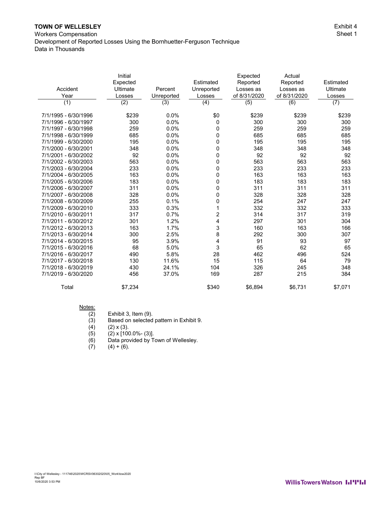Workers Compensation

Development of Reported Losses Using the Bornhuetter-Ferguson Technique Data in Thousands

|                      | Initial  |            |                | Expected     | Actual       |           |
|----------------------|----------|------------|----------------|--------------|--------------|-----------|
|                      | Expected |            | Estimated      | Reported     | Reported     | Estimated |
| Accident             | Ultimate | Percent    | Unreported     | Losses as    | Losses as    | Ultimate  |
| Year                 | Losses   | Unreported | Losses         | of 8/31/2020 | of 8/31/2020 | Losses    |
| (1)                  | (2)      | (3)        | (4)            | (5)          | (6)          | (7)       |
| 7/1/1995 - 6/30/1996 | \$239    | 0.0%       | \$0            | \$239        | \$239        | \$239     |
| 7/1/1996 - 6/30/1997 | 300      | 0.0%       | 0              | 300          | 300          | 300       |
| 7/1/1997 - 6/30/1998 | 259      | 0.0%       | 0              | 259          | 259          | 259       |
| 7/1/1998 - 6/30/1999 | 685      | 0.0%       | 0              | 685          | 685          | 685       |
| 7/1/1999 - 6/30/2000 | 195      | 0.0%       | 0              | 195          | 195          | 195       |
| 7/1/2000 - 6/30/2001 | 348      | 0.0%       | 0              | 348          | 348          | 348       |
| 7/1/2001 - 6/30/2002 | 92       | 0.0%       | 0              | 92           | 92           | 92        |
| 7/1/2002 - 6/30/2003 | 563      | 0.0%       | 0              | 563          | 563          | 563       |
| 7/1/2003 - 6/30/2004 | 233      | 0.0%       | 0              | 233          | 233          | 233       |
| 7/1/2004 - 6/30/2005 | 163      | 0.0%       | 0              | 163          | 163          | 163       |
| 7/1/2005 - 6/30/2006 | 183      | 0.0%       | 0              | 183          | 183          | 183       |
| 7/1/2006 - 6/30/2007 | 311      | 0.0%       | 0              | 311          | 311          | 311       |
| 7/1/2007 - 6/30/2008 | 328      | 0.0%       | 0              | 328          | 328          | 328       |
| 7/1/2008 - 6/30/2009 | 255      | 0.1%       | 0              | 254          | 247          | 247       |
| 7/1/2009 - 6/30/2010 | 333      | 0.3%       | 1              | 332          | 332          | 333       |
| 7/1/2010 - 6/30/2011 | 317      | 0.7%       | $\overline{c}$ | 314          | 317          | 319       |
| 7/1/2011 - 6/30/2012 | 301      | 1.2%       | 4              | 297          | 301          | 304       |
| 7/1/2012 - 6/30/2013 | 163      | 1.7%       | 3              | 160          | 163          | 166       |
| 7/1/2013 - 6/30/2014 | 300      | 2.5%       | 8              | 292          | 300          | 307       |
| 7/1/2014 - 6/30/2015 | 95       | 3.9%       | 4              | 91           | 93           | 97        |
| 7/1/2015 - 6/30/2016 | 68       | 5.0%       | 3              | 65           | 62           | 65        |
| 7/1/2016 - 6/30/2017 | 490      | 5.8%       | 28             | 462          | 496          | 524       |
| 7/1/2017 - 6/30/2018 | 130      | 11.6%      | 15             | 115          | 64           | 79        |
| 7/1/2018 - 6/30/2019 | 430      | 24.1%      | 104            | 326          | 245          | 348       |
| 7/1/2019 - 6/30/2020 | 456      | 37.0%      | 169            | 287          | 215          | 384       |
| Total                | \$7,234  |            | \$340          | \$6,894      | \$6,731      | \$7,071   |

# $\frac{\text{Notes:}}{(2)}\\ (3)$

- (2) Exhibit 3, Item (9).
- (3) Based on selected pattern in Exhibit 9.<br>(4)  $(2) \times (3)$ .
- (4) (2)  $\times$  (3).<br>(5) (2)  $\times$  [100
- 
- (5)  $(2) \times [100.0\% (3)]$ .<br>
(6) Data provided by T<br>
(7)  $(4) + (6)$ . Data provided by Town of Wellesley.
- $(4) + (6)$ .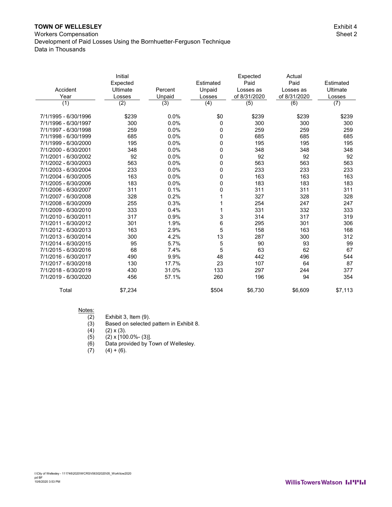Workers Compensation

Development of Paid Losses Using the Bornhuetter-Ferguson Technique Data in Thousands

|                      | Initial  |         |           | Expected     | Actual       |           |
|----------------------|----------|---------|-----------|--------------|--------------|-----------|
|                      | Expected |         | Estimated | Paid         | Paid         | Estimated |
| Accident             | Ultimate | Percent | Unpaid    | Losses as    | Losses as    | Ultimate  |
| Year                 | Losses   | Unpaid  | Losses    | of 8/31/2020 | of 8/31/2020 | Losses    |
| (1)                  | (2)      | (3)     | (4)       | (5)          | (6)          | (7)       |
| 7/1/1995 - 6/30/1996 | \$239    | 0.0%    | \$0       | \$239        | \$239        | \$239     |
| 7/1/1996 - 6/30/1997 | 300      | 0.0%    | 0         | 300          | 300          | 300       |
| 7/1/1997 - 6/30/1998 | 259      | 0.0%    | 0         | 259          | 259          | 259       |
| 7/1/1998 - 6/30/1999 | 685      | 0.0%    | 0         | 685          | 685          | 685       |
| 7/1/1999 - 6/30/2000 | 195      | 0.0%    | 0         | 195          | 195          | 195       |
| 7/1/2000 - 6/30/2001 | 348      | 0.0%    | 0         | 348          | 348          | 348       |
| 7/1/2001 - 6/30/2002 | 92       | 0.0%    | 0         | 92           | 92           | 92        |
| 7/1/2002 - 6/30/2003 | 563      | 0.0%    | 0         | 563          | 563          | 563       |
| 7/1/2003 - 6/30/2004 | 233      | 0.0%    | 0         | 233          | 233          | 233       |
| 7/1/2004 - 6/30/2005 | 163      | 0.0%    | 0         | 163          | 163          | 163       |
| 7/1/2005 - 6/30/2006 | 183      | 0.0%    | 0         | 183          | 183          | 183       |
| 7/1/2006 - 6/30/2007 | 311      | 0.1%    | 0         | 311          | 311          | 311       |
| 7/1/2007 - 6/30/2008 | 328      | 0.2%    |           | 327          | 328          | 328       |
| 7/1/2008 - 6/30/2009 | 255      | 0.3%    |           | 254          | 247          | 247       |
| 7/1/2009 - 6/30/2010 | 333      | 0.4%    |           | 331          | 332          | 333       |
| 7/1/2010 - 6/30/2011 | 317      | 0.9%    | 3         | 314          | 317          | 319       |
| 7/1/2011 - 6/30/2012 | 301      | 1.9%    | 6         | 295          | 301          | 306       |
| 7/1/2012 - 6/30/2013 | 163      | 2.9%    | 5         | 158          | 163          | 168       |
| 7/1/2013 - 6/30/2014 | 300      | 4.2%    | 13        | 287          | 300          | 312       |
| 7/1/2014 - 6/30/2015 | 95       | 5.7%    | 5         | 90           | 93           | 99        |
| 7/1/2015 - 6/30/2016 | 68       | 7.4%    | 5         | 63           | 62           | 67        |
| 7/1/2016 - 6/30/2017 | 490      | 9.9%    | 48        | 442          | 496          | 544       |
| 7/1/2017 - 6/30/2018 | 130      | 17.7%   | 23        | 107          | 64           | 87        |
| 7/1/2018 - 6/30/2019 | 430      | 31.0%   | 133       | 297          | 244          | 377       |
| 7/1/2019 - 6/30/2020 | 456      | 57.1%   | 260       | 196          | 94           | 354       |
| Total                | \$7,234  |         | \$504     | \$6,730      | \$6,609      | \$7,113   |

### $\frac{\text{Notes:}}{(2)}$

- 
- $(2)$  Exhibit 3, Item  $(9)$ .<br> $(3)$  Based on selected (3) Based on selected pattern in Exhibit 8.<br>(4)  $(2) \times (3)$ .
- 
- (4) (2)  $\times$  (3).<br>(5) (2)  $\times$  [100  $(2)$  x  $[100.0\% - (3)]$ .
- (6) Data provided by Town of Wellesley.
- $(7)$   $(4) + (6)$ .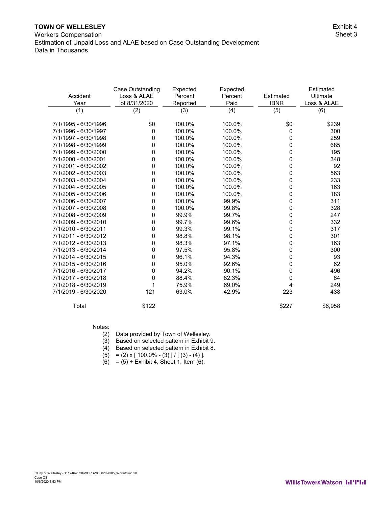Exhibit 4

|                      | Case Outstanding | Expected | Expected |             | Estimated   |
|----------------------|------------------|----------|----------|-------------|-------------|
| Accident             | Loss & ALAE      | Percent  | Percent  | Estimated   | Ultimate    |
| Year                 | of 8/31/2020     | Reported | Paid     | <b>IBNR</b> | Loss & ALAE |
| (1)                  | (2)              | (3)      | (4)      | (5)         | (6)         |
|                      |                  |          |          |             |             |
| 7/1/1995 - 6/30/1996 | \$0              | 100.0%   | 100.0%   | \$0         | \$239       |
| 7/1/1996 - 6/30/1997 | 0                | 100.0%   | 100.0%   | 0           | 300         |
| 7/1/1997 - 6/30/1998 | 0                | 100.0%   | 100.0%   | 0           | 259         |
| 7/1/1998 - 6/30/1999 | 0                | 100.0%   | 100.0%   | 0           | 685         |
| 7/1/1999 - 6/30/2000 | 0                | 100.0%   | 100.0%   | 0           | 195         |
| 7/1/2000 - 6/30/2001 | 0                | 100.0%   | 100.0%   | 0           | 348         |
| 7/1/2001 - 6/30/2002 | 0                | 100.0%   | 100.0%   | 0           | 92          |
| 7/1/2002 - 6/30/2003 | 0                | 100.0%   | 100.0%   | 0           | 563         |
| 7/1/2003 - 6/30/2004 | 0                | 100.0%   | 100.0%   | 0           | 233         |
| 7/1/2004 - 6/30/2005 | 0                | 100.0%   | 100.0%   | 0           | 163         |
| 7/1/2005 - 6/30/2006 | 0                | 100.0%   | 100.0%   | 0           | 183         |
| 7/1/2006 - 6/30/2007 | 0                | 100.0%   | 99.9%    | 0           | 311         |
| 7/1/2007 - 6/30/2008 | 0                | 100.0%   | 99.8%    | 0           | 328         |
| 7/1/2008 - 6/30/2009 | 0                | 99.9%    | 99.7%    | 0           | 247         |
| 7/1/2009 - 6/30/2010 | 0                | 99.7%    | 99.6%    | 0           | 332         |
| 7/1/2010 - 6/30/2011 | 0                | 99.3%    | 99.1%    | 0           | 317         |
| 7/1/2011 - 6/30/2012 | 0                | 98.8%    | 98.1%    | 0           | 301         |
| 7/1/2012 - 6/30/2013 | 0                | 98.3%    | 97.1%    | 0           | 163         |
| 7/1/2013 - 6/30/2014 | 0                | 97.5%    | 95.8%    | 0           | 300         |
| 7/1/2014 - 6/30/2015 | 0                | 96.1%    | 94.3%    | 0           | 93          |
| 7/1/2015 - 6/30/2016 | 0                | 95.0%    | 92.6%    | 0           | 62          |
| 7/1/2016 - 6/30/2017 | 0                | 94.2%    | 90.1%    | 0           | 496         |
| 7/1/2017 - 6/30/2018 | 0                | 88.4%    | 82.3%    | 0           | 64          |
| 7/1/2018 - 6/30/2019 | 1                | 75.9%    | 69.0%    | 4           | 249         |
| 7/1/2019 - 6/30/2020 | 121              | 63.0%    | 42.9%    | 223         | 438         |
| Total                | \$122            |          |          | \$227       | \$6,958     |

Notes:

(2) Data provided by Town of Wellesley.

- (3) Based on selected pattern in Exhibit 9.
- (4) Based on selected pattern in Exhibit 8.
- (5)  $=(2) \times [100.0\% (3)] / [(3) (4)].$
- $(6) = (5) +$  Exhibit 4, Sheet 1, Item  $(6)$ .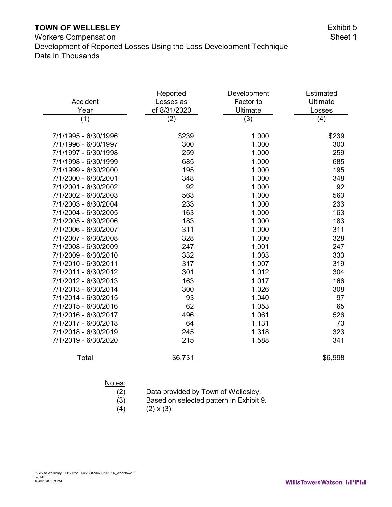Workers Compensation Development of Reported Losses Using the Loss Development Technique Data in Thousands

|                      | Reported     | Development | Estimated |
|----------------------|--------------|-------------|-----------|
| Accident             | Losses as    | Factor to   | Ultimate  |
| Year                 | of 8/31/2020 | Ultimate    | Losses    |
| (1)                  | (2)          | (3)         | (4)       |
|                      |              |             |           |
| 7/1/1995 - 6/30/1996 | \$239        | 1.000       | \$239     |
| 7/1/1996 - 6/30/1997 | 300          | 1.000       | 300       |
| 7/1/1997 - 6/30/1998 | 259          | 1.000       | 259       |
| 7/1/1998 - 6/30/1999 | 685          | 1.000       | 685       |
| 7/1/1999 - 6/30/2000 | 195          | 1.000       | 195       |
| 7/1/2000 - 6/30/2001 | 348          | 1.000       | 348       |
| 7/1/2001 - 6/30/2002 | 92           | 1.000       | 92        |
| 7/1/2002 - 6/30/2003 | 563          | 1.000       | 563       |
| 7/1/2003 - 6/30/2004 | 233          | 1.000       | 233       |
| 7/1/2004 - 6/30/2005 | 163          | 1.000       | 163       |
| 7/1/2005 - 6/30/2006 | 183          | 1.000       | 183       |
| 7/1/2006 - 6/30/2007 | 311          | 1.000       | 311       |
| 7/1/2007 - 6/30/2008 | 328          | 1.000       | 328       |
| 7/1/2008 - 6/30/2009 | 247          | 1.001       | 247       |
| 7/1/2009 - 6/30/2010 | 332          | 1.003       | 333       |
| 7/1/2010 - 6/30/2011 | 317          | 1.007       | 319       |
| 7/1/2011 - 6/30/2012 | 301          | 1.012       | 304       |
| 7/1/2012 - 6/30/2013 | 163          | 1.017       | 166       |
| 7/1/2013 - 6/30/2014 | 300          | 1.026       | 308       |
| 7/1/2014 - 6/30/2015 | 93           | 1.040       | 97        |
| 7/1/2015 - 6/30/2016 | 62           | 1.053       | 65        |
| 7/1/2016 - 6/30/2017 | 496          | 1.061       | 526       |
| 7/1/2017 - 6/30/2018 | 64           | 1.131       | 73        |
| 7/1/2018 - 6/30/2019 | 245          | 1.318       | 323       |
| 7/1/2019 - 6/30/2020 | 215          | 1.588       | 341       |
| Total                | \$6,731      |             | \$6,998   |

 $\overline{(2)}$  Data provided by Town of Wellesley.

- (3) Based on selected pattern in Exhibit 9.<br>(4)  $(2) \times (3)$ .
	- $(2) \times (3)$ .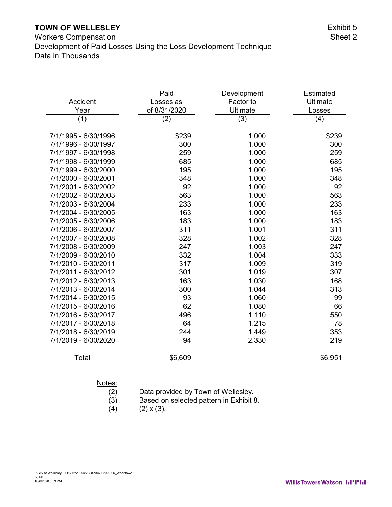Workers Compensation Development of Paid Losses Using the Loss Development Technique Data in Thousands

|                      | Paid         | Development     | Estimated |
|----------------------|--------------|-----------------|-----------|
| Accident             | Losses as    | Factor to       | Ultimate  |
| Year                 | of 8/31/2020 | <b>Ultimate</b> | Losses    |
| (1)                  | (2)          | (3)             | (4)       |
|                      |              |                 |           |
| 7/1/1995 - 6/30/1996 | \$239        | 1.000           | \$239     |
| 7/1/1996 - 6/30/1997 | 300          | 1.000           | 300       |
| 7/1/1997 - 6/30/1998 | 259          | 1.000           | 259       |
| 7/1/1998 - 6/30/1999 | 685          | 1.000           | 685       |
| 7/1/1999 - 6/30/2000 | 195          | 1.000           | 195       |
| 7/1/2000 - 6/30/2001 | 348          | 1.000           | 348       |
| 7/1/2001 - 6/30/2002 | 92           | 1.000           | 92        |
| 7/1/2002 - 6/30/2003 | 563          | 1.000           | 563       |
| 7/1/2003 - 6/30/2004 | 233          | 1.000           | 233       |
| 7/1/2004 - 6/30/2005 | 163          | 1.000           | 163       |
| 7/1/2005 - 6/30/2006 | 183          | 1.000           | 183       |
| 7/1/2006 - 6/30/2007 | 311          | 1.001           | 311       |
| 7/1/2007 - 6/30/2008 | 328          | 1.002           | 328       |
| 7/1/2008 - 6/30/2009 | 247          | 1.003           | 247       |
| 7/1/2009 - 6/30/2010 | 332          | 1.004           | 333       |
| 7/1/2010 - 6/30/2011 | 317          | 1.009           | 319       |
| 7/1/2011 - 6/30/2012 | 301          | 1.019           | 307       |
| 7/1/2012 - 6/30/2013 | 163          | 1.030           | 168       |
| 7/1/2013 - 6/30/2014 | 300          | 1.044           | 313       |
| 7/1/2014 - 6/30/2015 | 93           | 1.060           | 99        |
| 7/1/2015 - 6/30/2016 | 62           | 1.080           | 66        |
| 7/1/2016 - 6/30/2017 | 496          | 1.110           | 550       |
| 7/1/2017 - 6/30/2018 | 64           | 1.215           | 78        |
| 7/1/2018 - 6/30/2019 | 244          | 1.449           | 353       |
| 7/1/2019 - 6/30/2020 | 94           | 2.330           | 219       |
| Total                | \$6,609      |                 | \$6,951   |
|                      |              |                 |           |

## $\frac{\text{Notes:}}{(2)}$

- Data provided by Town of Wellesley.
- (3) Based on selected pattern in Exhibit 8.<br>(4)  $(2) \times (3)$ .
	- $(2) \times (3)$ .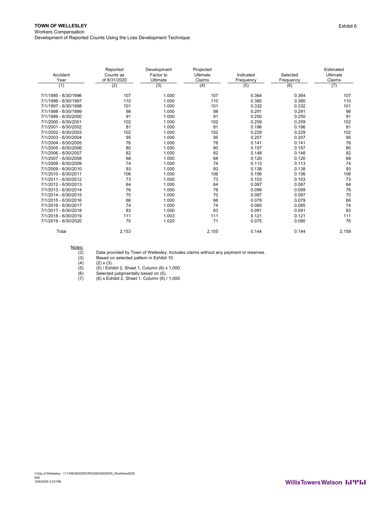| Accident<br>Year<br>(1) | Reported<br>Counts as<br>of 8/31/2020<br>(2) | Development<br>Factor to<br>Ultimate<br>(3) | Projected<br>Ultimate<br>Claims<br>(4) | Indicated<br>Frequency<br>(5) | Selected<br>Frequency<br>(6) | Estimated<br>Ultimate<br>Claims<br>(7) |
|-------------------------|----------------------------------------------|---------------------------------------------|----------------------------------------|-------------------------------|------------------------------|----------------------------------------|
| 7/1/1995 - 6/30/1996    | 107                                          | 1.000                                       | 107                                    | 0.364                         | 0.364                        | 107                                    |
| 7/1/1996 - 6/30/1997    | 110                                          | 1.000                                       | 110                                    | 0.380                         | 0.380                        | 110                                    |
| 7/1/1997 - 6/30/1998    | 101                                          | 1.000                                       | 101                                    | 0.332                         | 0.332                        | 101                                    |
| 7/1/1998 - 6/30/1999    | 98                                           | 1.000                                       | 98                                     | 0.291                         | 0.291                        | 98                                     |
| 7/1/1999 - 6/30/2000    | 91                                           | 1.000                                       | 91                                     | 0.250                         | 0.250                        | 91                                     |
| 7/1/2000 - 6/30/2001    | 102                                          | 1.000                                       | 102                                    | 0.259                         | 0.259                        | 102                                    |
| 7/1/2001 - 6/30/2002    | 81                                           | 1.000                                       | 81                                     | 0.196                         | 0.196                        | 81                                     |
| 7/1/2002 - 6/30/2003    | 102                                          | 1.000                                       | 102                                    | 0.229                         | 0.229                        | 102                                    |
| 7/1/2003 - 6/30/2004    | 95                                           | 1.000                                       | 95                                     | 0.207                         | 0.207                        | 95                                     |
| 7/1/2004 - 6/30/2005    | 76                                           | 1.000                                       | 76                                     | 0.141                         | 0.141                        | 76                                     |
| 7/1/2005 - 6/30/2006    | 80                                           | 1.000                                       | 80                                     | 0.157                         | 0.157                        | 80                                     |
| 7/1/2006 - 6/30/2007    | 82                                           | 1.000                                       | 82                                     | 0.148                         | 0.148                        | 82                                     |
| 7/1/2007 - 6/30/2008    | 68                                           | 1.000                                       | 68                                     | 0.120                         | 0.120                        | 68                                     |
| 7/1/2008 - 6/30/2009    | 74                                           | 1.000                                       | 74                                     | 0.113                         | 0.113                        | 74                                     |
| 7/1/2009 - 6/30/2010    | 93                                           | 1.000                                       | 93                                     | 0.138                         | 0.138                        | 93                                     |
| 7/1/2010 - 6/30/2011    | 106                                          | 1.000                                       | 106                                    | 0.156                         | 0.156                        | 106                                    |
| 7/1/2011 - 6/30/2012    | 73                                           | 1.000                                       | 73                                     | 0.103                         | 0.103                        | 73                                     |
| 7/1/2012 - 6/30/2013    | 64                                           | 1.000                                       | 64                                     | 0.087                         | 0.087                        | 64                                     |
| 7/1/2013 - 6/30/2014    | 76                                           | 1.000                                       | 76                                     | 0.099                         | 0.099                        | 76                                     |
| 7/1/2014 - 6/30/2015    | 70                                           | 1.000                                       | 70                                     | 0.087                         | 0.087                        | 70                                     |
| 7/1/2015 - 6/30/2016    | 66                                           | 1.000                                       | 66                                     | 0.079                         | 0.079                        | 66                                     |
| 7/1/2016 - 6/30/2017    | 74                                           | 1.000                                       | 74                                     | 0.085                         | 0.085                        | 74                                     |
| 7/1/2017 - 6/30/2018    | 83                                           | 1.000                                       | 83                                     | 0.091                         | 0.091                        | 83                                     |
| 7/1/2018 - 6/30/2019    | 111                                          | 1.003                                       | 111                                    | 0.121                         | 0.121                        | 111                                    |
| 7/1/2019 - 6/30/2020    | 70                                           | 1.020                                       | 71                                     | 0.075                         | 0.080                        | 76                                     |
| Total                   | 2,153                                        |                                             | 2,155                                  | 0.144                         | 0.144                        | 2,159                                  |

Notes: (2)<br>(3)<br>(3)<br>(4)<br>(5)<br>(6)<br>(7)

(2) Data provided by Town of Wellesley. Includes claims without any payment or reserves.

(3) Based on selected pattern in Exhibit 10.

 $(2) \times (3)$ .

(5) (5) / Exhibit 2, Sheet 1, Column (6) x 1,000.

(6) Selected judgmentally based on (5).

(7) (6) x Exhibit 2, Sheet 1, Column (6) / 1,000.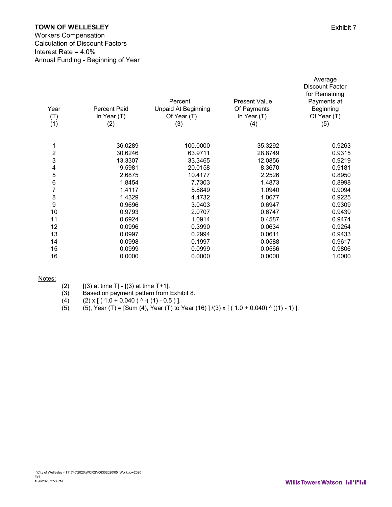#### **TOWN OF WELLESLEY Exhibit 7**

Workers Compensation Calculation of Discount Factors Interest Rate = 4.0% Annual Funding - Beginning of Year

| Year<br>$(\mathsf{T})$<br>(1) | <b>Percent Paid</b><br>In Year (T)<br>(2) | Percent<br>Unpaid At Beginning<br>Of Year (T)<br>(3) | <b>Present Value</b><br>Of Payments<br>In Year $(T)$<br>(4) | <b>Discount Factor</b><br>for Remaining<br>Payments at<br>Beginning<br>Of Year (T)<br>(5) |
|-------------------------------|-------------------------------------------|------------------------------------------------------|-------------------------------------------------------------|-------------------------------------------------------------------------------------------|
|                               |                                           |                                                      |                                                             |                                                                                           |
|                               |                                           |                                                      |                                                             |                                                                                           |
| 1                             | 36.0289                                   | 100.0000                                             | 35.3292                                                     | 0.9263                                                                                    |
| 2                             | 30.6246                                   | 63.9711                                              | 28.8749                                                     | 0.9315                                                                                    |
| 3                             | 13.3307                                   | 33.3465                                              | 12.0856                                                     | 0.9219                                                                                    |
| 4                             | 9.5981                                    | 20.0158                                              | 8.3670                                                      | 0.9181                                                                                    |
| 5                             | 2.6875                                    | 10.4177                                              | 2.2526                                                      | 0.8950                                                                                    |
| 6                             | 1.8454                                    | 7.7303                                               | 1.4873                                                      | 0.8998                                                                                    |
| $\overline{7}$                | 1.4117                                    | 5.8849                                               | 1.0940                                                      | 0.9094                                                                                    |
| 8                             | 1.4329                                    | 4.4732                                               | 1.0677                                                      | 0.9225                                                                                    |
| 9                             | 0.9696                                    | 3.0403                                               | 0.6947                                                      | 0.9309                                                                                    |
| 10                            | 0.9793                                    | 2.0707                                               | 0.6747                                                      | 0.9439                                                                                    |
| 11                            | 0.6924                                    | 1.0914                                               | 0.4587                                                      | 0.9474                                                                                    |
| 12                            | 0.0996                                    | 0.3990                                               | 0.0634                                                      | 0.9254                                                                                    |
| 13                            | 0.0997                                    | 0.2994                                               | 0.0611                                                      | 0.9433                                                                                    |
| 14                            | 0.0998                                    | 0.1997                                               | 0.0588                                                      | 0.9617                                                                                    |
| 15                            | 0.0999                                    | 0.0999                                               | 0.0566                                                      | 0.9806                                                                                    |
| 16                            | 0.0000                                    | 0.0000                                               | 0.0000                                                      | 1.0000                                                                                    |

Notes:

- 
- (2)  $[(3)$  at time T]  $[(3)$  at time T+1].<br>(3) Based on payment pattern from I Based on payment pattern from Exhibit 8.
- (4)  $(2) \times [(1.0 + 0.040) \cdot (-1) 0.5)]$ .
- (5) (5), Year (T) = [Sum (4), Year (T) to Year (16) ]  $/(3) \times$  [ (1.0 + 0.040) ^ ((1) 1) ].

Average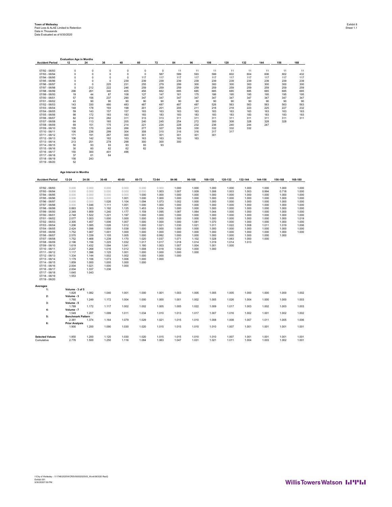|                                  | <b>Evaluation Age in Months</b> |                |                |                |                |                |                |                |                |                |                |                |                |                |
|----------------------------------|---------------------------------|----------------|----------------|----------------|----------------|----------------|----------------|----------------|----------------|----------------|----------------|----------------|----------------|----------------|
| <b>Accident Period</b>           | 12                              | 24             | 36             | 48             | 60             | 72             | 84             | 96             | 108            | 120            | 132            | 144            | 156            | 168            |
|                                  |                                 |                |                |                |                |                |                |                |                |                |                |                |                |                |
| 07/92 - 06/93                    | $\circ$                         | $\mathbb O$    | $\pmb{0}$      | $\mathsf 0$    | $\mathsf 0$    | $\pmb{0}$      | 11             | 11             | 11             | 11             | 11             | 11             | 11             | 11             |
| 07/93 - 06/94                    | 0                               | 0              | 0              | 0              | 0              | 587            | 589            | 593            | 599            | 602            | 604            | 606            | 602            | 432            |
| 07/94 - 06/95                    | $\mathsf 0$                     | $\pmb{0}$      | $\mathbf 0$    | 0              | 117            | 117            | 117            | 117            | 117            | 117            | 117            | 117            | 117            | 117            |
| 07/95 - 06/96                    | $\Omega$                        | $\Omega$       | $\bf 0$        | 239            | 239            | 239            | 239            | 239            | 239            | 239            | 239            | 239            | 239            | 239            |
| 07/96 - 06/97                    | $\pmb{0}$                       | $\pmb{0}$      | 225            | 231            | 255            | 279            | 299            | 300            | 300            | 300            | 300            | 300            | 300            | 300            |
| 07/97 - 06/98<br>07/98 - 06/99   | $^{\circ}$<br>296               | 212<br>261     | 222<br>340     | 246<br>405     | 259<br>456     | 259<br>662     | 259<br>685     | 259<br>685     | 259<br>685     | 259<br>685     | 259<br>685     | 259<br>685     | 259<br>685     | 259<br>685     |
| 07/99 - 06/00                    | 19                              | 44             | 87             | 108            | 127            | 147            | 161            | 175            | 186            | 195            | 195            | 195            | 195            | 195            |
| 07/00 - 06/01                    | 57                              | 156            | 237            | 290            | 347            | 347            | 347            | 347            | 347            | 347            | 347            | 347            | 347            | 347            |
| 07/01 - 06/02                    | 43                              | 90             | 90             | 90             | 90             | 90             | 90             | 90             | 90             | 90             | 90             | 90             | 90             | 90             |
| $07/02 - 06/03$                  | 143                             | 330            | 480            | 483            | 487            | 487            | 487            | 487            | 526            | 563            | 563            | 563            | 563            | 563            |
| 07/03 - 06/04                    | 148                             | 178            | 193            | 198            | 201            | 201            | 205            | 211            | 216            | 218            | 223            | 225            | 227            | 232            |
| 07/04 - 06/05                    | 59                              | 143            | 157            | 157            | 163            | 163            | 163            | 163            | 163            | 163            | 163            | 163            | 163            | 163            |
| 07/05 - 06/06                    | 98                              | 172            | 183            | 183            | 183            | 183            | 183            | 183            | 183            | 183            | 183            | 183            | 183            | 183            |
| 07/06 - 06/07                    | 82                              | 210            | 282            | 311            | 313            | 313            | 311            | 311            | 311            | 311            | 311            | 311            | 311            | 311            |
| 07/07 - 06/08                    | 64                              | 113            | 165            | 205            | 240            | 245            | 254            | 272            | 300            | 308            | 328            | 328            | 328            |                |
| 07/08 - 06/09                    | 69                              | 151            | 175            | 214            | 221            | 224            | 228            | 232            | 236            | 240            | 244            | 247            |                |                |
| 07/09 - 06/10                    | 105                             | 170            | 243            | 266            | 277            | 327            | 328            | 330            | 332            | 332            | 332            |                |                |                |
| 07/10 - 06/11                    | 106                             | 236            | 299            | 304            | 308            | 310            | 316            | 316            | 317            | 317            |                |                |                |                |
| 07/11 - 06/12                    | 171                             | 191            | 267            | 300            | 301            | 301            | 301            | 301            | 301            |                |                |                |                |                |
| $07/12 - 06/13$                  | 106                             | 142            | 162            | 163<br>298     | 163            | 163            | 163            | 163            |                |                |                |                |                |                |
| 07/13 - 06/14<br>$07/14 - 06/15$ | 213<br>50                       | 251<br>93      | 278<br>93      | 93             | 300<br>93      | 300<br>93      | 300            |                |                |                |                |                |                |                |
| $07/15 - 06/16$                  | 30                              | 60             | 62             | 62             | 62             |                |                |                |                |                |                |                |                |                |
| $07/16 - 06/17$                  | 150                             | 300            | 401            | 496            |                |                |                |                |                |                |                |                |                |                |
| $07/17 - 06/18$                  | 37                              | 61             | 64             |                |                |                |                |                |                |                |                |                |                |                |
| 07/18 - 06/19                    | 156                             | 243            |                |                |                |                |                |                |                |                |                |                |                |                |
| $07/19 - 06/20$                  | 52                              |                |                |                |                |                |                |                |                |                |                |                |                |                |
|                                  |                                 |                |                |                |                |                |                |                |                |                |                |                |                |                |
|                                  |                                 |                |                |                |                |                |                |                |                |                |                |                |                |                |
|                                  | Age Interval in Months          |                |                |                |                |                |                |                |                |                |                |                |                |                |
|                                  |                                 |                |                |                |                |                |                |                |                |                |                |                |                |                |
| <b>Accident Period</b>           | $12 - 24$                       | 24-36          | 36-48          | 48-60          | 60-72          | 72-84          | 84-96          | 96-108         | 108-120        | 120-132        | 132-144        | 144-156        | 156-168        | 168-180        |
|                                  |                                 |                |                |                |                |                |                |                |                |                |                |                |                |                |
| 07/92 - 06/93                    | 0.000                           | 0.000          | 0.000          | 0.000          | 0.000          | 0.000          | 1.000          | 1.000          | 1.000          | 1.000          | 1.000          | 1.000          | 1.000          | 1.000          |
| 07/93 - 06/94                    | 0.000                           | 0.000          | 0.000          | 0.000          | 0.000          | 1.003          | 1.007          | 1.009          | 1.006          | 1.003          | 1.003          | 0.994          | 0.718          | 1.000          |
| 07/94 - 06/95                    | 0.000                           | 0.000          | 0.000          | 0.000          | 1.000          | 1.000          | 1.000          | 1.000          | 1.000          | 1.000          | 1.000          | 1.000          | 1.000          | 1.000          |
| 07/95 - 06/96                    | 0.000                           | 0.000          | 0.000          | 1.001          | 1.000          | 1.000          | 1.000          | 1.000          | 1.000          | 1.000          | 1.000          | 1.000          | 1.000          | 1.000          |
| 07/96 - 06/97                    | 0.000                           | 0.000          | 1.026          | 1.104          | 1.094          | 1.073          | 1.002          | 1.000          | 1.000          | 1.000          | 1.000          | 1.000          | 1.000          | 1.000          |
| 07/97 - 06/98<br>07/98 - 06/99   | 0.000<br>0.883                  | 1.046<br>1.303 | 1.111<br>1.192 | 1.051<br>1.125 | 1.000<br>1.453 | 1.000<br>1.034 | 1.000<br>1.000 | 1.000<br>1.000 | 1.000<br>1.000 | 1.000<br>1.000 | 1.000<br>1.000 | 1.000<br>1.000 | 1.000<br>1.000 | 1.000<br>1.000 |
| 07/99 - 06/00                    | 2.349                           | 1.959          | 1.240          | 1.177          | 1.159          | 1.095          | 1.087          | 1.064          | 1.044          | 1.000          | 1.000          | 1.000          | 1.000          | 1.000          |
| 07/00 - 06/01                    | 2.748                           | 1.522          | 1.221          | 1.197          | 1.000          | 1.000          | 1.000          | 1.000          | 1.000          | 1.000          | 1.000          | 1.000          | 1.000          | 1.000          |
| 07/01 - 06/02                    | 2.077                           | 1.003          | 1.000          | 1.000          | 1.000          | 1.000          | 1.000          | 1.000          | 1.000          | 1.000          | 1.000          | 1.000          | 1.000          | 1.019          |
| 07/02 - 06/03                    | 2.305                           | 1.457          | 1.006          | 1.007          | 1,000          | 1.000          | 1.000          | 1.081          | 1.070          | 1.000          | 1.000          | 1.000          | 1.000          | 1.000          |
| 07/03 - 06/04                    | 1.206                           | 1.085          | 1.026          | 1.012          | 1.000          | 1.021          | 1.030          | 1.021          | 1.011          | 1.022          | 1.008          | 1.011          | 1.019          | 1.006          |
| $07/04 - 06/05$                  | 2.424                           | 1.098          | 1.000          | 1.038          | 1.000          | 1.000          | 1.000          | 1.000          | 1.000          | 1.000          | 1.000          | 1.000          | 1.000          | 1.000          |
| 07/05 - 06/06                    | 1.752                           | 1.067          | 1.001          | 1.000          | 1.000          | 1.000          | 1.000          | 1.000          | 1.000          | 1.000          | 1.000          | 1.000          | 1.000          | 1.000          |
| 07/06 - 06/07                    | 2.570                           | 1.339          | 1.105          | 1.005          | 1.000          | 0.992          | 1.000          | 1.000          | 1.000          | 1.000          | 1.000          | 1.000          | 1.000          |                |
| 07/07 - 06/08                    | 1.752                           | 1.468          | 1.239          | 1.170          | 1.020          | 1.037          | 1.071          | 1.102          | 1.028          | 1.063          | 1.000          | 1.000          |                |                |
| 07/08 - 06/09                    | 2.196                           | 1.156          | 1.225          | 1.032          | 1.017          | 1.017          | 1.018          | 1.014          | 1.019          | 1.014          | 1.013          |                |                |                |
| 07/09 - 06/10                    | 1.619                           | 1.432          | 1.094          | 1.041          | 1.180          | 1.003          | 1.007          | 1.004          | 1.001          | 1.000          |                |                |                |                |
| 07/10 - 06/11                    | 2.237                           | 1.268          | 1.016          | 1.012          | 1.008          | 1.018          | 1.002          | 1.000          | 1.000          |                |                |                |                |                |
| 07/11 - 06/12<br>$07/12 - 06/13$ | 1.117<br>1.334                  | 1.396<br>1.144 | 1.125<br>1.002 | 1.001<br>1.002 | 1.000<br>1.000 | 1.000<br>1.000 | 1.000<br>1.000 | 1.000          |                |                |                |                |                |                |
| 07/13 - 06/14                    | 1.179                           | 1.106          | 1.073          | 1.006          | 1.000          | 1.000          |                |                |                |                |                |                |                |                |
| $07/14 - 06/15$                  | 1.859                           | 1.000          | 1.005          | 1.000          | 1.000          |                |                |                |                |                |                |                |                |                |
| $07/15 - 06/16$                  | 2.004                           | 1.021          | 1.000          | 1.000          |                |                |                |                |                |                |                |                |                |                |
| $07/16 - 06/17$                  | 2.004                           | 1.337          | 1.236          |                |                |                |                |                |                |                |                |                |                |                |
| $07/17 - 06/18$                  | 1.645                           | 1.043          |                |                |                |                |                |                |                |                |                |                |                |                |
| $07/18 - 06/19$                  | 1.553                           |                |                |                |                |                |                |                |                |                |                |                |                |                |
| 07/19 - 06/20                    |                                 |                |                |                |                |                |                |                |                |                |                |                |                |                |
|                                  |                                 |                |                |                |                |                |                |                |                |                |                |                |                |                |
| Averages                         |                                 |                |                |                |                |                |                |                |                |                |                |                |                |                |
| 1:                               | Volume - 3 of 5                 |                |                |                |                |                |                |                |                |                |                |                |                |                |
|                                  | 1.828                           | 1.082          | 1.040          | 1.001          | 1.000          | 1.001          | 1.003          | 1.005          | 1.005          | 1.005          | 1.000          | 1.000          | 1.000          | 1.002          |
| 2:                               | Volume - 3                      |                |                |                |                |                |                |                |                |                |                |                |                |                |
| 3:                               | 1.760<br>Volume - 5             | 1.249          | 1.172          | 1.004          | 1.000          | 1.000          | 1.001          | 1.002          | 1.005          | 1.026          | 1.004          | 1.000          | 1.000          | 1.003          |
|                                  | 1.789                           | 1.172          | 1.117          | 1.002          | 1.002          | 1.005          | 1.005          | 1.022          | 1.009          | 1.017          | 1.003          | 1.002          | 1.003          | 1.003          |
| 4:                               | Volume - 7                      |                |                |                |                |                |                |                |                |                |                |                |                |                |
|                                  | 1.549                           | 1.207          | 1.099          | 1.011          | 1.034          | 1.010          | 1.013          | 1.017          | 1.007          | 1.016          | 1.002          | 1.001          | 1.002          | 1.002          |
| 5:                               | <b>Benchmark Pattern</b>        |                |                |                |                |                |                |                |                |                |                |                |                |                |
|                                  | 2.381                           | 1.374          | 1.164          | 1.079          | 1.029          | 1.021          | 1.015          | 1.010          | 1.008          | 1.008          | 1.007          | 1.011          | 1.005          | 1.006          |
| 6:                               | <b>Prior Analysis</b>           |                |                |                |                |                |                |                |                |                |                |                |                |                |
|                                  | 1.900                           | 1.200          | 1.090          | 1.030          | 1.020          | 1.015          | 1.015          | 1.010          | 1.010          | 1.007          | 1.001          | 1.001          | 1.001          | 1.001          |
|                                  |                                 |                |                |                |                |                |                |                |                |                |                |                |                |                |
|                                  |                                 |                |                |                |                |                |                |                |                |                |                |                |                |                |
| <b>Selected Values</b>           | 1.850                           | 1.200          | 1.120          | 1.030          | 1.020          | 1.015          | 1.015          | 1.010          | 1.010          | 1.007          | 1.001          | 1.001          | 1.001          | 1.001          |
| Cumulative                       | 2.776                           | 1.500          | 1.250          | 1.116          | 1.084          | 1.063          | 1.047          | 1.031          | 1.021          | 1.011          | 1.004          | 1.003          | 1.002          | 1.001          |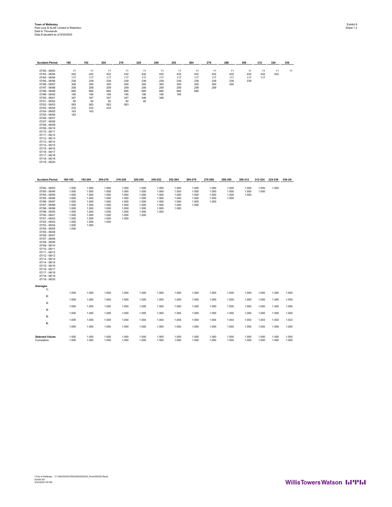| <b>Accident Period</b>                                                                                                                                                                                                                                                                                                                                                                                                                                                                                           | 180                                                                                                               | 192                                                                                                      | 204                                                                                             | 216                                                                                    | 228                                                                           | 240                                                                  | 252                                                         | 264                                                | 276                                       | 288                              | 300                     | 312              | 324            | 336            |
|------------------------------------------------------------------------------------------------------------------------------------------------------------------------------------------------------------------------------------------------------------------------------------------------------------------------------------------------------------------------------------------------------------------------------------------------------------------------------------------------------------------|-------------------------------------------------------------------------------------------------------------------|----------------------------------------------------------------------------------------------------------|-------------------------------------------------------------------------------------------------|----------------------------------------------------------------------------------------|-------------------------------------------------------------------------------|----------------------------------------------------------------------|-------------------------------------------------------------|----------------------------------------------------|-------------------------------------------|----------------------------------|-------------------------|------------------|----------------|----------------|
| 07/92 - 06/93<br>07/93 - 06/94<br>07/94 - 06/95<br>07/95 - 06/96<br>07/96 - 06/97<br>07/97 - 06/98<br>07/98 - 06/99<br>07/99 - 06/00<br>$07/00 - 06/01$<br>07/01 - 06/02<br>07/02 - 06/03<br>$07/03 - 06/04$<br>07/04 - 06/05<br>$07/05 - 06/06$<br>07/06 - 06/07<br>07/07 - 06/08<br>07/08 - 06/09<br>$07/09 - 06/10$<br>$07/10 - 06/11$<br>$07/11 - 06/12$<br>07/12 - 06/13<br>$07/13 - 06/14$<br>$07/14 - 06/15$<br>$07/15 - 06/16$<br>$07/16 - 06/17$<br>07/17 - 06/18<br>$07/18 - 06/19$<br>$07/19 - 06/20$ | 11<br>432<br>117<br>239<br>300<br>259<br>685<br>195<br>347<br>92<br>563<br>233<br>163<br>183                      | 11<br>432<br>117<br>239<br>300<br>259<br>685<br>195<br>347<br>92<br>563<br>233<br>163                    | 11<br>432<br>117<br>239<br>300<br>259<br>685<br>195<br>347<br>92<br>563<br>233                  | 11<br>432<br>117<br>239<br>300<br>259<br>685<br>195<br>347<br>92<br>563                | 11<br>432<br>117<br>239<br>300<br>259<br>685<br>195<br>348<br>92              | 11<br>432<br>117<br>239<br>300<br>259<br>685<br>195<br>348           | 11<br>432<br>117<br>239<br>300<br>259<br>685<br>195         | 11<br>432<br>117<br>239<br>300<br>259<br>685       | 11<br>432<br>117<br>239<br>300<br>259     | 11<br>432<br>117<br>239<br>300   | 11<br>432<br>117<br>239 | 11<br>432<br>117 | 11<br>432      | 11             |
| <b>Accident Period</b>                                                                                                                                                                                                                                                                                                                                                                                                                                                                                           | 180-192                                                                                                           | 192-204                                                                                                  | 204-216                                                                                         | 216-228                                                                                | 228-240                                                                       | 240-252                                                              | 252-264                                                     | 264-276                                            | 276-288                                   | 288-300                          | 300-312                 | 312-324          | 324-336        | 336-Ult        |
| 07/92 - 06/93<br>07/93 - 06/94<br>07/94 - 06/95<br>07/95 - 06/96<br>07/96 - 06/97<br>07/97 - 06/98<br>07/98 - 06/99<br>$07/99 - 06/00$<br>07/00 - 06/01<br>$07/01 - 06/02$<br>$07/02 - 06/03$<br>07/03 - 06/04<br>$07/04 - 06/05$<br>07/05 - 06/06<br>07/06 - 06/07<br>$07/07 - 06/08$<br>07/08 - 06/09<br>07/09 - 06/10<br>$07/10 - 06/11$<br>$07/11 - 06/12$<br>$07/12 - 06/13$<br>07/13 - 06/14<br>$07/14 - 06/15$<br>$07/15 - 06/16$<br>07/16 - 06/17<br>$07/17 - 06/18$<br>07/18 - 06/19<br>$07/19 - 06/20$ | 1.000<br>1.000<br>1.000<br>1.000<br>1.000<br>1.000<br>1.000<br>1.000<br>1.000<br>1.000<br>1.000<br>1.000<br>1.000 | 1.000<br>1.000<br>1.000<br>1.000<br>1.000<br>1.000<br>1.000<br>1.000<br>1.000<br>1.000<br>1.000<br>1.000 | 1.000<br>1.000<br>1.000<br>1.000<br>1.000<br>1.000<br>1.000<br>1.000<br>1.000<br>1.000<br>1.000 | 1.000<br>1.000<br>1.000<br>1.000<br>1.000<br>1.000<br>1.000<br>1.000<br>1.000<br>1.000 | 1.000<br>1.000<br>1.000<br>1.000<br>1.000<br>1.000<br>1.000<br>1.000<br>1.000 | 1.000<br>1.000<br>1.000<br>1.000<br>1.000<br>1.000<br>1.000<br>1.000 | 1.000<br>1.000<br>1.000<br>1.000<br>1.000<br>1.000<br>1.000 | 1.000<br>1.000<br>1.000<br>1.000<br>1.000<br>1.000 | 1.000<br>1.000<br>1.000<br>1.000<br>1.000 | 1.000<br>1.000<br>1.000<br>1.000 | 1.000<br>1.000<br>1.000 | 1.000<br>1.000   | 1.000          |                |
| Averages<br>1:                                                                                                                                                                                                                                                                                                                                                                                                                                                                                                   |                                                                                                                   |                                                                                                          |                                                                                                 |                                                                                        |                                                                               |                                                                      |                                                             |                                                    |                                           |                                  |                         |                  |                |                |
| 2:                                                                                                                                                                                                                                                                                                                                                                                                                                                                                                               | 1.000<br>1.000                                                                                                    | 1.000                                                                                                    | 1.000<br>1.000                                                                                  | 1.000                                                                                  | 1.000<br>1.000                                                                | 1.000                                                                | 1.000                                                       | 1.000                                              | 1.000                                     | 1.000                            | 1.000<br>1.000          | 1.000<br>1.000   | 1.000          | 1.000          |
| 3:                                                                                                                                                                                                                                                                                                                                                                                                                                                                                                               |                                                                                                                   | 1.000                                                                                                    |                                                                                                 | 1.000                                                                                  |                                                                               | 1.000                                                                | 1.000                                                       | 1.000                                              | 1.000                                     | 1.000                            |                         |                  | 1.000          | 1.000          |
| 4:                                                                                                                                                                                                                                                                                                                                                                                                                                                                                                               | 1.000                                                                                                             | 1.000                                                                                                    | 1.000                                                                                           | 1.000                                                                                  | 1.000                                                                         | 1.000                                                                | 1.000                                                       | 1.000                                              | 1.000                                     | 1.000                            | 1.000                   | 1.000            | 1.000          | 1.000          |
| 5:                                                                                                                                                                                                                                                                                                                                                                                                                                                                                                               | 1.000                                                                                                             | 1.000                                                                                                    | 1.000                                                                                           | 1.000                                                                                  | 1.000                                                                         | 1.000                                                                | 1.000                                                       | 1.000                                              | 1.000                                     | 1.000                            | 1.000                   | 1.000            | 1.000          | 1.000          |
| 6:                                                                                                                                                                                                                                                                                                                                                                                                                                                                                                               | 1.005                                                                                                             | 1.005<br>1.000                                                                                           | 1.005<br>1.000                                                                                  | 1.004<br>1.000                                                                         | 1.004<br>1.000                                                                | 1.004<br>1.000                                                       | 1.004<br>1.000                                              | 1.004<br>1.000                                     | 1.004<br>1.000                            | 1.003<br>1.000                   | 1.003<br>1.000          | 1.003<br>1.000   | 1.003<br>1.000 | 1.023<br>1.000 |
| <b>Selected Values</b><br>Cumulative                                                                                                                                                                                                                                                                                                                                                                                                                                                                             | 1.000<br>1.000<br>1.000                                                                                           | 1.000<br>1.000                                                                                           | 1.000<br>1.000                                                                                  | 1.000<br>1.000                                                                         | 1.000<br>1.000                                                                | 1.000<br>1.000                                                       | 1.000<br>1.000                                              | 1.000<br>1.000                                     | 1.000<br>1.000                            | 1.000<br>1.000                   | 1.000<br>1.000          | 1.000<br>1.000   | 1.000<br>1.000 | 1.000<br>1.000 |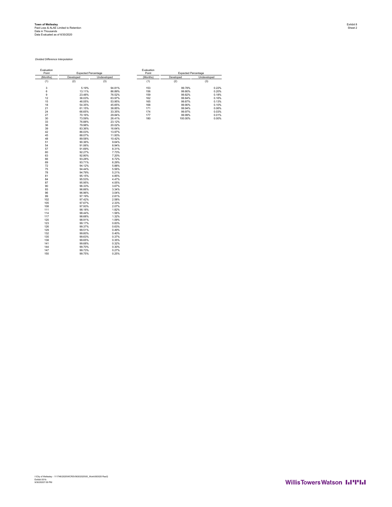#### *Divided Difference Interpolation*

| Evaluation<br>Point | <b>Expected Percentage</b> |             | Evaluation<br>Point | <b>Expected Percentage</b> |             |  |  |  |
|---------------------|----------------------------|-------------|---------------------|----------------------------|-------------|--|--|--|
| (Months)            | Developed                  | Undeveloped | (Months)            | Developed                  | Undeveloped |  |  |  |
| (1)                 | (2)                        | (3)         | (1)                 | (2)                        | (3)         |  |  |  |
| 3                   | 5.19%                      | 94.81%      | 153                 | 99.78%                     | 0.22%       |  |  |  |
| 6                   | 13.11%                     | 86.89%      | 156                 | 99.80%                     | 0.20%       |  |  |  |
| 9                   | 23.48%                     | 76.52%      | 159                 | 99.82%                     | 0.18%       |  |  |  |
| 12                  | 36.03%                     | 63.97%      | 162                 | 99.84%                     | 0.16%       |  |  |  |
| 15                  | 46.05%                     | 53.95%      | 165                 | 99.87%                     | 0.13%       |  |  |  |
| 18                  | 54.35%                     | 45.65%      | 168                 | 99.90%                     | 0.10%       |  |  |  |
| 21                  | 61.15%                     | 38.85%      | 171                 | 99.94%                     | 0.06%       |  |  |  |
| 24                  | 66.65%                     | 33.35%      | 174                 | 99.97%                     | 0.03%       |  |  |  |
| 27                  | 70.16%                     | 29.84%      | 177                 | 99.99%                     | 0.01%       |  |  |  |
| 30                  | 73.59%                     | 26.41%      | 180                 | 100.00%                    | 0.00%       |  |  |  |
| 33                  | 76.88%                     | 23.12%      |                     |                            |             |  |  |  |
| 36                  | 79.98%                     | 20.02%      |                     |                            |             |  |  |  |
| 39                  | 83.36%                     | 16.64%      |                     |                            |             |  |  |  |
| 42                  | 86.03%                     | 13.97%      |                     |                            |             |  |  |  |
| 45                  | 88.07%                     | 11.93%      |                     |                            |             |  |  |  |
| 48                  | 89.58%                     | 10.42%      |                     |                            |             |  |  |  |
| 51                  | 90.36%                     | 9.64%       |                     |                            |             |  |  |  |
| 54                  | 91.06%                     | 8.94%       |                     |                            |             |  |  |  |
| 57                  | 91.69%                     | 8.31%       |                     |                            |             |  |  |  |
| 60                  | 92.27%                     | 7.73%       |                     |                            |             |  |  |  |
| 63                  | 92.80%                     | 7.20%       |                     |                            |             |  |  |  |
| 66                  | 93.28%                     | 6.72%       |                     |                            |             |  |  |  |
| 69                  | 93.71%                     | 6.29%       |                     |                            |             |  |  |  |
| 72                  | 94.12%                     | 5.88%       |                     |                            |             |  |  |  |
| 75                  | 94.44%                     | 5.56%       |                     |                            |             |  |  |  |
| 78                  | 94.79%                     | 5.21%       |                     |                            |             |  |  |  |
| 81                  | 95.15%                     | 4.85%       |                     |                            |             |  |  |  |
| 84                  | 95.53%                     | 4.47%       |                     |                            |             |  |  |  |
| 87                  | 95.95%                     | 4.05%       |                     |                            |             |  |  |  |
| 90                  | 96.33%                     | 3.67%       |                     |                            |             |  |  |  |
| 93                  | 96.66%                     | 3.34%       |                     |                            |             |  |  |  |
| 96                  | 96.96%                     | 3.04%       |                     |                            |             |  |  |  |
| 99                  | 97.19%                     | 2.81%       |                     |                            |             |  |  |  |
| 102                 | 97.42%                     | 2.58%       |                     |                            |             |  |  |  |
| 105                 | 97.67%                     | 2.33%       |                     |                            |             |  |  |  |
| 108                 | 97.93%                     | 2.07%       |                     |                            |             |  |  |  |
| 111                 | 98.18%                     | 1.82%       |                     |                            |             |  |  |  |
| 114                 | 98.44%                     | 1.56%       |                     |                            |             |  |  |  |
| 117                 | 98.68%                     | 1.32%       |                     |                            |             |  |  |  |
| 120                 | 98.91%                     | 1.09%       |                     |                            |             |  |  |  |
| 123                 | 99.17%                     | 0.83%       |                     |                            |             |  |  |  |
| 126                 | 99.37%                     | 0.63%       |                     |                            |             |  |  |  |
| 129                 | 99.51%                     | 0.49%       |                     |                            |             |  |  |  |
| 132                 | 99.60%                     | 0.40%       |                     |                            |             |  |  |  |
| 135                 | 99.63%                     | 0.37%       |                     |                            |             |  |  |  |
| 138                 | 99.65%                     | 0.35%       |                     |                            |             |  |  |  |
| 141                 | 99.68%                     | 0.32%       |                     |                            |             |  |  |  |
| 144                 | 99.70%                     | 0.30%       |                     |                            |             |  |  |  |
| 147                 | 99.73%                     | 0.27%       |                     |                            |             |  |  |  |
| 150                 | 99.75%                     | 0.25%       |                     |                            |             |  |  |  |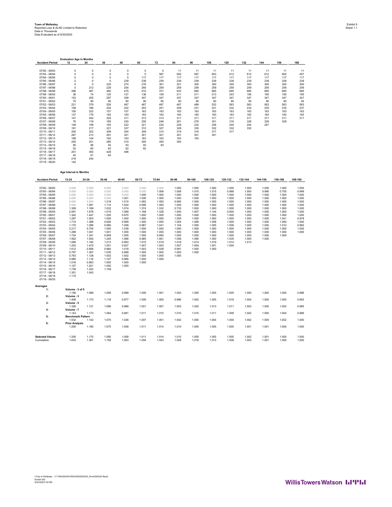| 07/92 - 06/93<br>0<br>$\pmb{0}$<br>$\mathbf 0$<br>$\mathsf 0$<br>$\mathsf 0$<br>$\mathbf 0$<br>11<br>11<br>11<br>11<br>11<br>11<br>11<br>11<br>07/93 - 06/94<br>$\mathbf 0$<br>$\mathbf 0$<br>$\mathbf 0$<br>$\mathbf 0$<br>$\Omega$<br>587<br>592<br>597<br>603<br>612<br>612<br>612<br>605<br>457<br>07/94 - 06/95<br>$\pmb{0}$<br>$\pmb{0}$<br>$\mathbf 0$<br>$\pmb{0}$<br>117<br>117<br>117<br>117<br>117<br>117<br>117<br>117<br>117<br>117<br>07/95 - 06/96<br>0<br>$\mathbf 0$<br>$\mathbf 0$<br>239<br>239<br>239<br>239<br>239<br>239<br>239<br>239<br>239<br>239<br>239<br>$\mathbf 0$<br>$\pmb{0}$<br>225<br>274<br>278<br>301<br>301<br>300<br>300<br>300<br>300<br>300<br>300<br>300<br>07/96 - 06/97<br>07/97 - 06/98<br>$\circ$<br>212<br>229<br>254<br>260<br>259<br>259<br>259<br>259<br>259<br>259<br>259<br>259<br>259<br>701<br>685<br>07/98 - 06/99<br>296<br>387<br>460<br>475<br>510<br>933<br>685<br>685<br>685<br>685<br>685<br>685<br>07/99 - 06/00<br>36<br>74<br>125<br>127<br>136<br>159<br>211<br>211<br>213<br>243<br>195<br>195<br>195<br>195<br>205<br>347<br>347<br>347<br>347<br>347<br>347<br>153<br>297<br>358<br>347<br>347<br>347<br>$07/00 - 06/01$<br>347<br>70<br>90<br>90<br>90<br>90<br>90<br>90<br>90<br>90<br>90<br>90<br>90<br>90<br>94<br>07/01 - 06/02<br>379<br>487<br>487<br>489<br>563<br>07/02 - 06/03<br>221<br>526<br>487<br>487<br>532<br>563<br>563<br>563<br>563<br>202<br>201<br>231<br>233<br>235<br>237<br>07/03 - 06/04<br>159<br>186<br>204<br>203<br>209<br>231<br>232<br>235<br>222<br>163<br>163<br>100<br>157<br>157<br>163<br>163<br>163<br>163<br>163<br>163<br>163<br>163<br>07/04 - 06/05<br>183<br>183<br>183<br>183<br>07/05 - 06/06<br>137<br>176<br>183<br>183<br>183<br>183<br>183<br>183<br>183<br>183<br>242<br>311<br>313<br>311<br>311<br>311<br>07/06 - 06/07<br>141<br>325<br>313<br>311<br>311<br>311<br>311<br>311<br>07/07 - 06/08<br>76<br>246<br>276<br>301<br>328<br>328<br>119<br>185<br>230<br>250<br>261<br>316<br>328<br>07/08 - 06/09<br>148<br>158<br>183<br>222<br>221<br>224<br>228<br>232<br>236<br>240<br>244<br>247<br>337<br>312<br>327<br>332<br>181<br>217<br>321<br>328<br>330<br>332<br>332<br>$07/09 - 06/10$<br>$07/10 - 06/11$<br>200<br>322<br>309<br>304<br>309<br>310<br>319<br>316<br>317<br>317<br>301<br>301<br>07/11 - 06/12<br>267<br>213<br>291<br>301<br>301<br>301<br>301<br>163<br>$07/12 - 06/13$<br>189<br>144<br>162<br>163<br>163<br>163<br>163<br>255<br>310<br>300<br>300<br>251<br>280<br>300<br>$07/13 - 06/14$<br>95<br>93<br>93<br>93<br>07/14 - 06/15<br>96<br>93<br>$07/15 - 06/16$<br>52<br>62<br>60<br>62<br>62<br>$07/16 - 06/17$<br>201<br>350<br>428<br>496<br>$07/17 - 06/18$<br>45<br>61<br>64<br>$07/18 - 06/19$<br>219<br>244<br>$07/19 - 06/20$<br>142<br>Age Interval in Months<br>36-48<br>48-60<br>60-72<br>72-84<br>84-96<br>96-108<br>108-120<br>120-132<br>132-144<br>144-156<br>156-168<br>168-180<br><b>Accident Period</b><br>$12 - 24$<br>24-36<br>07/92 - 06/93<br>0.000<br>0.000<br>0.000<br>0.000<br>0.000<br>0.000<br>1.000<br>1.000<br>1.000<br>1.000<br>1.000<br>1.000<br>1.000<br>1.000<br>0.000<br>0.000<br>0.000<br>0.000<br>1.008<br>1.008<br>1.015<br>0.999<br>0.755<br>0.999<br>07/93 - 06/94<br>0.000<br>1.010<br>1.000<br>0.990<br>07/94 - 06/95<br>0.000<br>0.000<br>0.000<br>0.000<br>1.000<br>1.000<br>1.000<br>1.000<br>1.000<br>1.000<br>1.000<br>1.000<br>1.000<br>1.000<br>0.000<br>1.000<br>07/95 - 06/96<br>0.000<br>0.000<br>1.001<br>1.000<br>1.000<br>1.000<br>1.000<br>1.000<br>1.000<br>1.000<br>1.000<br>1.000<br>07/96 - 06/97<br>0.000<br>0.000<br>1.218<br>1.015<br>1.083<br>1.000<br>0.995<br>1.000<br>1.000<br>1.000<br>1.000<br>1.000<br>1.000<br>1.000<br>07/97 - 06/98<br>0.000<br>1.081<br>1.110<br>1.024<br>0.995<br>1.000<br>1.000<br>1.000<br>1.000<br>1.000<br>1.000<br>1.000<br>1.000<br>1.000<br>07/98 - 06/99<br>1.309<br>1.189<br>1.032<br>1.074<br>1.374<br>1.332<br>0.733<br>1.000<br>1.000<br>1.000<br>1.000<br>1.000<br>1.000<br>1.000<br>07/99 - 06/00<br>2.081<br>1.678<br>1.019<br>1.068<br>1.168<br>1.328<br>1.000<br>1.007<br>1.144<br>0.800<br>1.000<br>1.000<br>1.000<br>1.000<br>1.000<br>$07/00 - 06/01$<br>1.342<br>1 4 4 7<br>1.205<br>0.970<br>1.000<br>1,000<br>1,000<br>1.000<br>1.000<br>1.000<br>1.000<br>1.000<br>1.000<br>$07/01 - 06/02$<br>1.297<br>1.003<br>1.000<br>1.000<br>1.000<br>1.000<br>1.000<br>1.000<br>1.000<br>1.000<br>1.000<br>1.000<br>1.041<br>0.978<br>1.000<br>1714<br>1.388<br>0.926<br>0.999<br>1,000<br>1.000<br>1.004<br>1.089<br>1.058<br>1,000<br>1.000<br>1.000<br>1,000<br>07/02 - 06/03<br>$07/03 - 06/04$<br>1.170<br>1.096<br>0.990<br>1.008<br>0.987<br>1.041<br>1.104<br>1.000<br>1.005<br>1.006<br>1.005<br>1.000<br>1.012<br>0.982<br>$07/04 - 06/05$<br>0.705<br>1.000<br>1.000<br>1.000<br>1.000<br>2.217<br>1.000<br>1.038<br>1.000<br>1.000<br>1.000<br>1.000<br>1.000<br>1.000<br>07/05 - 06/06<br>1.289<br>1.041<br>1.000<br>1.000<br>1.000<br>1.000<br>1.000<br>1.000<br>1.000<br>1.001<br>1.000<br>1.000<br>1.000<br>1.000<br>1.724<br>1.341<br>0.959<br>1.005<br>1.000<br>0.992<br>1.000<br>1.000<br>1.000<br>1.000<br>1.000<br>1.000<br>1.000<br>07/06 - 06/07<br>0.985<br>1.035<br>07/07 - 06/08<br>1.562<br>1.554<br>1.245<br>1.086<br>1.061<br>1.058<br>1.090<br>1.050<br>1.000<br>1.000<br>07/08 - 06/09<br>1.066<br>1.160<br>1.213<br>0.993<br>1.015<br>1.019<br>1.018<br>1.014<br>1.019<br>1.014<br>1.013<br>1.475<br>0.927<br>1.003<br>1.007<br>1.001<br>1.000<br>$07/09 - 06/10$<br>1.203<br>1.051<br>1.047<br>1.004<br>$07/10 - 06/11$<br>1.612<br>0.958<br>0.984<br>1.018<br>1.003<br>1.028<br>0.991<br>1.000<br>1.000<br>$07/11 - 06/12$<br>0.797<br>1.367<br>1.035<br>0.999<br>1,000<br>1,000<br>1.000<br>1.000<br>$07/12 - 06/13$<br>0.763<br>1.128<br>1.002<br>1.002<br>1.000<br>1.000<br>1.000<br>$07/13 - 06/14$<br>0.966<br>0.985<br>1.116<br>1.107<br>1.000<br>1.000<br>$07/14 - 06/15$<br>1.016<br>0.963<br>1.005<br>1.000<br>1.000<br>$07/15 - 06/16$<br>1.021<br>1.000<br>1.000<br>1.157<br>1.222<br>1.159<br>07/16 - 06/17<br>1.739<br>$07/17 - 06/18$<br>1.043<br>1.351<br>07/18 - 06/19<br>1.115<br>07/19 - 06/20<br>Averages<br>Volume - 3 of 5<br>1:<br>1.156<br>1.089<br>1.058<br>0.999<br>1.000<br>1.001<br>1.003<br>1.005<br>1.005<br>1.005<br>1.000<br>1.000<br>1.000<br>0.996<br>2:<br>Volume - 3<br>0.977<br>1.000<br>0.996<br>1.002<br>1.005<br>1.000<br>0.993<br>1.408<br>1.173<br>1.118<br>1.000<br>1.016<br>1.004<br>1.000<br>Volume - 5<br>3:<br>0.995<br>1.326<br>1.131<br>1.096<br>0.988<br>1.001<br>1.007<br>1.003<br>1.020<br>1.013<br>1.011<br>1.003<br>1.000<br>1.002<br>4:<br>Volume - 7<br>1.143<br>1.173<br>1.064<br>0.981<br>1.011<br>1.015<br>1.010<br>1.015<br>1.011<br>1.009<br>1.002<br>1.000<br>1.004<br>0.996<br>5:<br><b>Benchmark Pattern</b><br>1.532<br>1.142<br>1.070<br>1.026<br>1.007<br>1.001<br>1.002<br>1.000<br>1.004<br>1.000<br>1.002<br>1.005<br>1.002<br>1.000<br>6:<br><b>Prior Analysis</b><br>1.200<br>1.180<br>1.075<br>1.008<br>1.011<br>1.014<br>1.010<br>1.005<br>1.005<br>1.005<br>1.001<br>1.001<br>1.000<br>1.000<br>1.175<br>1.090<br>1.008<br>1.011<br>1.014<br>1.010<br>1.005<br>1.005<br>1.005<br>1.002<br>1.001<br>1.000<br>1.000<br><b>Selected Values</b><br>1.200<br>Cumulative<br>1.633<br>1.361<br>1.158<br>1.063<br>1.054<br>1.043<br>1.028<br>1.018<br>1.013<br>1.008<br>1.003<br>1.001<br>1.000<br>1.000 | <b>Accident Period</b> | <b>Evaluation Age in Months</b><br>12 | 24 | 36 | 48 | 60 | 72 | 84 | 96 | 108 | 120 | 132 | 144 | 156 | 168 |
|------------------------------------------------------------------------------------------------------------------------------------------------------------------------------------------------------------------------------------------------------------------------------------------------------------------------------------------------------------------------------------------------------------------------------------------------------------------------------------------------------------------------------------------------------------------------------------------------------------------------------------------------------------------------------------------------------------------------------------------------------------------------------------------------------------------------------------------------------------------------------------------------------------------------------------------------------------------------------------------------------------------------------------------------------------------------------------------------------------------------------------------------------------------------------------------------------------------------------------------------------------------------------------------------------------------------------------------------------------------------------------------------------------------------------------------------------------------------------------------------------------------------------------------------------------------------------------------------------------------------------------------------------------------------------------------------------------------------------------------------------------------------------------------------------------------------------------------------------------------------------------------------------------------------------------------------------------------------------------------------------------------------------------------------------------------------------------------------------------------------------------------------------------------------------------------------------------------------------------------------------------------------------------------------------------------------------------------------------------------------------------------------------------------------------------------------------------------------------------------------------------------------------------------------------------------------------------------------------------------------------------------------------------------------------------------------------------------------------------------------------------------------------------------------------------------------------------------------------------------------------------------------------------------------------------------------------------------------------------------------------------------------------------------------------------------------------------------------------------------------------------------------------------------------------------------------------------------------------------------------------------------------------------------------------------------------------------------------------------------------------------------------------------------------------------------------------------------------------------------------------------------------------------------------------------------------------------------------------------------------------------------------------------------------------------------------------------------------------------------------------------------------------------------------------------------------------------------------------------------------------------------------------------------------------------------------------------------------------------------------------------------------------------------------------------------------------------------------------------------------------------------------------------------------------------------------------------------------------------------------------------------------------------------------------------------------------------------------------------------------------------------------------------------------------------------------------------------------------------------------------------------------------------------------------------------------------------------------------------------------------------------------------------------------------------------------------------------------------------------------------------------------------------------------------------------------------------------------------------------------------------------------------------------------------------------------------------------------------------------------------------------------------------------------------------------------------------------------------------------------------------------------------------------------------------------------------------------------------------------------------------------------------------------------------------------------------------------------------------------------------------------------------------------------------------------------------------------------------------------------------------------------------------------------------------------------------------------------------------------------------------------------------------------------------------------------------------------------------------------------------------------------------------------------------------------------------------------------------------------------------------------------------------------------------------------------------------------------------------------------------------------------------------------------------------------------------------------------------------------------------------------------------------------------------------------------------------------------------------------------------------------------------------------------------------------------------------------------------------------------------------------------------------------------------------------------------------------------------------------------------------------------------------------------------------------------------------------------------------------------------------------------------------------------------------------------------------------------------------------------------------------------------------------------------------------------------------------------------------------------------------------------------------------------------------------------------------------------------------------------------------------------------------------------------------------------------------------------------------------------------------------------------------------------------------------------------------------------------------------------------------------------------------------------------------------------------------------------------------------------------------------------------------------------------------------------------------------------------|------------------------|---------------------------------------|----|----|----|----|----|----|----|-----|-----|-----|-----|-----|-----|
|                                                                                                                                                                                                                                                                                                                                                                                                                                                                                                                                                                                                                                                                                                                                                                                                                                                                                                                                                                                                                                                                                                                                                                                                                                                                                                                                                                                                                                                                                                                                                                                                                                                                                                                                                                                                                                                                                                                                                                                                                                                                                                                                                                                                                                                                                                                                                                                                                                                                                                                                                                                                                                                                                                                                                                                                                                                                                                                                                                                                                                                                                                                                                                                                                                                                                                                                                                                                                                                                                                                                                                                                                                                                                                                                                                                                                                                                                                                                                                                                                                                                                                                                                                                                                                                                                                                                                                                                                                                                                                                                                                                                                                                                                                                                                                                                                                                                                                                                                                                                                                                                                                                                                                                                                                                                                                                                                                                                                                                                                                                                                                                                                                                                                                                                                                                                                                                                                                                                                                                                                                                                                                                                                                                                                                                                                                                                                                                                                                                                                                                                                                                                                                                                                                                                                                                                                                                                                                                                                                                                                                                                                                                                                                                                                                                                                                                                                                                                                                                                              |                        |                                       |    |    |    |    |    |    |    |     |     |     |     |     |     |
|                                                                                                                                                                                                                                                                                                                                                                                                                                                                                                                                                                                                                                                                                                                                                                                                                                                                                                                                                                                                                                                                                                                                                                                                                                                                                                                                                                                                                                                                                                                                                                                                                                                                                                                                                                                                                                                                                                                                                                                                                                                                                                                                                                                                                                                                                                                                                                                                                                                                                                                                                                                                                                                                                                                                                                                                                                                                                                                                                                                                                                                                                                                                                                                                                                                                                                                                                                                                                                                                                                                                                                                                                                                                                                                                                                                                                                                                                                                                                                                                                                                                                                                                                                                                                                                                                                                                                                                                                                                                                                                                                                                                                                                                                                                                                                                                                                                                                                                                                                                                                                                                                                                                                                                                                                                                                                                                                                                                                                                                                                                                                                                                                                                                                                                                                                                                                                                                                                                                                                                                                                                                                                                                                                                                                                                                                                                                                                                                                                                                                                                                                                                                                                                                                                                                                                                                                                                                                                                                                                                                                                                                                                                                                                                                                                                                                                                                                                                                                                                                              |                        |                                       |    |    |    |    |    |    |    |     |     |     |     |     |     |
|                                                                                                                                                                                                                                                                                                                                                                                                                                                                                                                                                                                                                                                                                                                                                                                                                                                                                                                                                                                                                                                                                                                                                                                                                                                                                                                                                                                                                                                                                                                                                                                                                                                                                                                                                                                                                                                                                                                                                                                                                                                                                                                                                                                                                                                                                                                                                                                                                                                                                                                                                                                                                                                                                                                                                                                                                                                                                                                                                                                                                                                                                                                                                                                                                                                                                                                                                                                                                                                                                                                                                                                                                                                                                                                                                                                                                                                                                                                                                                                                                                                                                                                                                                                                                                                                                                                                                                                                                                                                                                                                                                                                                                                                                                                                                                                                                                                                                                                                                                                                                                                                                                                                                                                                                                                                                                                                                                                                                                                                                                                                                                                                                                                                                                                                                                                                                                                                                                                                                                                                                                                                                                                                                                                                                                                                                                                                                                                                                                                                                                                                                                                                                                                                                                                                                                                                                                                                                                                                                                                                                                                                                                                                                                                                                                                                                                                                                                                                                                                                              |                        |                                       |    |    |    |    |    |    |    |     |     |     |     |     |     |
|                                                                                                                                                                                                                                                                                                                                                                                                                                                                                                                                                                                                                                                                                                                                                                                                                                                                                                                                                                                                                                                                                                                                                                                                                                                                                                                                                                                                                                                                                                                                                                                                                                                                                                                                                                                                                                                                                                                                                                                                                                                                                                                                                                                                                                                                                                                                                                                                                                                                                                                                                                                                                                                                                                                                                                                                                                                                                                                                                                                                                                                                                                                                                                                                                                                                                                                                                                                                                                                                                                                                                                                                                                                                                                                                                                                                                                                                                                                                                                                                                                                                                                                                                                                                                                                                                                                                                                                                                                                                                                                                                                                                                                                                                                                                                                                                                                                                                                                                                                                                                                                                                                                                                                                                                                                                                                                                                                                                                                                                                                                                                                                                                                                                                                                                                                                                                                                                                                                                                                                                                                                                                                                                                                                                                                                                                                                                                                                                                                                                                                                                                                                                                                                                                                                                                                                                                                                                                                                                                                                                                                                                                                                                                                                                                                                                                                                                                                                                                                                                              |                        |                                       |    |    |    |    |    |    |    |     |     |     |     |     |     |
|                                                                                                                                                                                                                                                                                                                                                                                                                                                                                                                                                                                                                                                                                                                                                                                                                                                                                                                                                                                                                                                                                                                                                                                                                                                                                                                                                                                                                                                                                                                                                                                                                                                                                                                                                                                                                                                                                                                                                                                                                                                                                                                                                                                                                                                                                                                                                                                                                                                                                                                                                                                                                                                                                                                                                                                                                                                                                                                                                                                                                                                                                                                                                                                                                                                                                                                                                                                                                                                                                                                                                                                                                                                                                                                                                                                                                                                                                                                                                                                                                                                                                                                                                                                                                                                                                                                                                                                                                                                                                                                                                                                                                                                                                                                                                                                                                                                                                                                                                                                                                                                                                                                                                                                                                                                                                                                                                                                                                                                                                                                                                                                                                                                                                                                                                                                                                                                                                                                                                                                                                                                                                                                                                                                                                                                                                                                                                                                                                                                                                                                                                                                                                                                                                                                                                                                                                                                                                                                                                                                                                                                                                                                                                                                                                                                                                                                                                                                                                                                                              |                        |                                       |    |    |    |    |    |    |    |     |     |     |     |     |     |
|                                                                                                                                                                                                                                                                                                                                                                                                                                                                                                                                                                                                                                                                                                                                                                                                                                                                                                                                                                                                                                                                                                                                                                                                                                                                                                                                                                                                                                                                                                                                                                                                                                                                                                                                                                                                                                                                                                                                                                                                                                                                                                                                                                                                                                                                                                                                                                                                                                                                                                                                                                                                                                                                                                                                                                                                                                                                                                                                                                                                                                                                                                                                                                                                                                                                                                                                                                                                                                                                                                                                                                                                                                                                                                                                                                                                                                                                                                                                                                                                                                                                                                                                                                                                                                                                                                                                                                                                                                                                                                                                                                                                                                                                                                                                                                                                                                                                                                                                                                                                                                                                                                                                                                                                                                                                                                                                                                                                                                                                                                                                                                                                                                                                                                                                                                                                                                                                                                                                                                                                                                                                                                                                                                                                                                                                                                                                                                                                                                                                                                                                                                                                                                                                                                                                                                                                                                                                                                                                                                                                                                                                                                                                                                                                                                                                                                                                                                                                                                                                              |                        |                                       |    |    |    |    |    |    |    |     |     |     |     |     |     |
|                                                                                                                                                                                                                                                                                                                                                                                                                                                                                                                                                                                                                                                                                                                                                                                                                                                                                                                                                                                                                                                                                                                                                                                                                                                                                                                                                                                                                                                                                                                                                                                                                                                                                                                                                                                                                                                                                                                                                                                                                                                                                                                                                                                                                                                                                                                                                                                                                                                                                                                                                                                                                                                                                                                                                                                                                                                                                                                                                                                                                                                                                                                                                                                                                                                                                                                                                                                                                                                                                                                                                                                                                                                                                                                                                                                                                                                                                                                                                                                                                                                                                                                                                                                                                                                                                                                                                                                                                                                                                                                                                                                                                                                                                                                                                                                                                                                                                                                                                                                                                                                                                                                                                                                                                                                                                                                                                                                                                                                                                                                                                                                                                                                                                                                                                                                                                                                                                                                                                                                                                                                                                                                                                                                                                                                                                                                                                                                                                                                                                                                                                                                                                                                                                                                                                                                                                                                                                                                                                                                                                                                                                                                                                                                                                                                                                                                                                                                                                                                                              |                        |                                       |    |    |    |    |    |    |    |     |     |     |     |     |     |
|                                                                                                                                                                                                                                                                                                                                                                                                                                                                                                                                                                                                                                                                                                                                                                                                                                                                                                                                                                                                                                                                                                                                                                                                                                                                                                                                                                                                                                                                                                                                                                                                                                                                                                                                                                                                                                                                                                                                                                                                                                                                                                                                                                                                                                                                                                                                                                                                                                                                                                                                                                                                                                                                                                                                                                                                                                                                                                                                                                                                                                                                                                                                                                                                                                                                                                                                                                                                                                                                                                                                                                                                                                                                                                                                                                                                                                                                                                                                                                                                                                                                                                                                                                                                                                                                                                                                                                                                                                                                                                                                                                                                                                                                                                                                                                                                                                                                                                                                                                                                                                                                                                                                                                                                                                                                                                                                                                                                                                                                                                                                                                                                                                                                                                                                                                                                                                                                                                                                                                                                                                                                                                                                                                                                                                                                                                                                                                                                                                                                                                                                                                                                                                                                                                                                                                                                                                                                                                                                                                                                                                                                                                                                                                                                                                                                                                                                                                                                                                                                              |                        |                                       |    |    |    |    |    |    |    |     |     |     |     |     |     |
|                                                                                                                                                                                                                                                                                                                                                                                                                                                                                                                                                                                                                                                                                                                                                                                                                                                                                                                                                                                                                                                                                                                                                                                                                                                                                                                                                                                                                                                                                                                                                                                                                                                                                                                                                                                                                                                                                                                                                                                                                                                                                                                                                                                                                                                                                                                                                                                                                                                                                                                                                                                                                                                                                                                                                                                                                                                                                                                                                                                                                                                                                                                                                                                                                                                                                                                                                                                                                                                                                                                                                                                                                                                                                                                                                                                                                                                                                                                                                                                                                                                                                                                                                                                                                                                                                                                                                                                                                                                                                                                                                                                                                                                                                                                                                                                                                                                                                                                                                                                                                                                                                                                                                                                                                                                                                                                                                                                                                                                                                                                                                                                                                                                                                                                                                                                                                                                                                                                                                                                                                                                                                                                                                                                                                                                                                                                                                                                                                                                                                                                                                                                                                                                                                                                                                                                                                                                                                                                                                                                                                                                                                                                                                                                                                                                                                                                                                                                                                                                                              |                        |                                       |    |    |    |    |    |    |    |     |     |     |     |     |     |
|                                                                                                                                                                                                                                                                                                                                                                                                                                                                                                                                                                                                                                                                                                                                                                                                                                                                                                                                                                                                                                                                                                                                                                                                                                                                                                                                                                                                                                                                                                                                                                                                                                                                                                                                                                                                                                                                                                                                                                                                                                                                                                                                                                                                                                                                                                                                                                                                                                                                                                                                                                                                                                                                                                                                                                                                                                                                                                                                                                                                                                                                                                                                                                                                                                                                                                                                                                                                                                                                                                                                                                                                                                                                                                                                                                                                                                                                                                                                                                                                                                                                                                                                                                                                                                                                                                                                                                                                                                                                                                                                                                                                                                                                                                                                                                                                                                                                                                                                                                                                                                                                                                                                                                                                                                                                                                                                                                                                                                                                                                                                                                                                                                                                                                                                                                                                                                                                                                                                                                                                                                                                                                                                                                                                                                                                                                                                                                                                                                                                                                                                                                                                                                                                                                                                                                                                                                                                                                                                                                                                                                                                                                                                                                                                                                                                                                                                                                                                                                                                              |                        |                                       |    |    |    |    |    |    |    |     |     |     |     |     |     |
|                                                                                                                                                                                                                                                                                                                                                                                                                                                                                                                                                                                                                                                                                                                                                                                                                                                                                                                                                                                                                                                                                                                                                                                                                                                                                                                                                                                                                                                                                                                                                                                                                                                                                                                                                                                                                                                                                                                                                                                                                                                                                                                                                                                                                                                                                                                                                                                                                                                                                                                                                                                                                                                                                                                                                                                                                                                                                                                                                                                                                                                                                                                                                                                                                                                                                                                                                                                                                                                                                                                                                                                                                                                                                                                                                                                                                                                                                                                                                                                                                                                                                                                                                                                                                                                                                                                                                                                                                                                                                                                                                                                                                                                                                                                                                                                                                                                                                                                                                                                                                                                                                                                                                                                                                                                                                                                                                                                                                                                                                                                                                                                                                                                                                                                                                                                                                                                                                                                                                                                                                                                                                                                                                                                                                                                                                                                                                                                                                                                                                                                                                                                                                                                                                                                                                                                                                                                                                                                                                                                                                                                                                                                                                                                                                                                                                                                                                                                                                                                                              |                        |                                       |    |    |    |    |    |    |    |     |     |     |     |     |     |
|                                                                                                                                                                                                                                                                                                                                                                                                                                                                                                                                                                                                                                                                                                                                                                                                                                                                                                                                                                                                                                                                                                                                                                                                                                                                                                                                                                                                                                                                                                                                                                                                                                                                                                                                                                                                                                                                                                                                                                                                                                                                                                                                                                                                                                                                                                                                                                                                                                                                                                                                                                                                                                                                                                                                                                                                                                                                                                                                                                                                                                                                                                                                                                                                                                                                                                                                                                                                                                                                                                                                                                                                                                                                                                                                                                                                                                                                                                                                                                                                                                                                                                                                                                                                                                                                                                                                                                                                                                                                                                                                                                                                                                                                                                                                                                                                                                                                                                                                                                                                                                                                                                                                                                                                                                                                                                                                                                                                                                                                                                                                                                                                                                                                                                                                                                                                                                                                                                                                                                                                                                                                                                                                                                                                                                                                                                                                                                                                                                                                                                                                                                                                                                                                                                                                                                                                                                                                                                                                                                                                                                                                                                                                                                                                                                                                                                                                                                                                                                                                              |                        |                                       |    |    |    |    |    |    |    |     |     |     |     |     |     |
|                                                                                                                                                                                                                                                                                                                                                                                                                                                                                                                                                                                                                                                                                                                                                                                                                                                                                                                                                                                                                                                                                                                                                                                                                                                                                                                                                                                                                                                                                                                                                                                                                                                                                                                                                                                                                                                                                                                                                                                                                                                                                                                                                                                                                                                                                                                                                                                                                                                                                                                                                                                                                                                                                                                                                                                                                                                                                                                                                                                                                                                                                                                                                                                                                                                                                                                                                                                                                                                                                                                                                                                                                                                                                                                                                                                                                                                                                                                                                                                                                                                                                                                                                                                                                                                                                                                                                                                                                                                                                                                                                                                                                                                                                                                                                                                                                                                                                                                                                                                                                                                                                                                                                                                                                                                                                                                                                                                                                                                                                                                                                                                                                                                                                                                                                                                                                                                                                                                                                                                                                                                                                                                                                                                                                                                                                                                                                                                                                                                                                                                                                                                                                                                                                                                                                                                                                                                                                                                                                                                                                                                                                                                                                                                                                                                                                                                                                                                                                                                                              |                        |                                       |    |    |    |    |    |    |    |     |     |     |     |     |     |
|                                                                                                                                                                                                                                                                                                                                                                                                                                                                                                                                                                                                                                                                                                                                                                                                                                                                                                                                                                                                                                                                                                                                                                                                                                                                                                                                                                                                                                                                                                                                                                                                                                                                                                                                                                                                                                                                                                                                                                                                                                                                                                                                                                                                                                                                                                                                                                                                                                                                                                                                                                                                                                                                                                                                                                                                                                                                                                                                                                                                                                                                                                                                                                                                                                                                                                                                                                                                                                                                                                                                                                                                                                                                                                                                                                                                                                                                                                                                                                                                                                                                                                                                                                                                                                                                                                                                                                                                                                                                                                                                                                                                                                                                                                                                                                                                                                                                                                                                                                                                                                                                                                                                                                                                                                                                                                                                                                                                                                                                                                                                                                                                                                                                                                                                                                                                                                                                                                                                                                                                                                                                                                                                                                                                                                                                                                                                                                                                                                                                                                                                                                                                                                                                                                                                                                                                                                                                                                                                                                                                                                                                                                                                                                                                                                                                                                                                                                                                                                                                              |                        |                                       |    |    |    |    |    |    |    |     |     |     |     |     |     |
|                                                                                                                                                                                                                                                                                                                                                                                                                                                                                                                                                                                                                                                                                                                                                                                                                                                                                                                                                                                                                                                                                                                                                                                                                                                                                                                                                                                                                                                                                                                                                                                                                                                                                                                                                                                                                                                                                                                                                                                                                                                                                                                                                                                                                                                                                                                                                                                                                                                                                                                                                                                                                                                                                                                                                                                                                                                                                                                                                                                                                                                                                                                                                                                                                                                                                                                                                                                                                                                                                                                                                                                                                                                                                                                                                                                                                                                                                                                                                                                                                                                                                                                                                                                                                                                                                                                                                                                                                                                                                                                                                                                                                                                                                                                                                                                                                                                                                                                                                                                                                                                                                                                                                                                                                                                                                                                                                                                                                                                                                                                                                                                                                                                                                                                                                                                                                                                                                                                                                                                                                                                                                                                                                                                                                                                                                                                                                                                                                                                                                                                                                                                                                                                                                                                                                                                                                                                                                                                                                                                                                                                                                                                                                                                                                                                                                                                                                                                                                                                                              |                        |                                       |    |    |    |    |    |    |    |     |     |     |     |     |     |
|                                                                                                                                                                                                                                                                                                                                                                                                                                                                                                                                                                                                                                                                                                                                                                                                                                                                                                                                                                                                                                                                                                                                                                                                                                                                                                                                                                                                                                                                                                                                                                                                                                                                                                                                                                                                                                                                                                                                                                                                                                                                                                                                                                                                                                                                                                                                                                                                                                                                                                                                                                                                                                                                                                                                                                                                                                                                                                                                                                                                                                                                                                                                                                                                                                                                                                                                                                                                                                                                                                                                                                                                                                                                                                                                                                                                                                                                                                                                                                                                                                                                                                                                                                                                                                                                                                                                                                                                                                                                                                                                                                                                                                                                                                                                                                                                                                                                                                                                                                                                                                                                                                                                                                                                                                                                                                                                                                                                                                                                                                                                                                                                                                                                                                                                                                                                                                                                                                                                                                                                                                                                                                                                                                                                                                                                                                                                                                                                                                                                                                                                                                                                                                                                                                                                                                                                                                                                                                                                                                                                                                                                                                                                                                                                                                                                                                                                                                                                                                                                              |                        |                                       |    |    |    |    |    |    |    |     |     |     |     |     |     |
|                                                                                                                                                                                                                                                                                                                                                                                                                                                                                                                                                                                                                                                                                                                                                                                                                                                                                                                                                                                                                                                                                                                                                                                                                                                                                                                                                                                                                                                                                                                                                                                                                                                                                                                                                                                                                                                                                                                                                                                                                                                                                                                                                                                                                                                                                                                                                                                                                                                                                                                                                                                                                                                                                                                                                                                                                                                                                                                                                                                                                                                                                                                                                                                                                                                                                                                                                                                                                                                                                                                                                                                                                                                                                                                                                                                                                                                                                                                                                                                                                                                                                                                                                                                                                                                                                                                                                                                                                                                                                                                                                                                                                                                                                                                                                                                                                                                                                                                                                                                                                                                                                                                                                                                                                                                                                                                                                                                                                                                                                                                                                                                                                                                                                                                                                                                                                                                                                                                                                                                                                                                                                                                                                                                                                                                                                                                                                                                                                                                                                                                                                                                                                                                                                                                                                                                                                                                                                                                                                                                                                                                                                                                                                                                                                                                                                                                                                                                                                                                                              |                        |                                       |    |    |    |    |    |    |    |     |     |     |     |     |     |
|                                                                                                                                                                                                                                                                                                                                                                                                                                                                                                                                                                                                                                                                                                                                                                                                                                                                                                                                                                                                                                                                                                                                                                                                                                                                                                                                                                                                                                                                                                                                                                                                                                                                                                                                                                                                                                                                                                                                                                                                                                                                                                                                                                                                                                                                                                                                                                                                                                                                                                                                                                                                                                                                                                                                                                                                                                                                                                                                                                                                                                                                                                                                                                                                                                                                                                                                                                                                                                                                                                                                                                                                                                                                                                                                                                                                                                                                                                                                                                                                                                                                                                                                                                                                                                                                                                                                                                                                                                                                                                                                                                                                                                                                                                                                                                                                                                                                                                                                                                                                                                                                                                                                                                                                                                                                                                                                                                                                                                                                                                                                                                                                                                                                                                                                                                                                                                                                                                                                                                                                                                                                                                                                                                                                                                                                                                                                                                                                                                                                                                                                                                                                                                                                                                                                                                                                                                                                                                                                                                                                                                                                                                                                                                                                                                                                                                                                                                                                                                                                              |                        |                                       |    |    |    |    |    |    |    |     |     |     |     |     |     |
|                                                                                                                                                                                                                                                                                                                                                                                                                                                                                                                                                                                                                                                                                                                                                                                                                                                                                                                                                                                                                                                                                                                                                                                                                                                                                                                                                                                                                                                                                                                                                                                                                                                                                                                                                                                                                                                                                                                                                                                                                                                                                                                                                                                                                                                                                                                                                                                                                                                                                                                                                                                                                                                                                                                                                                                                                                                                                                                                                                                                                                                                                                                                                                                                                                                                                                                                                                                                                                                                                                                                                                                                                                                                                                                                                                                                                                                                                                                                                                                                                                                                                                                                                                                                                                                                                                                                                                                                                                                                                                                                                                                                                                                                                                                                                                                                                                                                                                                                                                                                                                                                                                                                                                                                                                                                                                                                                                                                                                                                                                                                                                                                                                                                                                                                                                                                                                                                                                                                                                                                                                                                                                                                                                                                                                                                                                                                                                                                                                                                                                                                                                                                                                                                                                                                                                                                                                                                                                                                                                                                                                                                                                                                                                                                                                                                                                                                                                                                                                                                              |                        |                                       |    |    |    |    |    |    |    |     |     |     |     |     |     |
|                                                                                                                                                                                                                                                                                                                                                                                                                                                                                                                                                                                                                                                                                                                                                                                                                                                                                                                                                                                                                                                                                                                                                                                                                                                                                                                                                                                                                                                                                                                                                                                                                                                                                                                                                                                                                                                                                                                                                                                                                                                                                                                                                                                                                                                                                                                                                                                                                                                                                                                                                                                                                                                                                                                                                                                                                                                                                                                                                                                                                                                                                                                                                                                                                                                                                                                                                                                                                                                                                                                                                                                                                                                                                                                                                                                                                                                                                                                                                                                                                                                                                                                                                                                                                                                                                                                                                                                                                                                                                                                                                                                                                                                                                                                                                                                                                                                                                                                                                                                                                                                                                                                                                                                                                                                                                                                                                                                                                                                                                                                                                                                                                                                                                                                                                                                                                                                                                                                                                                                                                                                                                                                                                                                                                                                                                                                                                                                                                                                                                                                                                                                                                                                                                                                                                                                                                                                                                                                                                                                                                                                                                                                                                                                                                                                                                                                                                                                                                                                                              |                        |                                       |    |    |    |    |    |    |    |     |     |     |     |     |     |
|                                                                                                                                                                                                                                                                                                                                                                                                                                                                                                                                                                                                                                                                                                                                                                                                                                                                                                                                                                                                                                                                                                                                                                                                                                                                                                                                                                                                                                                                                                                                                                                                                                                                                                                                                                                                                                                                                                                                                                                                                                                                                                                                                                                                                                                                                                                                                                                                                                                                                                                                                                                                                                                                                                                                                                                                                                                                                                                                                                                                                                                                                                                                                                                                                                                                                                                                                                                                                                                                                                                                                                                                                                                                                                                                                                                                                                                                                                                                                                                                                                                                                                                                                                                                                                                                                                                                                                                                                                                                                                                                                                                                                                                                                                                                                                                                                                                                                                                                                                                                                                                                                                                                                                                                                                                                                                                                                                                                                                                                                                                                                                                                                                                                                                                                                                                                                                                                                                                                                                                                                                                                                                                                                                                                                                                                                                                                                                                                                                                                                                                                                                                                                                                                                                                                                                                                                                                                                                                                                                                                                                                                                                                                                                                                                                                                                                                                                                                                                                                                              |                        |                                       |    |    |    |    |    |    |    |     |     |     |     |     |     |
|                                                                                                                                                                                                                                                                                                                                                                                                                                                                                                                                                                                                                                                                                                                                                                                                                                                                                                                                                                                                                                                                                                                                                                                                                                                                                                                                                                                                                                                                                                                                                                                                                                                                                                                                                                                                                                                                                                                                                                                                                                                                                                                                                                                                                                                                                                                                                                                                                                                                                                                                                                                                                                                                                                                                                                                                                                                                                                                                                                                                                                                                                                                                                                                                                                                                                                                                                                                                                                                                                                                                                                                                                                                                                                                                                                                                                                                                                                                                                                                                                                                                                                                                                                                                                                                                                                                                                                                                                                                                                                                                                                                                                                                                                                                                                                                                                                                                                                                                                                                                                                                                                                                                                                                                                                                                                                                                                                                                                                                                                                                                                                                                                                                                                                                                                                                                                                                                                                                                                                                                                                                                                                                                                                                                                                                                                                                                                                                                                                                                                                                                                                                                                                                                                                                                                                                                                                                                                                                                                                                                                                                                                                                                                                                                                                                                                                                                                                                                                                                                              |                        |                                       |    |    |    |    |    |    |    |     |     |     |     |     |     |
|                                                                                                                                                                                                                                                                                                                                                                                                                                                                                                                                                                                                                                                                                                                                                                                                                                                                                                                                                                                                                                                                                                                                                                                                                                                                                                                                                                                                                                                                                                                                                                                                                                                                                                                                                                                                                                                                                                                                                                                                                                                                                                                                                                                                                                                                                                                                                                                                                                                                                                                                                                                                                                                                                                                                                                                                                                                                                                                                                                                                                                                                                                                                                                                                                                                                                                                                                                                                                                                                                                                                                                                                                                                                                                                                                                                                                                                                                                                                                                                                                                                                                                                                                                                                                                                                                                                                                                                                                                                                                                                                                                                                                                                                                                                                                                                                                                                                                                                                                                                                                                                                                                                                                                                                                                                                                                                                                                                                                                                                                                                                                                                                                                                                                                                                                                                                                                                                                                                                                                                                                                                                                                                                                                                                                                                                                                                                                                                                                                                                                                                                                                                                                                                                                                                                                                                                                                                                                                                                                                                                                                                                                                                                                                                                                                                                                                                                                                                                                                                                              |                        |                                       |    |    |    |    |    |    |    |     |     |     |     |     |     |
|                                                                                                                                                                                                                                                                                                                                                                                                                                                                                                                                                                                                                                                                                                                                                                                                                                                                                                                                                                                                                                                                                                                                                                                                                                                                                                                                                                                                                                                                                                                                                                                                                                                                                                                                                                                                                                                                                                                                                                                                                                                                                                                                                                                                                                                                                                                                                                                                                                                                                                                                                                                                                                                                                                                                                                                                                                                                                                                                                                                                                                                                                                                                                                                                                                                                                                                                                                                                                                                                                                                                                                                                                                                                                                                                                                                                                                                                                                                                                                                                                                                                                                                                                                                                                                                                                                                                                                                                                                                                                                                                                                                                                                                                                                                                                                                                                                                                                                                                                                                                                                                                                                                                                                                                                                                                                                                                                                                                                                                                                                                                                                                                                                                                                                                                                                                                                                                                                                                                                                                                                                                                                                                                                                                                                                                                                                                                                                                                                                                                                                                                                                                                                                                                                                                                                                                                                                                                                                                                                                                                                                                                                                                                                                                                                                                                                                                                                                                                                                                                              |                        |                                       |    |    |    |    |    |    |    |     |     |     |     |     |     |
|                                                                                                                                                                                                                                                                                                                                                                                                                                                                                                                                                                                                                                                                                                                                                                                                                                                                                                                                                                                                                                                                                                                                                                                                                                                                                                                                                                                                                                                                                                                                                                                                                                                                                                                                                                                                                                                                                                                                                                                                                                                                                                                                                                                                                                                                                                                                                                                                                                                                                                                                                                                                                                                                                                                                                                                                                                                                                                                                                                                                                                                                                                                                                                                                                                                                                                                                                                                                                                                                                                                                                                                                                                                                                                                                                                                                                                                                                                                                                                                                                                                                                                                                                                                                                                                                                                                                                                                                                                                                                                                                                                                                                                                                                                                                                                                                                                                                                                                                                                                                                                                                                                                                                                                                                                                                                                                                                                                                                                                                                                                                                                                                                                                                                                                                                                                                                                                                                                                                                                                                                                                                                                                                                                                                                                                                                                                                                                                                                                                                                                                                                                                                                                                                                                                                                                                                                                                                                                                                                                                                                                                                                                                                                                                                                                                                                                                                                                                                                                                                              |                        |                                       |    |    |    |    |    |    |    |     |     |     |     |     |     |
|                                                                                                                                                                                                                                                                                                                                                                                                                                                                                                                                                                                                                                                                                                                                                                                                                                                                                                                                                                                                                                                                                                                                                                                                                                                                                                                                                                                                                                                                                                                                                                                                                                                                                                                                                                                                                                                                                                                                                                                                                                                                                                                                                                                                                                                                                                                                                                                                                                                                                                                                                                                                                                                                                                                                                                                                                                                                                                                                                                                                                                                                                                                                                                                                                                                                                                                                                                                                                                                                                                                                                                                                                                                                                                                                                                                                                                                                                                                                                                                                                                                                                                                                                                                                                                                                                                                                                                                                                                                                                                                                                                                                                                                                                                                                                                                                                                                                                                                                                                                                                                                                                                                                                                                                                                                                                                                                                                                                                                                                                                                                                                                                                                                                                                                                                                                                                                                                                                                                                                                                                                                                                                                                                                                                                                                                                                                                                                                                                                                                                                                                                                                                                                                                                                                                                                                                                                                                                                                                                                                                                                                                                                                                                                                                                                                                                                                                                                                                                                                                              |                        |                                       |    |    |    |    |    |    |    |     |     |     |     |     |     |
|                                                                                                                                                                                                                                                                                                                                                                                                                                                                                                                                                                                                                                                                                                                                                                                                                                                                                                                                                                                                                                                                                                                                                                                                                                                                                                                                                                                                                                                                                                                                                                                                                                                                                                                                                                                                                                                                                                                                                                                                                                                                                                                                                                                                                                                                                                                                                                                                                                                                                                                                                                                                                                                                                                                                                                                                                                                                                                                                                                                                                                                                                                                                                                                                                                                                                                                                                                                                                                                                                                                                                                                                                                                                                                                                                                                                                                                                                                                                                                                                                                                                                                                                                                                                                                                                                                                                                                                                                                                                                                                                                                                                                                                                                                                                                                                                                                                                                                                                                                                                                                                                                                                                                                                                                                                                                                                                                                                                                                                                                                                                                                                                                                                                                                                                                                                                                                                                                                                                                                                                                                                                                                                                                                                                                                                                                                                                                                                                                                                                                                                                                                                                                                                                                                                                                                                                                                                                                                                                                                                                                                                                                                                                                                                                                                                                                                                                                                                                                                                                              |                        |                                       |    |    |    |    |    |    |    |     |     |     |     |     |     |
|                                                                                                                                                                                                                                                                                                                                                                                                                                                                                                                                                                                                                                                                                                                                                                                                                                                                                                                                                                                                                                                                                                                                                                                                                                                                                                                                                                                                                                                                                                                                                                                                                                                                                                                                                                                                                                                                                                                                                                                                                                                                                                                                                                                                                                                                                                                                                                                                                                                                                                                                                                                                                                                                                                                                                                                                                                                                                                                                                                                                                                                                                                                                                                                                                                                                                                                                                                                                                                                                                                                                                                                                                                                                                                                                                                                                                                                                                                                                                                                                                                                                                                                                                                                                                                                                                                                                                                                                                                                                                                                                                                                                                                                                                                                                                                                                                                                                                                                                                                                                                                                                                                                                                                                                                                                                                                                                                                                                                                                                                                                                                                                                                                                                                                                                                                                                                                                                                                                                                                                                                                                                                                                                                                                                                                                                                                                                                                                                                                                                                                                                                                                                                                                                                                                                                                                                                                                                                                                                                                                                                                                                                                                                                                                                                                                                                                                                                                                                                                                                              |                        |                                       |    |    |    |    |    |    |    |     |     |     |     |     |     |
|                                                                                                                                                                                                                                                                                                                                                                                                                                                                                                                                                                                                                                                                                                                                                                                                                                                                                                                                                                                                                                                                                                                                                                                                                                                                                                                                                                                                                                                                                                                                                                                                                                                                                                                                                                                                                                                                                                                                                                                                                                                                                                                                                                                                                                                                                                                                                                                                                                                                                                                                                                                                                                                                                                                                                                                                                                                                                                                                                                                                                                                                                                                                                                                                                                                                                                                                                                                                                                                                                                                                                                                                                                                                                                                                                                                                                                                                                                                                                                                                                                                                                                                                                                                                                                                                                                                                                                                                                                                                                                                                                                                                                                                                                                                                                                                                                                                                                                                                                                                                                                                                                                                                                                                                                                                                                                                                                                                                                                                                                                                                                                                                                                                                                                                                                                                                                                                                                                                                                                                                                                                                                                                                                                                                                                                                                                                                                                                                                                                                                                                                                                                                                                                                                                                                                                                                                                                                                                                                                                                                                                                                                                                                                                                                                                                                                                                                                                                                                                                                              |                        |                                       |    |    |    |    |    |    |    |     |     |     |     |     |     |
|                                                                                                                                                                                                                                                                                                                                                                                                                                                                                                                                                                                                                                                                                                                                                                                                                                                                                                                                                                                                                                                                                                                                                                                                                                                                                                                                                                                                                                                                                                                                                                                                                                                                                                                                                                                                                                                                                                                                                                                                                                                                                                                                                                                                                                                                                                                                                                                                                                                                                                                                                                                                                                                                                                                                                                                                                                                                                                                                                                                                                                                                                                                                                                                                                                                                                                                                                                                                                                                                                                                                                                                                                                                                                                                                                                                                                                                                                                                                                                                                                                                                                                                                                                                                                                                                                                                                                                                                                                                                                                                                                                                                                                                                                                                                                                                                                                                                                                                                                                                                                                                                                                                                                                                                                                                                                                                                                                                                                                                                                                                                                                                                                                                                                                                                                                                                                                                                                                                                                                                                                                                                                                                                                                                                                                                                                                                                                                                                                                                                                                                                                                                                                                                                                                                                                                                                                                                                                                                                                                                                                                                                                                                                                                                                                                                                                                                                                                                                                                                                              |                        |                                       |    |    |    |    |    |    |    |     |     |     |     |     |     |
|                                                                                                                                                                                                                                                                                                                                                                                                                                                                                                                                                                                                                                                                                                                                                                                                                                                                                                                                                                                                                                                                                                                                                                                                                                                                                                                                                                                                                                                                                                                                                                                                                                                                                                                                                                                                                                                                                                                                                                                                                                                                                                                                                                                                                                                                                                                                                                                                                                                                                                                                                                                                                                                                                                                                                                                                                                                                                                                                                                                                                                                                                                                                                                                                                                                                                                                                                                                                                                                                                                                                                                                                                                                                                                                                                                                                                                                                                                                                                                                                                                                                                                                                                                                                                                                                                                                                                                                                                                                                                                                                                                                                                                                                                                                                                                                                                                                                                                                                                                                                                                                                                                                                                                                                                                                                                                                                                                                                                                                                                                                                                                                                                                                                                                                                                                                                                                                                                                                                                                                                                                                                                                                                                                                                                                                                                                                                                                                                                                                                                                                                                                                                                                                                                                                                                                                                                                                                                                                                                                                                                                                                                                                                                                                                                                                                                                                                                                                                                                                                              |                        |                                       |    |    |    |    |    |    |    |     |     |     |     |     |     |
|                                                                                                                                                                                                                                                                                                                                                                                                                                                                                                                                                                                                                                                                                                                                                                                                                                                                                                                                                                                                                                                                                                                                                                                                                                                                                                                                                                                                                                                                                                                                                                                                                                                                                                                                                                                                                                                                                                                                                                                                                                                                                                                                                                                                                                                                                                                                                                                                                                                                                                                                                                                                                                                                                                                                                                                                                                                                                                                                                                                                                                                                                                                                                                                                                                                                                                                                                                                                                                                                                                                                                                                                                                                                                                                                                                                                                                                                                                                                                                                                                                                                                                                                                                                                                                                                                                                                                                                                                                                                                                                                                                                                                                                                                                                                                                                                                                                                                                                                                                                                                                                                                                                                                                                                                                                                                                                                                                                                                                                                                                                                                                                                                                                                                                                                                                                                                                                                                                                                                                                                                                                                                                                                                                                                                                                                                                                                                                                                                                                                                                                                                                                                                                                                                                                                                                                                                                                                                                                                                                                                                                                                                                                                                                                                                                                                                                                                                                                                                                                                              |                        |                                       |    |    |    |    |    |    |    |     |     |     |     |     |     |
|                                                                                                                                                                                                                                                                                                                                                                                                                                                                                                                                                                                                                                                                                                                                                                                                                                                                                                                                                                                                                                                                                                                                                                                                                                                                                                                                                                                                                                                                                                                                                                                                                                                                                                                                                                                                                                                                                                                                                                                                                                                                                                                                                                                                                                                                                                                                                                                                                                                                                                                                                                                                                                                                                                                                                                                                                                                                                                                                                                                                                                                                                                                                                                                                                                                                                                                                                                                                                                                                                                                                                                                                                                                                                                                                                                                                                                                                                                                                                                                                                                                                                                                                                                                                                                                                                                                                                                                                                                                                                                                                                                                                                                                                                                                                                                                                                                                                                                                                                                                                                                                                                                                                                                                                                                                                                                                                                                                                                                                                                                                                                                                                                                                                                                                                                                                                                                                                                                                                                                                                                                                                                                                                                                                                                                                                                                                                                                                                                                                                                                                                                                                                                                                                                                                                                                                                                                                                                                                                                                                                                                                                                                                                                                                                                                                                                                                                                                                                                                                                              |                        |                                       |    |    |    |    |    |    |    |     |     |     |     |     |     |
|                                                                                                                                                                                                                                                                                                                                                                                                                                                                                                                                                                                                                                                                                                                                                                                                                                                                                                                                                                                                                                                                                                                                                                                                                                                                                                                                                                                                                                                                                                                                                                                                                                                                                                                                                                                                                                                                                                                                                                                                                                                                                                                                                                                                                                                                                                                                                                                                                                                                                                                                                                                                                                                                                                                                                                                                                                                                                                                                                                                                                                                                                                                                                                                                                                                                                                                                                                                                                                                                                                                                                                                                                                                                                                                                                                                                                                                                                                                                                                                                                                                                                                                                                                                                                                                                                                                                                                                                                                                                                                                                                                                                                                                                                                                                                                                                                                                                                                                                                                                                                                                                                                                                                                                                                                                                                                                                                                                                                                                                                                                                                                                                                                                                                                                                                                                                                                                                                                                                                                                                                                                                                                                                                                                                                                                                                                                                                                                                                                                                                                                                                                                                                                                                                                                                                                                                                                                                                                                                                                                                                                                                                                                                                                                                                                                                                                                                                                                                                                                                              |                        |                                       |    |    |    |    |    |    |    |     |     |     |     |     |     |
|                                                                                                                                                                                                                                                                                                                                                                                                                                                                                                                                                                                                                                                                                                                                                                                                                                                                                                                                                                                                                                                                                                                                                                                                                                                                                                                                                                                                                                                                                                                                                                                                                                                                                                                                                                                                                                                                                                                                                                                                                                                                                                                                                                                                                                                                                                                                                                                                                                                                                                                                                                                                                                                                                                                                                                                                                                                                                                                                                                                                                                                                                                                                                                                                                                                                                                                                                                                                                                                                                                                                                                                                                                                                                                                                                                                                                                                                                                                                                                                                                                                                                                                                                                                                                                                                                                                                                                                                                                                                                                                                                                                                                                                                                                                                                                                                                                                                                                                                                                                                                                                                                                                                                                                                                                                                                                                                                                                                                                                                                                                                                                                                                                                                                                                                                                                                                                                                                                                                                                                                                                                                                                                                                                                                                                                                                                                                                                                                                                                                                                                                                                                                                                                                                                                                                                                                                                                                                                                                                                                                                                                                                                                                                                                                                                                                                                                                                                                                                                                                              |                        |                                       |    |    |    |    |    |    |    |     |     |     |     |     |     |
|                                                                                                                                                                                                                                                                                                                                                                                                                                                                                                                                                                                                                                                                                                                                                                                                                                                                                                                                                                                                                                                                                                                                                                                                                                                                                                                                                                                                                                                                                                                                                                                                                                                                                                                                                                                                                                                                                                                                                                                                                                                                                                                                                                                                                                                                                                                                                                                                                                                                                                                                                                                                                                                                                                                                                                                                                                                                                                                                                                                                                                                                                                                                                                                                                                                                                                                                                                                                                                                                                                                                                                                                                                                                                                                                                                                                                                                                                                                                                                                                                                                                                                                                                                                                                                                                                                                                                                                                                                                                                                                                                                                                                                                                                                                                                                                                                                                                                                                                                                                                                                                                                                                                                                                                                                                                                                                                                                                                                                                                                                                                                                                                                                                                                                                                                                                                                                                                                                                                                                                                                                                                                                                                                                                                                                                                                                                                                                                                                                                                                                                                                                                                                                                                                                                                                                                                                                                                                                                                                                                                                                                                                                                                                                                                                                                                                                                                                                                                                                                                              |                        |                                       |    |    |    |    |    |    |    |     |     |     |     |     |     |
|                                                                                                                                                                                                                                                                                                                                                                                                                                                                                                                                                                                                                                                                                                                                                                                                                                                                                                                                                                                                                                                                                                                                                                                                                                                                                                                                                                                                                                                                                                                                                                                                                                                                                                                                                                                                                                                                                                                                                                                                                                                                                                                                                                                                                                                                                                                                                                                                                                                                                                                                                                                                                                                                                                                                                                                                                                                                                                                                                                                                                                                                                                                                                                                                                                                                                                                                                                                                                                                                                                                                                                                                                                                                                                                                                                                                                                                                                                                                                                                                                                                                                                                                                                                                                                                                                                                                                                                                                                                                                                                                                                                                                                                                                                                                                                                                                                                                                                                                                                                                                                                                                                                                                                                                                                                                                                                                                                                                                                                                                                                                                                                                                                                                                                                                                                                                                                                                                                                                                                                                                                                                                                                                                                                                                                                                                                                                                                                                                                                                                                                                                                                                                                                                                                                                                                                                                                                                                                                                                                                                                                                                                                                                                                                                                                                                                                                                                                                                                                                                              |                        |                                       |    |    |    |    |    |    |    |     |     |     |     |     |     |
|                                                                                                                                                                                                                                                                                                                                                                                                                                                                                                                                                                                                                                                                                                                                                                                                                                                                                                                                                                                                                                                                                                                                                                                                                                                                                                                                                                                                                                                                                                                                                                                                                                                                                                                                                                                                                                                                                                                                                                                                                                                                                                                                                                                                                                                                                                                                                                                                                                                                                                                                                                                                                                                                                                                                                                                                                                                                                                                                                                                                                                                                                                                                                                                                                                                                                                                                                                                                                                                                                                                                                                                                                                                                                                                                                                                                                                                                                                                                                                                                                                                                                                                                                                                                                                                                                                                                                                                                                                                                                                                                                                                                                                                                                                                                                                                                                                                                                                                                                                                                                                                                                                                                                                                                                                                                                                                                                                                                                                                                                                                                                                                                                                                                                                                                                                                                                                                                                                                                                                                                                                                                                                                                                                                                                                                                                                                                                                                                                                                                                                                                                                                                                                                                                                                                                                                                                                                                                                                                                                                                                                                                                                                                                                                                                                                                                                                                                                                                                                                                              |                        |                                       |    |    |    |    |    |    |    |     |     |     |     |     |     |
|                                                                                                                                                                                                                                                                                                                                                                                                                                                                                                                                                                                                                                                                                                                                                                                                                                                                                                                                                                                                                                                                                                                                                                                                                                                                                                                                                                                                                                                                                                                                                                                                                                                                                                                                                                                                                                                                                                                                                                                                                                                                                                                                                                                                                                                                                                                                                                                                                                                                                                                                                                                                                                                                                                                                                                                                                                                                                                                                                                                                                                                                                                                                                                                                                                                                                                                                                                                                                                                                                                                                                                                                                                                                                                                                                                                                                                                                                                                                                                                                                                                                                                                                                                                                                                                                                                                                                                                                                                                                                                                                                                                                                                                                                                                                                                                                                                                                                                                                                                                                                                                                                                                                                                                                                                                                                                                                                                                                                                                                                                                                                                                                                                                                                                                                                                                                                                                                                                                                                                                                                                                                                                                                                                                                                                                                                                                                                                                                                                                                                                                                                                                                                                                                                                                                                                                                                                                                                                                                                                                                                                                                                                                                                                                                                                                                                                                                                                                                                                                                              |                        |                                       |    |    |    |    |    |    |    |     |     |     |     |     |     |
|                                                                                                                                                                                                                                                                                                                                                                                                                                                                                                                                                                                                                                                                                                                                                                                                                                                                                                                                                                                                                                                                                                                                                                                                                                                                                                                                                                                                                                                                                                                                                                                                                                                                                                                                                                                                                                                                                                                                                                                                                                                                                                                                                                                                                                                                                                                                                                                                                                                                                                                                                                                                                                                                                                                                                                                                                                                                                                                                                                                                                                                                                                                                                                                                                                                                                                                                                                                                                                                                                                                                                                                                                                                                                                                                                                                                                                                                                                                                                                                                                                                                                                                                                                                                                                                                                                                                                                                                                                                                                                                                                                                                                                                                                                                                                                                                                                                                                                                                                                                                                                                                                                                                                                                                                                                                                                                                                                                                                                                                                                                                                                                                                                                                                                                                                                                                                                                                                                                                                                                                                                                                                                                                                                                                                                                                                                                                                                                                                                                                                                                                                                                                                                                                                                                                                                                                                                                                                                                                                                                                                                                                                                                                                                                                                                                                                                                                                                                                                                                                              |                        |                                       |    |    |    |    |    |    |    |     |     |     |     |     |     |
|                                                                                                                                                                                                                                                                                                                                                                                                                                                                                                                                                                                                                                                                                                                                                                                                                                                                                                                                                                                                                                                                                                                                                                                                                                                                                                                                                                                                                                                                                                                                                                                                                                                                                                                                                                                                                                                                                                                                                                                                                                                                                                                                                                                                                                                                                                                                                                                                                                                                                                                                                                                                                                                                                                                                                                                                                                                                                                                                                                                                                                                                                                                                                                                                                                                                                                                                                                                                                                                                                                                                                                                                                                                                                                                                                                                                                                                                                                                                                                                                                                                                                                                                                                                                                                                                                                                                                                                                                                                                                                                                                                                                                                                                                                                                                                                                                                                                                                                                                                                                                                                                                                                                                                                                                                                                                                                                                                                                                                                                                                                                                                                                                                                                                                                                                                                                                                                                                                                                                                                                                                                                                                                                                                                                                                                                                                                                                                                                                                                                                                                                                                                                                                                                                                                                                                                                                                                                                                                                                                                                                                                                                                                                                                                                                                                                                                                                                                                                                                                                              |                        |                                       |    |    |    |    |    |    |    |     |     |     |     |     |     |
|                                                                                                                                                                                                                                                                                                                                                                                                                                                                                                                                                                                                                                                                                                                                                                                                                                                                                                                                                                                                                                                                                                                                                                                                                                                                                                                                                                                                                                                                                                                                                                                                                                                                                                                                                                                                                                                                                                                                                                                                                                                                                                                                                                                                                                                                                                                                                                                                                                                                                                                                                                                                                                                                                                                                                                                                                                                                                                                                                                                                                                                                                                                                                                                                                                                                                                                                                                                                                                                                                                                                                                                                                                                                                                                                                                                                                                                                                                                                                                                                                                                                                                                                                                                                                                                                                                                                                                                                                                                                                                                                                                                                                                                                                                                                                                                                                                                                                                                                                                                                                                                                                                                                                                                                                                                                                                                                                                                                                                                                                                                                                                                                                                                                                                                                                                                                                                                                                                                                                                                                                                                                                                                                                                                                                                                                                                                                                                                                                                                                                                                                                                                                                                                                                                                                                                                                                                                                                                                                                                                                                                                                                                                                                                                                                                                                                                                                                                                                                                                                              |                        |                                       |    |    |    |    |    |    |    |     |     |     |     |     |     |
|                                                                                                                                                                                                                                                                                                                                                                                                                                                                                                                                                                                                                                                                                                                                                                                                                                                                                                                                                                                                                                                                                                                                                                                                                                                                                                                                                                                                                                                                                                                                                                                                                                                                                                                                                                                                                                                                                                                                                                                                                                                                                                                                                                                                                                                                                                                                                                                                                                                                                                                                                                                                                                                                                                                                                                                                                                                                                                                                                                                                                                                                                                                                                                                                                                                                                                                                                                                                                                                                                                                                                                                                                                                                                                                                                                                                                                                                                                                                                                                                                                                                                                                                                                                                                                                                                                                                                                                                                                                                                                                                                                                                                                                                                                                                                                                                                                                                                                                                                                                                                                                                                                                                                                                                                                                                                                                                                                                                                                                                                                                                                                                                                                                                                                                                                                                                                                                                                                                                                                                                                                                                                                                                                                                                                                                                                                                                                                                                                                                                                                                                                                                                                                                                                                                                                                                                                                                                                                                                                                                                                                                                                                                                                                                                                                                                                                                                                                                                                                                                              |                        |                                       |    |    |    |    |    |    |    |     |     |     |     |     |     |
|                                                                                                                                                                                                                                                                                                                                                                                                                                                                                                                                                                                                                                                                                                                                                                                                                                                                                                                                                                                                                                                                                                                                                                                                                                                                                                                                                                                                                                                                                                                                                                                                                                                                                                                                                                                                                                                                                                                                                                                                                                                                                                                                                                                                                                                                                                                                                                                                                                                                                                                                                                                                                                                                                                                                                                                                                                                                                                                                                                                                                                                                                                                                                                                                                                                                                                                                                                                                                                                                                                                                                                                                                                                                                                                                                                                                                                                                                                                                                                                                                                                                                                                                                                                                                                                                                                                                                                                                                                                                                                                                                                                                                                                                                                                                                                                                                                                                                                                                                                                                                                                                                                                                                                                                                                                                                                                                                                                                                                                                                                                                                                                                                                                                                                                                                                                                                                                                                                                                                                                                                                                                                                                                                                                                                                                                                                                                                                                                                                                                                                                                                                                                                                                                                                                                                                                                                                                                                                                                                                                                                                                                                                                                                                                                                                                                                                                                                                                                                                                                              |                        |                                       |    |    |    |    |    |    |    |     |     |     |     |     |     |
|                                                                                                                                                                                                                                                                                                                                                                                                                                                                                                                                                                                                                                                                                                                                                                                                                                                                                                                                                                                                                                                                                                                                                                                                                                                                                                                                                                                                                                                                                                                                                                                                                                                                                                                                                                                                                                                                                                                                                                                                                                                                                                                                                                                                                                                                                                                                                                                                                                                                                                                                                                                                                                                                                                                                                                                                                                                                                                                                                                                                                                                                                                                                                                                                                                                                                                                                                                                                                                                                                                                                                                                                                                                                                                                                                                                                                                                                                                                                                                                                                                                                                                                                                                                                                                                                                                                                                                                                                                                                                                                                                                                                                                                                                                                                                                                                                                                                                                                                                                                                                                                                                                                                                                                                                                                                                                                                                                                                                                                                                                                                                                                                                                                                                                                                                                                                                                                                                                                                                                                                                                                                                                                                                                                                                                                                                                                                                                                                                                                                                                                                                                                                                                                                                                                                                                                                                                                                                                                                                                                                                                                                                                                                                                                                                                                                                                                                                                                                                                                                              |                        |                                       |    |    |    |    |    |    |    |     |     |     |     |     |     |
|                                                                                                                                                                                                                                                                                                                                                                                                                                                                                                                                                                                                                                                                                                                                                                                                                                                                                                                                                                                                                                                                                                                                                                                                                                                                                                                                                                                                                                                                                                                                                                                                                                                                                                                                                                                                                                                                                                                                                                                                                                                                                                                                                                                                                                                                                                                                                                                                                                                                                                                                                                                                                                                                                                                                                                                                                                                                                                                                                                                                                                                                                                                                                                                                                                                                                                                                                                                                                                                                                                                                                                                                                                                                                                                                                                                                                                                                                                                                                                                                                                                                                                                                                                                                                                                                                                                                                                                                                                                                                                                                                                                                                                                                                                                                                                                                                                                                                                                                                                                                                                                                                                                                                                                                                                                                                                                                                                                                                                                                                                                                                                                                                                                                                                                                                                                                                                                                                                                                                                                                                                                                                                                                                                                                                                                                                                                                                                                                                                                                                                                                                                                                                                                                                                                                                                                                                                                                                                                                                                                                                                                                                                                                                                                                                                                                                                                                                                                                                                                                              |                        |                                       |    |    |    |    |    |    |    |     |     |     |     |     |     |
|                                                                                                                                                                                                                                                                                                                                                                                                                                                                                                                                                                                                                                                                                                                                                                                                                                                                                                                                                                                                                                                                                                                                                                                                                                                                                                                                                                                                                                                                                                                                                                                                                                                                                                                                                                                                                                                                                                                                                                                                                                                                                                                                                                                                                                                                                                                                                                                                                                                                                                                                                                                                                                                                                                                                                                                                                                                                                                                                                                                                                                                                                                                                                                                                                                                                                                                                                                                                                                                                                                                                                                                                                                                                                                                                                                                                                                                                                                                                                                                                                                                                                                                                                                                                                                                                                                                                                                                                                                                                                                                                                                                                                                                                                                                                                                                                                                                                                                                                                                                                                                                                                                                                                                                                                                                                                                                                                                                                                                                                                                                                                                                                                                                                                                                                                                                                                                                                                                                                                                                                                                                                                                                                                                                                                                                                                                                                                                                                                                                                                                                                                                                                                                                                                                                                                                                                                                                                                                                                                                                                                                                                                                                                                                                                                                                                                                                                                                                                                                                                              |                        |                                       |    |    |    |    |    |    |    |     |     |     |     |     |     |
|                                                                                                                                                                                                                                                                                                                                                                                                                                                                                                                                                                                                                                                                                                                                                                                                                                                                                                                                                                                                                                                                                                                                                                                                                                                                                                                                                                                                                                                                                                                                                                                                                                                                                                                                                                                                                                                                                                                                                                                                                                                                                                                                                                                                                                                                                                                                                                                                                                                                                                                                                                                                                                                                                                                                                                                                                                                                                                                                                                                                                                                                                                                                                                                                                                                                                                                                                                                                                                                                                                                                                                                                                                                                                                                                                                                                                                                                                                                                                                                                                                                                                                                                                                                                                                                                                                                                                                                                                                                                                                                                                                                                                                                                                                                                                                                                                                                                                                                                                                                                                                                                                                                                                                                                                                                                                                                                                                                                                                                                                                                                                                                                                                                                                                                                                                                                                                                                                                                                                                                                                                                                                                                                                                                                                                                                                                                                                                                                                                                                                                                                                                                                                                                                                                                                                                                                                                                                                                                                                                                                                                                                                                                                                                                                                                                                                                                                                                                                                                                                              |                        |                                       |    |    |    |    |    |    |    |     |     |     |     |     |     |
|                                                                                                                                                                                                                                                                                                                                                                                                                                                                                                                                                                                                                                                                                                                                                                                                                                                                                                                                                                                                                                                                                                                                                                                                                                                                                                                                                                                                                                                                                                                                                                                                                                                                                                                                                                                                                                                                                                                                                                                                                                                                                                                                                                                                                                                                                                                                                                                                                                                                                                                                                                                                                                                                                                                                                                                                                                                                                                                                                                                                                                                                                                                                                                                                                                                                                                                                                                                                                                                                                                                                                                                                                                                                                                                                                                                                                                                                                                                                                                                                                                                                                                                                                                                                                                                                                                                                                                                                                                                                                                                                                                                                                                                                                                                                                                                                                                                                                                                                                                                                                                                                                                                                                                                                                                                                                                                                                                                                                                                                                                                                                                                                                                                                                                                                                                                                                                                                                                                                                                                                                                                                                                                                                                                                                                                                                                                                                                                                                                                                                                                                                                                                                                                                                                                                                                                                                                                                                                                                                                                                                                                                                                                                                                                                                                                                                                                                                                                                                                                                              |                        |                                       |    |    |    |    |    |    |    |     |     |     |     |     |     |
|                                                                                                                                                                                                                                                                                                                                                                                                                                                                                                                                                                                                                                                                                                                                                                                                                                                                                                                                                                                                                                                                                                                                                                                                                                                                                                                                                                                                                                                                                                                                                                                                                                                                                                                                                                                                                                                                                                                                                                                                                                                                                                                                                                                                                                                                                                                                                                                                                                                                                                                                                                                                                                                                                                                                                                                                                                                                                                                                                                                                                                                                                                                                                                                                                                                                                                                                                                                                                                                                                                                                                                                                                                                                                                                                                                                                                                                                                                                                                                                                                                                                                                                                                                                                                                                                                                                                                                                                                                                                                                                                                                                                                                                                                                                                                                                                                                                                                                                                                                                                                                                                                                                                                                                                                                                                                                                                                                                                                                                                                                                                                                                                                                                                                                                                                                                                                                                                                                                                                                                                                                                                                                                                                                                                                                                                                                                                                                                                                                                                                                                                                                                                                                                                                                                                                                                                                                                                                                                                                                                                                                                                                                                                                                                                                                                                                                                                                                                                                                                                              |                        |                                       |    |    |    |    |    |    |    |     |     |     |     |     |     |
|                                                                                                                                                                                                                                                                                                                                                                                                                                                                                                                                                                                                                                                                                                                                                                                                                                                                                                                                                                                                                                                                                                                                                                                                                                                                                                                                                                                                                                                                                                                                                                                                                                                                                                                                                                                                                                                                                                                                                                                                                                                                                                                                                                                                                                                                                                                                                                                                                                                                                                                                                                                                                                                                                                                                                                                                                                                                                                                                                                                                                                                                                                                                                                                                                                                                                                                                                                                                                                                                                                                                                                                                                                                                                                                                                                                                                                                                                                                                                                                                                                                                                                                                                                                                                                                                                                                                                                                                                                                                                                                                                                                                                                                                                                                                                                                                                                                                                                                                                                                                                                                                                                                                                                                                                                                                                                                                                                                                                                                                                                                                                                                                                                                                                                                                                                                                                                                                                                                                                                                                                                                                                                                                                                                                                                                                                                                                                                                                                                                                                                                                                                                                                                                                                                                                                                                                                                                                                                                                                                                                                                                                                                                                                                                                                                                                                                                                                                                                                                                                              |                        |                                       |    |    |    |    |    |    |    |     |     |     |     |     |     |
|                                                                                                                                                                                                                                                                                                                                                                                                                                                                                                                                                                                                                                                                                                                                                                                                                                                                                                                                                                                                                                                                                                                                                                                                                                                                                                                                                                                                                                                                                                                                                                                                                                                                                                                                                                                                                                                                                                                                                                                                                                                                                                                                                                                                                                                                                                                                                                                                                                                                                                                                                                                                                                                                                                                                                                                                                                                                                                                                                                                                                                                                                                                                                                                                                                                                                                                                                                                                                                                                                                                                                                                                                                                                                                                                                                                                                                                                                                                                                                                                                                                                                                                                                                                                                                                                                                                                                                                                                                                                                                                                                                                                                                                                                                                                                                                                                                                                                                                                                                                                                                                                                                                                                                                                                                                                                                                                                                                                                                                                                                                                                                                                                                                                                                                                                                                                                                                                                                                                                                                                                                                                                                                                                                                                                                                                                                                                                                                                                                                                                                                                                                                                                                                                                                                                                                                                                                                                                                                                                                                                                                                                                                                                                                                                                                                                                                                                                                                                                                                                              |                        |                                       |    |    |    |    |    |    |    |     |     |     |     |     |     |
|                                                                                                                                                                                                                                                                                                                                                                                                                                                                                                                                                                                                                                                                                                                                                                                                                                                                                                                                                                                                                                                                                                                                                                                                                                                                                                                                                                                                                                                                                                                                                                                                                                                                                                                                                                                                                                                                                                                                                                                                                                                                                                                                                                                                                                                                                                                                                                                                                                                                                                                                                                                                                                                                                                                                                                                                                                                                                                                                                                                                                                                                                                                                                                                                                                                                                                                                                                                                                                                                                                                                                                                                                                                                                                                                                                                                                                                                                                                                                                                                                                                                                                                                                                                                                                                                                                                                                                                                                                                                                                                                                                                                                                                                                                                                                                                                                                                                                                                                                                                                                                                                                                                                                                                                                                                                                                                                                                                                                                                                                                                                                                                                                                                                                                                                                                                                                                                                                                                                                                                                                                                                                                                                                                                                                                                                                                                                                                                                                                                                                                                                                                                                                                                                                                                                                                                                                                                                                                                                                                                                                                                                                                                                                                                                                                                                                                                                                                                                                                                                              |                        |                                       |    |    |    |    |    |    |    |     |     |     |     |     |     |
|                                                                                                                                                                                                                                                                                                                                                                                                                                                                                                                                                                                                                                                                                                                                                                                                                                                                                                                                                                                                                                                                                                                                                                                                                                                                                                                                                                                                                                                                                                                                                                                                                                                                                                                                                                                                                                                                                                                                                                                                                                                                                                                                                                                                                                                                                                                                                                                                                                                                                                                                                                                                                                                                                                                                                                                                                                                                                                                                                                                                                                                                                                                                                                                                                                                                                                                                                                                                                                                                                                                                                                                                                                                                                                                                                                                                                                                                                                                                                                                                                                                                                                                                                                                                                                                                                                                                                                                                                                                                                                                                                                                                                                                                                                                                                                                                                                                                                                                                                                                                                                                                                                                                                                                                                                                                                                                                                                                                                                                                                                                                                                                                                                                                                                                                                                                                                                                                                                                                                                                                                                                                                                                                                                                                                                                                                                                                                                                                                                                                                                                                                                                                                                                                                                                                                                                                                                                                                                                                                                                                                                                                                                                                                                                                                                                                                                                                                                                                                                                                              |                        |                                       |    |    |    |    |    |    |    |     |     |     |     |     |     |
|                                                                                                                                                                                                                                                                                                                                                                                                                                                                                                                                                                                                                                                                                                                                                                                                                                                                                                                                                                                                                                                                                                                                                                                                                                                                                                                                                                                                                                                                                                                                                                                                                                                                                                                                                                                                                                                                                                                                                                                                                                                                                                                                                                                                                                                                                                                                                                                                                                                                                                                                                                                                                                                                                                                                                                                                                                                                                                                                                                                                                                                                                                                                                                                                                                                                                                                                                                                                                                                                                                                                                                                                                                                                                                                                                                                                                                                                                                                                                                                                                                                                                                                                                                                                                                                                                                                                                                                                                                                                                                                                                                                                                                                                                                                                                                                                                                                                                                                                                                                                                                                                                                                                                                                                                                                                                                                                                                                                                                                                                                                                                                                                                                                                                                                                                                                                                                                                                                                                                                                                                                                                                                                                                                                                                                                                                                                                                                                                                                                                                                                                                                                                                                                                                                                                                                                                                                                                                                                                                                                                                                                                                                                                                                                                                                                                                                                                                                                                                                                                              |                        |                                       |    |    |    |    |    |    |    |     |     |     |     |     |     |
|                                                                                                                                                                                                                                                                                                                                                                                                                                                                                                                                                                                                                                                                                                                                                                                                                                                                                                                                                                                                                                                                                                                                                                                                                                                                                                                                                                                                                                                                                                                                                                                                                                                                                                                                                                                                                                                                                                                                                                                                                                                                                                                                                                                                                                                                                                                                                                                                                                                                                                                                                                                                                                                                                                                                                                                                                                                                                                                                                                                                                                                                                                                                                                                                                                                                                                                                                                                                                                                                                                                                                                                                                                                                                                                                                                                                                                                                                                                                                                                                                                                                                                                                                                                                                                                                                                                                                                                                                                                                                                                                                                                                                                                                                                                                                                                                                                                                                                                                                                                                                                                                                                                                                                                                                                                                                                                                                                                                                                                                                                                                                                                                                                                                                                                                                                                                                                                                                                                                                                                                                                                                                                                                                                                                                                                                                                                                                                                                                                                                                                                                                                                                                                                                                                                                                                                                                                                                                                                                                                                                                                                                                                                                                                                                                                                                                                                                                                                                                                                                              |                        |                                       |    |    |    |    |    |    |    |     |     |     |     |     |     |
|                                                                                                                                                                                                                                                                                                                                                                                                                                                                                                                                                                                                                                                                                                                                                                                                                                                                                                                                                                                                                                                                                                                                                                                                                                                                                                                                                                                                                                                                                                                                                                                                                                                                                                                                                                                                                                                                                                                                                                                                                                                                                                                                                                                                                                                                                                                                                                                                                                                                                                                                                                                                                                                                                                                                                                                                                                                                                                                                                                                                                                                                                                                                                                                                                                                                                                                                                                                                                                                                                                                                                                                                                                                                                                                                                                                                                                                                                                                                                                                                                                                                                                                                                                                                                                                                                                                                                                                                                                                                                                                                                                                                                                                                                                                                                                                                                                                                                                                                                                                                                                                                                                                                                                                                                                                                                                                                                                                                                                                                                                                                                                                                                                                                                                                                                                                                                                                                                                                                                                                                                                                                                                                                                                                                                                                                                                                                                                                                                                                                                                                                                                                                                                                                                                                                                                                                                                                                                                                                                                                                                                                                                                                                                                                                                                                                                                                                                                                                                                                                              |                        |                                       |    |    |    |    |    |    |    |     |     |     |     |     |     |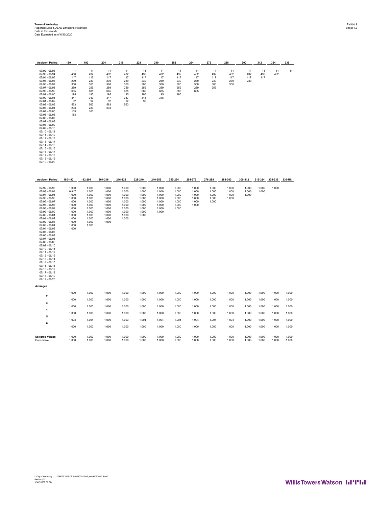| <b>Accident Period</b>                                                                                                                                                                                                                                                                                                                                                                                                                                                                                               | 180                                                                                                               | 192                                                                                                      | 204                                                                                             | 216                                                                                    | 228                                                                           | 240                                                                  | 252                                                         | 264                                                | 276                                       | 288                              | 300                     | 312              | 324            | 336            |
|----------------------------------------------------------------------------------------------------------------------------------------------------------------------------------------------------------------------------------------------------------------------------------------------------------------------------------------------------------------------------------------------------------------------------------------------------------------------------------------------------------------------|-------------------------------------------------------------------------------------------------------------------|----------------------------------------------------------------------------------------------------------|-------------------------------------------------------------------------------------------------|----------------------------------------------------------------------------------------|-------------------------------------------------------------------------------|----------------------------------------------------------------------|-------------------------------------------------------------|----------------------------------------------------|-------------------------------------------|----------------------------------|-------------------------|------------------|----------------|----------------|
| 07/92 - 06/93<br>07/93 - 06/94<br>07/94 - 06/95<br>07/95 - 06/96<br>07/96 - 06/97<br>07/97 - 06/98<br>07/98 - 06/99<br>07/99 - 06/00<br>$07/00 - 06/01$<br>07/01 - 06/02<br>$07/02 - 06/03$<br>07/03 - 06/04<br>07/04 - 06/05<br>$07/05 - 06/06$<br>07/06 - 06/07<br>$07/07 - 06/08$<br>$07/08 - 06/09$<br>07/09 - 06/10<br>$07/10 - 06/11$<br>$07/11 - 06/12$<br>$07/12 - 06/13$<br>$07/13 - 06/14$<br>07/14 - 06/15<br>$07/15 - 06/16$<br>$07/16 - 06/17$<br>$07/17 - 06/18$<br>$07/18 - 06/19$<br>$07/19 - 06/20$ | 11<br>456<br>117<br>239<br>300<br>259<br>685<br>195<br>347<br>92<br>563<br>233<br>163<br>183                      | 11<br>432<br>117<br>239<br>300<br>259<br>685<br>195<br>347<br>92<br>563<br>233<br>163                    | 11<br>432<br>117<br>239<br>300<br>259<br>685<br>195<br>347<br>92<br>563<br>233                  | 11<br>432<br>117<br>239<br>300<br>259<br>685<br>195<br>347<br>92<br>563                | 11<br>432<br>117<br>239<br>300<br>259<br>685<br>195<br>348<br>92              | 11<br>432<br>117<br>239<br>300<br>259<br>685<br>195<br>348           | 11<br>432<br>117<br>239<br>300<br>259<br>685<br>195         | 11<br>432<br>117<br>239<br>300<br>259<br>685       | 11<br>432<br>117<br>239<br>300<br>259     | 11<br>432<br>117<br>239<br>300   | 11<br>432<br>117<br>239 | 11<br>432<br>117 | 11<br>432      | 11             |
| <b>Accident Period</b>                                                                                                                                                                                                                                                                                                                                                                                                                                                                                               | 180-192                                                                                                           | 192-204                                                                                                  | 204-216                                                                                         | 216-228                                                                                | 228-240                                                                       | 240-252                                                              | 252-264                                                     | 264-276                                            | 276-288                                   | 288-300                          | 300-312                 | 312-324          | 324-336        | 336-Ult        |
|                                                                                                                                                                                                                                                                                                                                                                                                                                                                                                                      |                                                                                                                   |                                                                                                          |                                                                                                 |                                                                                        |                                                                               |                                                                      |                                                             |                                                    |                                           |                                  |                         |                  |                |                |
| 07/92 - 06/93<br>07/93 - 06/94<br>07/94 - 06/95<br>07/95 - 06/96<br>07/96 - 06/97<br>07/97 - 06/98<br>07/98 - 06/99<br>07/99 - 06/00<br>$07/00 - 06/01$<br>07/01 - 06/02<br>$07/02 - 06/03$<br>07/03 - 06/04<br>$07/04 - 06/05$<br>$07/05 - 06/06$<br>07/06 - 06/07<br>$07/07 - 06/08$<br>07/08 - 06/09<br>$07/09 - 06/10$<br>$07/10 - 06/11$<br>07/11 - 06/12<br>$07/12 - 06/13$<br>$07/13 - 06/14$<br>$07/14 - 06/15$<br>$07/15 - 06/16$<br>07/16 - 06/17<br>$07/17 - 06/18$<br>$07/18 - 06/19$<br>$07/19 - 06/20$ | 1.000<br>0.947<br>1.000<br>1.000<br>1.000<br>1.000<br>1.000<br>1.000<br>1.000<br>1.000<br>1.000<br>1.000<br>1.000 | 1.000<br>1.000<br>1.000<br>1.000<br>1.000<br>1.000<br>1.000<br>1.000<br>1.000<br>1.000<br>1.000<br>1.000 | 1.000<br>1.000<br>1.000<br>1.000<br>1.000<br>1.000<br>1.000<br>1.000<br>1.000<br>1.000<br>1.000 | 1.000<br>1.000<br>1.000<br>1.000<br>1.000<br>1.000<br>1.000<br>1.000<br>1.000<br>1.000 | 1.000<br>1.000<br>1.000<br>1.000<br>1.000<br>1.000<br>1.000<br>1.000<br>1.000 | 1.000<br>1.000<br>1.000<br>1.000<br>1.000<br>1.000<br>1.000<br>1.000 | 1.000<br>1.000<br>1.000<br>1.000<br>1.000<br>1.000<br>1.000 | 1.000<br>1.000<br>1.000<br>1.000<br>1.000<br>1.000 | 1.000<br>1.000<br>1.000<br>1.000<br>1.000 | 1.000<br>1.000<br>1.000<br>1.000 | 1.000<br>1.000<br>1.000 | 1.000<br>1.000   | 1.000          |                |
| Averages<br>1:                                                                                                                                                                                                                                                                                                                                                                                                                                                                                                       |                                                                                                                   |                                                                                                          |                                                                                                 |                                                                                        |                                                                               |                                                                      |                                                             |                                                    |                                           |                                  |                         |                  |                |                |
| 2:                                                                                                                                                                                                                                                                                                                                                                                                                                                                                                                   | 1.000                                                                                                             | 1.000                                                                                                    | 1.000                                                                                           | 1.000                                                                                  | 1.000                                                                         | 1.000                                                                | 1.000                                                       | 1.000                                              | 1.000                                     | 1.000                            | 1.000                   | 1.000            | 1.000          | 1.000          |
| 3:                                                                                                                                                                                                                                                                                                                                                                                                                                                                                                                   | 1.000                                                                                                             | 1.000                                                                                                    | 1.000                                                                                           | 1.000                                                                                  | 1.000                                                                         | 1.000                                                                | 1.000                                                       | 1.000                                              | 1.000                                     | 1.000                            | 1.000                   | 1.000            | 1.000          | 1.000          |
| 4:                                                                                                                                                                                                                                                                                                                                                                                                                                                                                                                   | 1.000                                                                                                             | 1.000                                                                                                    | 1.000                                                                                           | 1.000                                                                                  | 1.000                                                                         | 1.000                                                                | 1.000                                                       | 1.000                                              | 1.000                                     | 1.000                            | 1.000                   | 1.000            | 1.000          | 1.000          |
| 5:                                                                                                                                                                                                                                                                                                                                                                                                                                                                                                                   | 1.000                                                                                                             | 1.000                                                                                                    | 1.000                                                                                           | 1.000                                                                                  | 1.000                                                                         | 1.000                                                                | 1.000                                                       | 1.000                                              | 1.000                                     | 1.000                            | 1.000                   | 1.000            | 1.000          | 1.000          |
| 6:                                                                                                                                                                                                                                                                                                                                                                                                                                                                                                                   | 1.003                                                                                                             | 1.004                                                                                                    | 1.000                                                                                           | 1.003                                                                                  | 1.004                                                                         | 1.004                                                                | 1.004                                                       | 1.004                                              | 1.004                                     | 1.004                            | 1.000                   | 1.000            | 1.000          | 1.000          |
|                                                                                                                                                                                                                                                                                                                                                                                                                                                                                                                      | 1.000                                                                                                             | 1.000                                                                                                    | 1.000                                                                                           | 1.000                                                                                  | 1.000                                                                         | 1.000                                                                | 1.000                                                       | 1.000                                              | 1.000                                     | 1.000                            | 1.000                   | 1.000            | 1.000          | 1.000          |
| <b>Selected Values</b><br>Cumulative                                                                                                                                                                                                                                                                                                                                                                                                                                                                                 | 1.000<br>1.000                                                                                                    | 1.000<br>1.000                                                                                           | 1.000<br>1.000                                                                                  | 1.000<br>1.000                                                                         | 1.000<br>1.000                                                                | 1.000<br>1.000                                                       | 1.000<br>1.000                                              | 1.000<br>1.000                                     | 1.000<br>1.000                            | 1.000<br>1.000                   | 1.000<br>1.000          | 1.000<br>1.000   | 1.000<br>1.000 | 1.000<br>1.000 |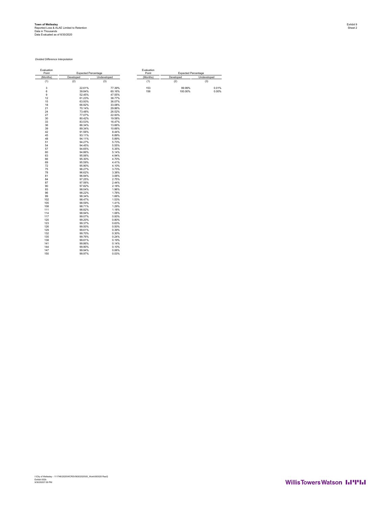### **Town of Wellesley<br>Reported Loss & ALAE Limited to Retention<br>Data in Thousands<br>Data Evaluated as of 6/30/2020**

#### *Divided Difference Interpolation*

| Evaluation<br>Point | <b>Expected Percentage</b> |                | Evaluation<br>Point | <b>Expected Percentage</b> |             |
|---------------------|----------------------------|----------------|---------------------|----------------------------|-------------|
| (Months)            | Developed                  | Undeveloped    | (Months)            | Developed                  | Undeveloped |
| (1)                 | (2)                        | (3)            | (1)                 | (2)                        | (3)         |
| 3                   | 22.61%                     | 77.39%         | 153                 | 99.99%                     | 0.01%       |
| 6                   | 39.84%                     | 60.16%         | 156                 | 100.00%                    | 0.00%       |
| 9                   | 52.45%                     | 47.55%         |                     |                            |             |
| 12                  | 61.23%                     | 38.77%         |                     |                            |             |
| 15                  | 63.93%                     | 36.07%         |                     |                            |             |
| 18                  | 66.92%                     | 33.08%         |                     |                            |             |
| 21                  | 70.14%                     | 29.86%         |                     |                            |             |
| 24                  | 73.48%                     | 26.52%         |                     |                            |             |
| 27                  | 77.07%                     | 22.93%         |                     |                            |             |
| 30                  | 80.42%                     | 19.58%         |                     |                            |             |
| 33                  | 83.53%                     | 16.47%         |                     |                            |             |
| 36                  | 86.34%                     | 13.66%         |                     |                            |             |
| 39                  | 89.34%                     | 10.66%         |                     |                            |             |
| 42                  | 91.56%                     | 8.44%          |                     |                            |             |
| 45                  | 93.11%                     | 6.89%          |                     |                            |             |
| 48                  | 94.11%                     | 5.89%          |                     |                            |             |
| 51                  | 94.27%                     | 5.73%          |                     |                            |             |
| 54                  | 94.45%                     | 5.55%          |                     |                            |             |
| 57                  | 94.65%                     | 5.35%          |                     |                            |             |
| 60                  | 94.86%                     | 5.14%          |                     |                            |             |
| 63                  | 95.06%                     | 4.94%          |                     |                            |             |
| 66                  | 95.30%                     | 4.70%          |                     |                            |             |
| 69                  | 95.59%                     | 4.41%          |                     |                            |             |
| 72                  | 95.90%                     | 4.10%          |                     |                            |             |
| 75                  | 96.27%                     | 3.73%          |                     |                            |             |
| 78                  | 96.62%                     | 3.38%          |                     |                            |             |
| 81                  | 96.94%                     | 3.06%          |                     |                            |             |
| 84                  | 97.25%                     | 2.75%          |                     |                            |             |
| 87                  | 97.56%                     | 2.44%          |                     |                            |             |
| 90                  | 97.82%                     | 2.18%          |                     |                            |             |
| 93                  | 98.04%                     | 1.96%          |                     |                            |             |
| 96                  | 98.22%                     | 1.78%          |                     |                            |             |
| 99                  | 98.34%                     | 1.66%          |                     |                            |             |
| 102                 | 98.47%                     | 1.53%          |                     |                            |             |
| 105                 | 98.59%                     | 1.41%          |                     |                            |             |
| 108                 | 98.71%                     | 1.29%          |                     |                            |             |
| 111                 | 98.82%                     | 1.18%          |                     |                            |             |
| 114                 | 98.94%                     | 1.06%          |                     |                            |             |
| 117                 | 99.07%                     | 0.93%          |                     |                            |             |
| 120                 | 99.20%                     | 0.80%          |                     |                            |             |
| 123                 | 99.37%                     | 0.63%          |                     |                            |             |
| 126<br>129          | 99.50%                     | 0.50%          |                     |                            |             |
|                     | 99.61%                     | 0.39%          |                     |                            |             |
| 132                 | 99.70%                     | 0.30%          |                     |                            |             |
| 135                 | 99.76%                     | 0.24%          |                     |                            |             |
| 138<br>141          | 99.81%                     | 0.19%<br>0.14% |                     |                            |             |
| 144                 | 99.86%<br>99.90%           | 0.10%          |                     |                            |             |
| 147                 | 99.94%                     | 0.06%          |                     |                            |             |
| 150                 | 99.97%                     | 0.03%          |                     |                            |             |
|                     |                            |                |                     |                            |             |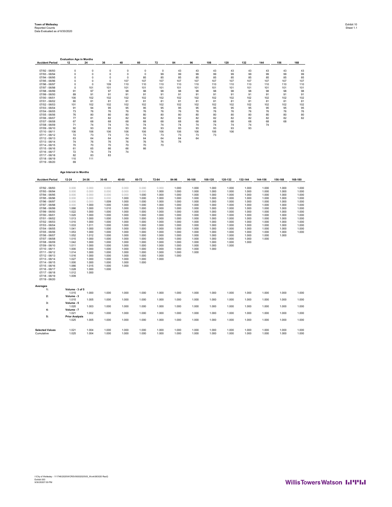| <b>Accident Period</b>             | <b>Evaluation Age in Months</b><br>12 | 24                       | 36                      | 48                    | 60                | 72             | 84             | 96             | 108            | 120            | 132            | 144            | 156            | 168            |
|------------------------------------|---------------------------------------|--------------------------|-------------------------|-----------------------|-------------------|----------------|----------------|----------------|----------------|----------------|----------------|----------------|----------------|----------------|
|                                    |                                       |                          |                         |                       |                   |                |                |                |                |                |                |                |                |                |
| 07/92 - 06/93                      | 0                                     | $\circ$                  | 0                       | 0                     | $\mathsf 0$       | $\mathbf 0$    | 43             | 43             | 43             | 43             | 43             | 43             | 43             | 43             |
| 07/93 - 06/94<br>07/94 - 06/95     | $\pmb{0}$<br>$\Omega$                 | $\pmb{0}$<br>$\mathbf 0$ | $\Omega$<br>$\mathbf 0$ | $\pmb{0}$<br>$\Omega$ | $\mathsf 0$<br>85 | 99<br>85       | 99<br>85       | 99<br>85       | 99<br>85       | 99<br>85       | 99<br>85       | 99<br>85       | 99<br>85       | 99<br>85       |
| 07/95 - 06/96                      | $\pmb{0}$                             | $\mathbf 0$              | $\mathsf 0$             | 107                   | 107               | 107            | 107            | 107            | 107            | 107            | 107            | 107            | 107            | 107            |
| 07/96 - 06/97                      | $\mathbf 0$                           | $\Omega$                 | 109                     | 110                   | 110               | 110            | 110            | 110            | 110            | 110            | 110            | 110            | 110            | 110            |
| 07/97 - 06/98                      | $\mathbf 0$                           | 101                      | 101                     | 101                   | 101               | 101            | 101            | 101            | 101            | 101            | 101            | 101            | 101            | 101            |
| 07/98 - 06/99                      | 91                                    | 97<br>91                 | 97                      | 98<br>91              | 98                | 98             | 98             | 98<br>91       | 98             | 98             | 98<br>91       | 98             | 98             | 98             |
| 07/99 - 06/00<br>07/00 - 06/01     | 89<br>100                             | 102                      | 91<br>102               | 102                   | 91<br>102         | 91<br>102      | 91<br>102      | 102            | 91<br>102      | 91<br>102      | 102            | 91<br>102      | 91<br>102      | 91<br>102      |
| 07/01 - 06/02                      | 80                                    | 81                       | 81                      | 81                    | 81                | 81             | 81             | 81             | 81             | 81             | 81             | 81             | 81             | 81             |
| $07/02 - 06/03$                    | 101                                   | 102                      | 102                     | 102                   | 102               | 102            | 102            | 102            | 102            | 102            | 102            | 102            | 102            | 102            |
| $07/03 - 06/04$                    | 91                                    | 94                       | 95                      | 95                    | 95                | 95             | 95             | 95             | 95             | 95             | 95             | 95             | 95             | 95             |
| 07/04 - 06/05<br>$07/05 - 06/06$   | 73<br>76                              | 76<br>80                 | 76<br>80                | 76<br>80              | 76<br>80          | 76<br>80       | 76<br>80       | 76<br>80       | 76<br>80       | 76<br>80       | 76<br>80       | 76<br>80       | 76<br>80       | 76<br>80       |
| 07/06 - 06/07                      | 77                                    | 81                       | 82                      | 82                    | 82                | 82             | 82             | 82             | 82             | 82             | 82             | 82             | 82             | 82             |
| 07/07 - 06/08                      | 67                                    | 68                       | 68                      | 68                    | 68                | 68             | 68             | 68             | 68             | 68             | 68             | 68             | 68             |                |
| 07/08 - 06/09                      | 71                                    | 74                       | 74                      | 74                    | 74                | 74             | 74             | 74             | 74             | 74             | 74             | 74             |                |                |
| $07/09 - 06/10$<br>07/10 - 06/11   | 92<br>106                             | 93<br>106                | 93<br>106               | 93<br>106             | 93<br>106         | 93<br>106      | 93<br>106      | 93<br>106      | 93<br>106      | 93<br>106      | 93             |                |                |                |
| $07/11 - 06/12$                    | 72                                    | 73                       | 73                      | 73                    | 73                | 73             | 73             | 73             | 73             |                |                |                |                |                |
| $07/12 - 06/13$                    | 63                                    | 64                       | 64                      | 64                    | 64                | 64             | 64             | 64             |                |                |                |                |                |                |
| $07/13 - 06/14$                    | 74                                    | 76                       | 76                      | 76                    | 76                | 76             | 76             |                |                |                |                |                |                |                |
| $07/14 - 06/15$<br>$07/15 - 06/16$ | 70<br>61                              | 70<br>65                 | 70<br>66                | 70<br>66              | 70<br>66          | 70             |                |                |                |                |                |                |                |                |
| $07/16 - 06/17$                    | 72                                    | 74                       | 74                      | 74                    |                   |                |                |                |                |                |                |                |                |                |
| $07/17 - 06/18$                    | 82                                    | 83                       | 83                      |                       |                   |                |                |                |                |                |                |                |                |                |
| 07/18 - 06/19                      | 110                                   | 111                      |                         |                       |                   |                |                |                |                |                |                |                |                |                |
| $07/19 - 06/20$                    | 69                                    |                          |                         |                       |                   |                |                |                |                |                |                |                |                |                |
|                                    | Age Interval in Months                |                          |                         |                       |                   |                |                |                |                |                |                |                |                |                |
| <b>Accident Period</b>             | 12-24                                 | 24-36                    | 36-48                   | 48-60                 | 60-72             | 72-84          | 84-96          | 96-108         | 108-120        | 120-132        | 132-144        | 144-156        | 156-168        | 168-180        |
|                                    |                                       |                          |                         |                       |                   |                |                |                |                |                |                |                |                |                |
| 07/92 - 06/93                      | 0.000                                 | 0.000                    | 0.000                   | 0.000                 | 0.000             | 0.000          | 1.000          | 1.000          | 1.000          | 1.000          | 1.000          | 1.000          | 1.000          | 1.000          |
| 07/93 - 06/94                      | 0.000                                 | 0.000                    | 0.000                   | 0.000                 | 0.000             | 1.000          | 1.000          | 1.000          | 1.000          | 1.000          | 1.000          | 1.000          | 1.000          | 1.000          |
| 07/94 - 06/95<br>07/95 - 06/96     | 0.000<br>0.000                        | 0.000<br>0.000           | 0.000<br>0.000          | 0.000<br>1.000        | 1.000<br>1.000    | 1.000<br>1.000 | 1.000<br>1.000 | 1.000<br>1.000 | 1.000<br>1.000 | 1.000<br>1.000 | 1.000<br>1.000 | 1.000<br>1.000 | 1.000<br>1.000 | 1.000<br>1.000 |
| 07/96 - 06/97                      | 0.000                                 | 0.000                    | 1.009                   | 1.000                 | 1.000             | 1.000          | 1.000          | 1.000          | 1.000          | 1.000          | 1.000          | 1.000          | 1.000          | 1.000          |
| 07/97 - 06/98                      | 0.000                                 | 1.000                    | 1.000                   | 1.000                 | 1.000             | 1.000          | 1.000          | 1.000          | 1.000          | 1.000          | 1.000          | 1.000          | 1.000          | 1.000          |
| 07/98 - 06/99                      | 1.066                                 | 1.000                    | 1.010                   | 1.000                 | 1.000             | 1.000          | 1.000          | 1.000          | 1.000          | 1.000          | 1.000          | 1.000          | 1.000          | 1.000          |
| 07/99 - 06/00<br>07/00 - 06/01     | 1.022<br>1.020                        | 1.000<br>1.000           | 1.000<br>1.000          | 1.000<br>1.000        | 1.000<br>1.000    | 1.000<br>1.000 | 1.000<br>1.000 | 1.000<br>1.000 | 1.000<br>1.000 | 1.000<br>1.000 | 1.000<br>1.000 | 1.000<br>1.000 | 1.000<br>1.000 | 1.000<br>1.000 |
| $07/01 - 06/02$                    | 1.013                                 | 1.000                    | 1.000                   | 1.000                 | 1.000             | 1.000          | 1.000          | 1.000          | 1.000          | 1.000          | 1.000          | 1.000          | 1.000          | 1.000          |
| 07/02 - 06/03                      | 1.010                                 | 1.000                    | 1.000                   | 1.000                 | 1.000             | 1.000          | 1.000          | 1.000          | 1.000          | 1.000          | 1.000          | 1.000          | 1.000          | 1.000          |
| $07/03 - 06/04$                    | 1.033                                 | 1.011                    | 1.000                   | 1,000                 | 1.000             | 1.000          | 1.000          | 1.000          | 1.000          | 1.000          | 1.000          | 1.000          | 1.000          | 1.000          |
| 07/04 - 06/05<br>07/05 - 06/06     | 1.041<br>1.053                        | 1.000<br>1.000           | 1.000<br>1.000          | 1.000<br>1.000        | 1.000<br>1.000    | 1.000<br>1.000 | 1.000<br>1.000 | 1.000<br>1.000 | 1.000<br>1.000 | 1.000<br>1.000 | 1.000<br>1.000 | 1.000<br>1.000 | 1.000<br>1.000 | 1.000<br>1.000 |
| 07/06 - 06/07                      | 1.052                                 | 1.012                    | 1.000                   | 1.000                 | 1.000             | 1.000          | 1.000          | 1.000          | 1.000          | 1.000          | 1.000          | 1.000          | 1.000          |                |
| 07/07 - 06/08                      | 1.015                                 | 1.000                    | 1.000                   | 1.000                 | 1.000             | 1.000          | 1.000          | 1.000          | 1.000          | 1.000          | 1.000          | 1.000          |                |                |
| 07/08 - 06/09<br>$07/09 - 06/10$   | 1.042<br>1.011                        | 1.000<br>1.000           | 1.000<br>1.000          | 1.000<br>1.000        | 1.000<br>1.000    | 1.000<br>1.000 | 1.000<br>1.000 | 1.000<br>1.000 | 1.000<br>1.000 | 1.000          | 1.000          |                |                |                |
| $07/10 - 06/11$                    | 1.000                                 | 1.000                    | 1.000                   | 1.000                 | 1.000             | 1.000          | 1.000          | 1.000          | 1.000          | 1.000          |                |                |                |                |
| 07/11 - 06/12                      | 1.014                                 | 1.000                    | 1.000                   | 1.000                 | 1.000             | 1.000          | 1.000          | 1.000          |                |                |                |                |                |                |
| $07/12 - 06/13$                    | 1.016                                 | 1.000                    | 1.000                   | 1.000                 | 1.000             | 1.000          | 1.000          |                |                |                |                |                |                |                |
| $07/13 - 06/14$                    | 1.027                                 | 1.000                    | 1.000<br>1.000          | 1.000                 | 1.000             | 1.000          |                |                |                |                |                |                |                |                |
| $07/14 - 06/15$<br>$07/15 - 06/16$ | 1.000<br>1.066                        | 1.000<br>1.015           | 1.000                   | 1.000<br>1.000        | 1.000             |                |                |                |                |                |                |                |                |                |
| $07/16 - 06/17$                    | 1.028                                 | 1.000                    | 1.000                   |                       |                   |                |                |                |                |                |                |                |                |                |
| $07/17 - 06/18$                    | 1.012                                 | 1.000                    |                         |                       |                   |                |                |                |                |                |                |                |                |                |
| $07/18 - 06/19$<br>07/19 - 06/20   | 1.009                                 |                          |                         |                       |                   |                |                |                |                |                |                |                |                |                |
|                                    |                                       |                          |                         |                       |                   |                |                |                |                |                |                |                |                |                |
| Averages<br>1:                     | Volume - 3 of 5                       |                          |                         |                       |                   |                |                |                |                |                |                |                |                |                |
|                                    | 1.015                                 | 1.000                    | 1.000                   | 1.000                 | 1.000             | 1.000          | 1.000          | 1.000          | 1.000          | 1.000          | 1.000          | 1.000          | 1.000          | 1.000          |
| 2:                                 | Volume - 3                            |                          |                         | 1.000                 |                   |                |                | 1.000          |                |                |                |                |                | 1.000          |
| 3:                                 | 1.015<br>Volume - 5                   | 1.005                    | 1.000                   |                       | 1.000             | 1.000          | 1.000          |                | 1.000          | 1.000          | 1.000          | 1.000          | 1.000          |                |
|                                    | 1.020                                 | 1.003                    | 1.000                   | 1.000                 | 1.000             | 1.000          | 1.000          | 1.000          | 1.000          | 1.000          | 1.000          | 1.000          | 1.000          | 1.000          |
| 4:                                 | Volume - 7                            |                          |                         |                       |                   |                |                |                |                |                |                |                |                |                |
| 5:                                 | 1.021<br><b>Prior Analysis</b>        | 1.002                    | 1.000                   | 1.000                 | 1.000             | 1.000          | 1.000          | 1.000          | 1.000          | 1.000          | 1.000          | 1.000          | 1.000          | 1.000          |
|                                    | 1.025                                 | 1.005                    | 1.000                   | 1.000                 | 1.000             | 1.000          | 1.000          | 1.000          | 1.000          | 1.000          | 1.000          | 1.000          | 1.000          | 1.000          |
|                                    |                                       |                          |                         |                       |                   |                |                |                |                |                |                |                |                |                |
| <b>Selected Values</b>             |                                       | 1.004                    | 1.000                   | 1.000                 | 1.000             | 1.000          |                | 1.000          | 1.000          | 1.000          | 1.000          | 1.000          |                |                |
| Cumulative                         | 1.021<br>1.025                        | 1.004                    | 1.000                   | 1.000                 | 1.000             | 1.000          | 1.000<br>1.000 | 1.000          | 1.000          | 1.000          | 1.000          | 1.000          | 1.000<br>1.000 | 1.000<br>1.000 |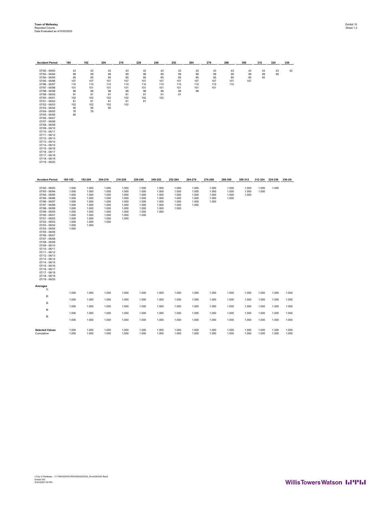| <b>Accident Period</b>                                                                                                                                                                                                                                                                                                                                                                                                                                                                                             | 180                                                                                                               | 192                                                                                                      | 204                                                                                             | 216                                                                                    | 228                                                                           | 240                                                                  | 252                                                         | 264                                                | 276                                       | 288                              | 300                     | 312            | 324            | 336            |
|--------------------------------------------------------------------------------------------------------------------------------------------------------------------------------------------------------------------------------------------------------------------------------------------------------------------------------------------------------------------------------------------------------------------------------------------------------------------------------------------------------------------|-------------------------------------------------------------------------------------------------------------------|----------------------------------------------------------------------------------------------------------|-------------------------------------------------------------------------------------------------|----------------------------------------------------------------------------------------|-------------------------------------------------------------------------------|----------------------------------------------------------------------|-------------------------------------------------------------|----------------------------------------------------|-------------------------------------------|----------------------------------|-------------------------|----------------|----------------|----------------|
| 07/92 - 06/93<br>07/93 - 06/94<br>07/94 - 06/95<br>07/95 - 06/96<br>07/96 - 06/97<br>07/97 - 06/98<br>07/98 - 06/99<br>$07/99 - 06/00$<br>07/00 - 06/01<br>$07/01 - 06/02$<br>$07/02 - 06/03$<br>07/03 - 06/04<br>$07/04 - 06/05$<br>$07/05 - 06/06$<br>07/06 - 06/07<br>07/07 - 06/08<br>07/08 - 06/09<br>07/09 - 06/10<br>07/10 - 06/11<br>$07/11 - 06/12$<br>$07/12 - 06/13$<br>07/13 - 06/14<br>$07/14 - 06/15$<br>$07/15 - 06/16$<br>$07/16 - 06/17$<br>$07/17 - 06/18$<br>$07/18 - 06/19$<br>07/19 - 06/20   | 43<br>99<br>85<br>107<br>110<br>101<br>98<br>91<br>102<br>81<br>102<br>95<br>76<br>80                             | 43<br>99<br>85<br>107<br>110<br>101<br>98<br>91<br>102<br>81<br>102<br>95<br>76                          | 43<br>99<br>85<br>107<br>110<br>101<br>98<br>91<br>102<br>81<br>102<br>95                       | 43<br>99<br>85<br>107<br>110<br>101<br>98<br>91<br>102<br>81<br>102                    | 43<br>99<br>85<br>107<br>110<br>101<br>98<br>91<br>102<br>81                  | 43<br>99<br>85<br>107<br>110<br>101<br>98<br>91<br>102               | 43<br>99<br>85<br>107<br>110<br>101<br>98<br>91             | 43<br>99<br>85<br>107<br>110<br>101<br>98          | 43<br>99<br>85<br>107<br>110<br>101       | 43<br>99<br>85<br>107<br>110     | 43<br>99<br>85<br>107   | 43<br>99<br>85 | 43<br>99       | 43             |
| <b>Accident Period</b>                                                                                                                                                                                                                                                                                                                                                                                                                                                                                             | 180-192                                                                                                           | 192-204                                                                                                  | 204-216                                                                                         | 216-228                                                                                | 228-240                                                                       | 240-252                                                              | 252-264                                                     | 264-276                                            | 276-288                                   | 288-300                          | 300-312                 | 312-324        | 324-336        | 336-Ult        |
| 07/92 - 06/93<br>07/93 - 06/94<br>07/94 - 06/95<br>07/95 - 06/96<br>07/96 - 06/97<br>07/97 - 06/98<br>07/98 - 06/99<br>07/99 - 06/00<br>07/00 - 06/01<br>$07/01 - 06/02$<br>07/02 - 06/03<br>$07/03 - 06/04$<br>$07/04 - 06/05$<br>07/05 - 06/06<br>07/06 - 06/07<br>07/07 - 06/08<br>07/08 - 06/09<br>07/09 - 06/10<br>$07/10 - 06/11$<br>$07/11 - 06/12$<br>$07/12 - 06/13$<br>$07/13 - 06/14$<br>$07/14 - 06/15$<br>$07/15 - 06/16$<br>$07/16 - 06/17$<br>$07/17 - 06/18$<br>$07/18 - 06/19$<br>$07/19 - 06/20$ | 1.000<br>1.000<br>1.000<br>1.000<br>1.000<br>1.000<br>1.000<br>1.000<br>1.000<br>1.000<br>1.000<br>1.000<br>1.000 | 1.000<br>1.000<br>1.000<br>1.000<br>1.000<br>1.000<br>1.000<br>1.000<br>1.000<br>1.000<br>1.000<br>1.000 | 1.000<br>1.000<br>1.000<br>1.000<br>1.000<br>1.000<br>1.000<br>1.000<br>1.000<br>1.000<br>1.000 | 1.000<br>1.000<br>1.000<br>1.000<br>1.000<br>1.000<br>1.000<br>1.000<br>1.000<br>1.000 | 1.000<br>1.000<br>1.000<br>1.000<br>1.000<br>1.000<br>1.000<br>1.000<br>1.000 | 1.000<br>1.000<br>1.000<br>1.000<br>1.000<br>1.000<br>1.000<br>1.000 | 1.000<br>1.000<br>1.000<br>1.000<br>1.000<br>1.000<br>1.000 | 1.000<br>1.000<br>1.000<br>1.000<br>1.000<br>1.000 | 1.000<br>1.000<br>1.000<br>1.000<br>1.000 | 1.000<br>1.000<br>1.000<br>1.000 | 1.000<br>1.000<br>1.000 | 1.000<br>1.000 | 1.000          |                |
| Averages<br>1:                                                                                                                                                                                                                                                                                                                                                                                                                                                                                                     |                                                                                                                   |                                                                                                          |                                                                                                 |                                                                                        |                                                                               |                                                                      |                                                             |                                                    |                                           |                                  |                         |                |                |                |
| 2:                                                                                                                                                                                                                                                                                                                                                                                                                                                                                                                 | 1.000                                                                                                             | 1.000                                                                                                    | 1.000                                                                                           | 1.000                                                                                  | 1.000                                                                         | 1.000                                                                | 1.000                                                       | 1.000                                              | 1.000                                     | 1.000                            | 1.000                   | 1.000          | 1.000          | 1.000          |
| 3:                                                                                                                                                                                                                                                                                                                                                                                                                                                                                                                 | 1.000<br>1.000                                                                                                    | 1.000<br>1.000                                                                                           | 1.000<br>1.000                                                                                  | 1.000<br>1.000                                                                         | 1.000<br>1.000                                                                | 1.000<br>1.000                                                       | 1.000<br>1.000                                              | 1.000<br>1.000                                     | 1.000<br>1.000                            | 1.000<br>1.000                   | 1.000<br>1.000          | 1.000<br>1.000 | 1.000<br>1.000 | 1,000<br>1.000 |
| 4:                                                                                                                                                                                                                                                                                                                                                                                                                                                                                                                 | 1.000                                                                                                             | 1.000                                                                                                    | 1.000                                                                                           | 1.000                                                                                  | 1.000                                                                         | 1.000                                                                | 1.000                                                       | 1.000                                              | 1.000                                     | 1.000                            | 1.000                   | 1.000          | 1.000          | 1.000          |
| 5:                                                                                                                                                                                                                                                                                                                                                                                                                                                                                                                 | 1.000                                                                                                             | 1.000                                                                                                    | 1.000                                                                                           | 1.000                                                                                  | 1.000                                                                         | 1.000                                                                | 1.000                                                       | 1.000                                              | 1.000                                     | 1.000                            | 1.000                   | 1.000          | 1.000          | 1.000          |
| <b>Selected Values</b><br>Cumulative                                                                                                                                                                                                                                                                                                                                                                                                                                                                               | 1.000<br>1.000                                                                                                    | 1.000<br>1.000                                                                                           | 1.000<br>1.000                                                                                  | 1.000<br>1.000                                                                         | 1.000<br>1.000                                                                | 1.000<br>1.000                                                       | 1.000<br>1.000                                              | 1.000<br>1.000                                     | 1.000<br>1.000                            | 1.000<br>1.000                   | 1.000<br>1.000          | 1.000<br>1.000 | 1.000<br>1.000 | 1.000<br>1.000 |